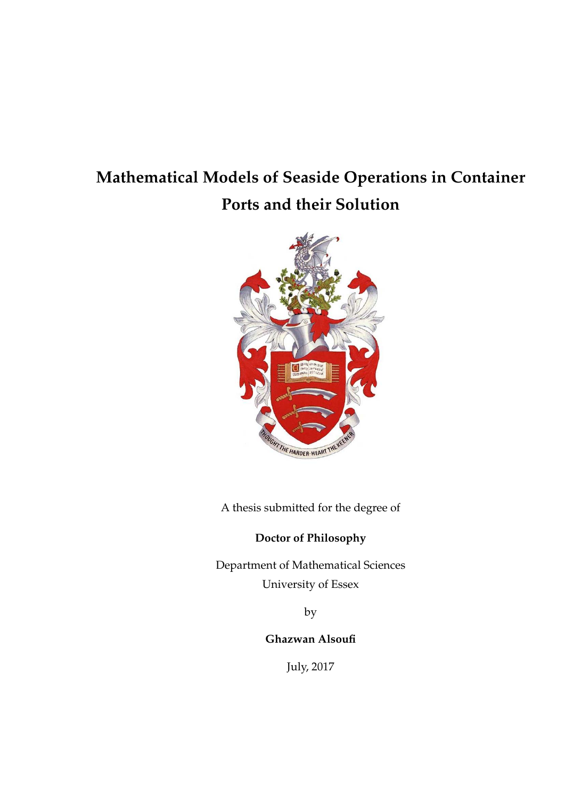### **Mathematical Models of Seaside Operations in Container Ports and their Solution**



A thesis submitted for the degree of

**Doctor of Philosophy**

Department of Mathematical Sciences University of Essex

by

**Ghazwan Alsoufi**

July, 2017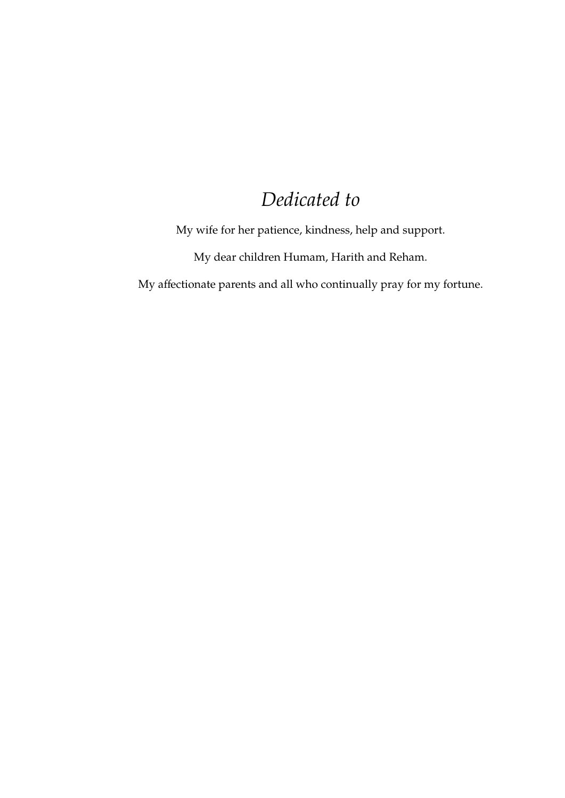### *Dedicated to*

My wife for her patience, kindness, help and support.

My dear children Humam, Harith and Reham.

My affectionate parents and all who continually pray for my fortune.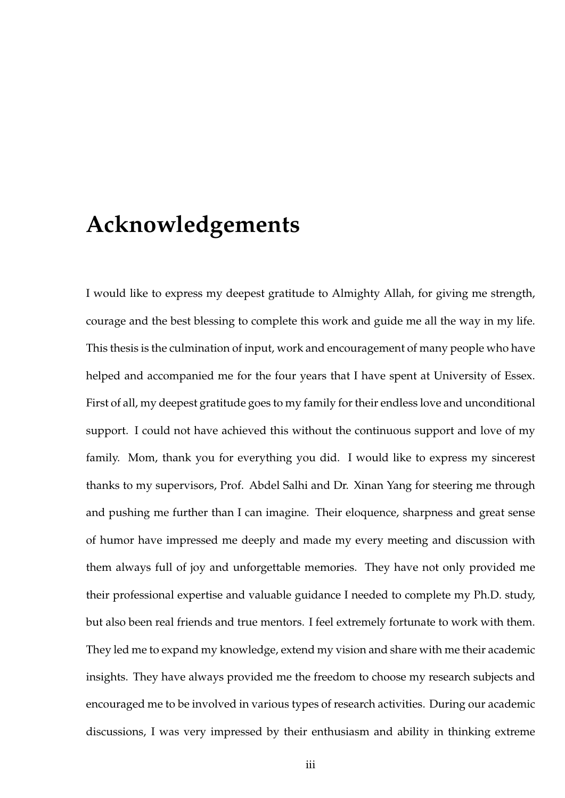### **Acknowledgements**

I would like to express my deepest gratitude to Almighty Allah, for giving me strength, courage and the best blessing to complete this work and guide me all the way in my life. This thesis is the culmination of input, work and encouragement of many people who have helped and accompanied me for the four years that I have spent at University of Essex. First of all, my deepest gratitude goes to my family for their endless love and unconditional support. I could not have achieved this without the continuous support and love of my family. Mom, thank you for everything you did. I would like to express my sincerest thanks to my supervisors, Prof. Abdel Salhi and Dr. Xinan Yang for steering me through and pushing me further than I can imagine. Their eloquence, sharpness and great sense of humor have impressed me deeply and made my every meeting and discussion with them always full of joy and unforgettable memories. They have not only provided me their professional expertise and valuable guidance I needed to complete my Ph.D. study, but also been real friends and true mentors. I feel extremely fortunate to work with them. They led me to expand my knowledge, extend my vision and share with me their academic insights. They have always provided me the freedom to choose my research subjects and encouraged me to be involved in various types of research activities. During our academic discussions, I was very impressed by their enthusiasm and ability in thinking extreme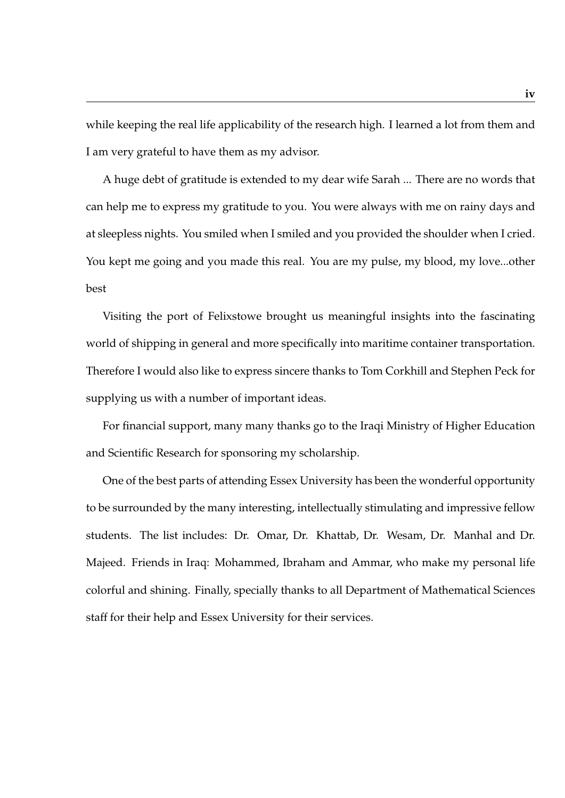while keeping the real life applicability of the research high. I learned a lot from them and I am very grateful to have them as my advisor.

A huge debt of gratitude is extended to my dear wife Sarah ... There are no words that can help me to express my gratitude to you. You were always with me on rainy days and at sleepless nights. You smiled when I smiled and you provided the shoulder when I cried. You kept me going and you made this real. You are my pulse, my blood, my love...other best

Visiting the port of Felixstowe brought us meaningful insights into the fascinating world of shipping in general and more specifically into maritime container transportation. Therefore I would also like to express sincere thanks to Tom Corkhill and Stephen Peck for supplying us with a number of important ideas.

For financial support, many many thanks go to the Iraqi Ministry of Higher Education and Scientific Research for sponsoring my scholarship.

One of the best parts of attending Essex University has been the wonderful opportunity to be surrounded by the many interesting, intellectually stimulating and impressive fellow students. The list includes: Dr. Omar, Dr. Khattab, Dr. Wesam, Dr. Manhal and Dr. Majeed. Friends in Iraq: Mohammed, Ibraham and Ammar, who make my personal life colorful and shining. Finally, specially thanks to all Department of Mathematical Sciences staff for their help and Essex University for their services.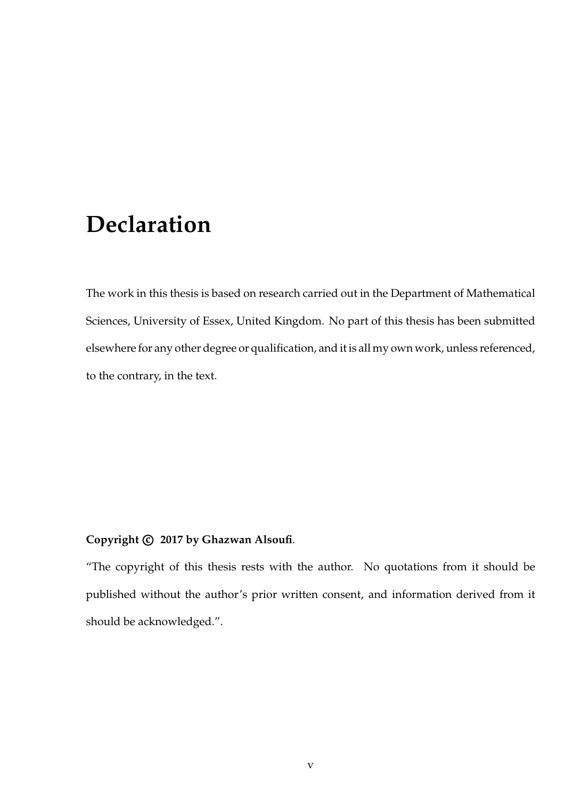### **Declaration**

The work in this thesis is based on research carried out in the Department of Mathematical Sciences, University of Essex, United Kingdom. No part of this thesis has been submitted elsewhere for any other degree or qualification, and it is all my own work, unless referenced, to the contrary, in the text.

#### **Copyright c 2017 by Ghazwan Alsoufi**.

"The copyright of this thesis rests with the author. No quotations from it should be published without the author's prior written consent, and information derived from it should be acknowledged.".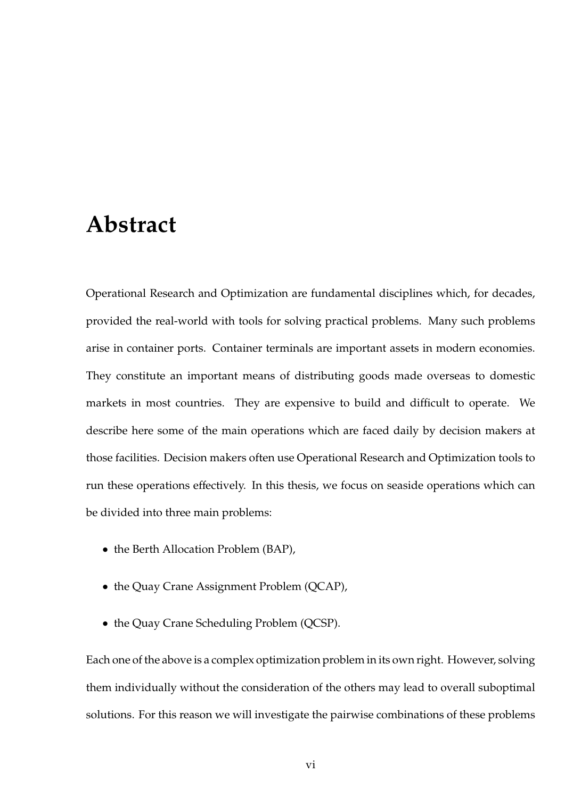#### **Abstract**

Operational Research and Optimization are fundamental disciplines which, for decades, provided the real-world with tools for solving practical problems. Many such problems arise in container ports. Container terminals are important assets in modern economies. They constitute an important means of distributing goods made overseas to domestic markets in most countries. They are expensive to build and difficult to operate. We describe here some of the main operations which are faced daily by decision makers at those facilities. Decision makers often use Operational Research and Optimization tools to run these operations effectively. In this thesis, we focus on seaside operations which can be divided into three main problems:

- the Berth Allocation Problem (BAP),
- the Quay Crane Assignment Problem (QCAP),
- the Quay Crane Scheduling Problem (QCSP).

Each one of the above is a complex optimization problem in its own right. However, solving them individually without the consideration of the others may lead to overall suboptimal solutions. For this reason we will investigate the pairwise combinations of these problems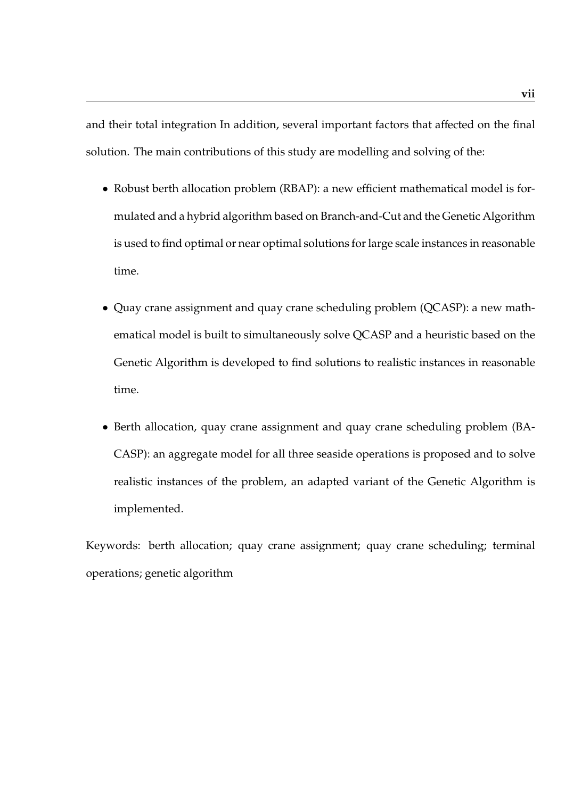and their total integration In addition, several important factors that affected on the final solution. The main contributions of this study are modelling and solving of the:

- Robust berth allocation problem (RBAP): a new efficient mathematical model is formulated and a hybrid algorithm based on Branch-and-Cut and the Genetic Algorithm is used to find optimal or near optimal solutions for large scale instances in reasonable time.
- Quay crane assignment and quay crane scheduling problem (QCASP): a new mathematical model is built to simultaneously solve QCASP and a heuristic based on the Genetic Algorithm is developed to find solutions to realistic instances in reasonable time.
- Berth allocation, quay crane assignment and quay crane scheduling problem (BA-CASP): an aggregate model for all three seaside operations is proposed and to solve realistic instances of the problem, an adapted variant of the Genetic Algorithm is implemented.

Keywords: berth allocation; quay crane assignment; quay crane scheduling; terminal operations; genetic algorithm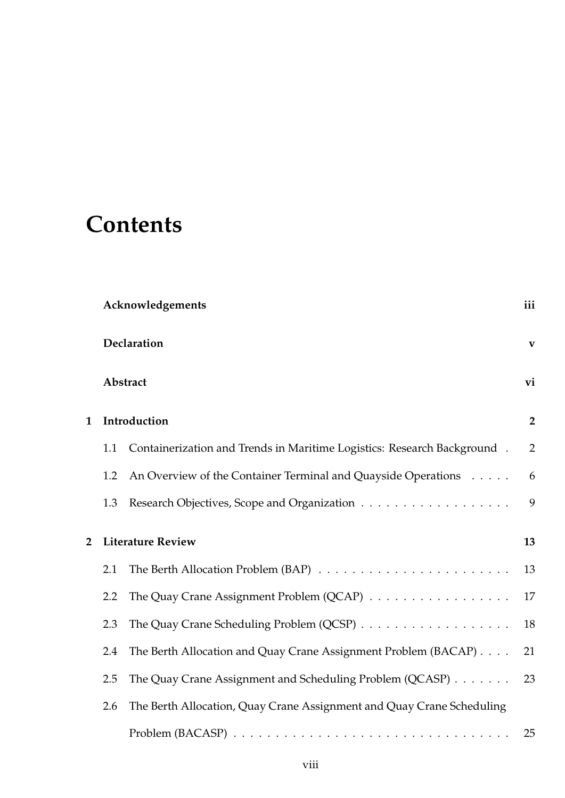## **Contents**

|                | Acknowledgements |                                                                         |                |
|----------------|------------------|-------------------------------------------------------------------------|----------------|
|                | Declaration      |                                                                         |                |
|                | Abstract<br>vi   |                                                                         |                |
| 1              |                  | Introduction                                                            | $\overline{2}$ |
|                | 1.1              | Containerization and Trends in Maritime Logistics: Research Background. | 2              |
|                | 1.2              | An Overview of the Container Terminal and Quayside Operations           | 6              |
|                | 1.3              |                                                                         | 9              |
| $\overline{2}$ |                  | <b>Literature Review</b>                                                | 13             |
|                |                  |                                                                         |                |
|                | 2.1              |                                                                         | 13             |
|                | 2.2              | The Quay Crane Assignment Problem (QCAP)                                | 17             |
|                | 2.3              |                                                                         | 18             |
|                | 2.4              | The Berth Allocation and Quay Crane Assignment Problem (BACAP)          | 21             |
|                | 2.5              | The Quay Crane Assignment and Scheduling Problem (QCASP)                | 23             |
|                | 2.6              | The Berth Allocation, Quay Crane Assignment and Quay Crane Scheduling   |                |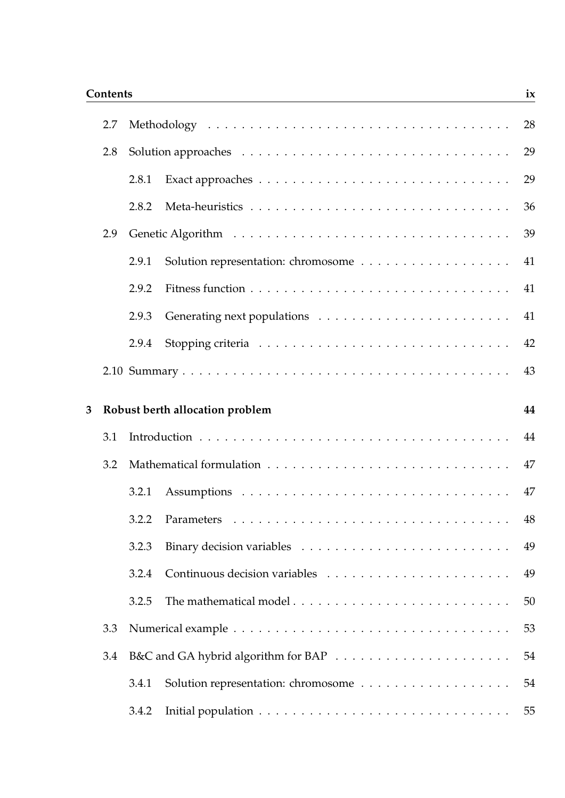#### **Contents ix**

|   | 2.7 |       |                                 | 28 |
|---|-----|-------|---------------------------------|----|
|   | 2.8 |       |                                 | 29 |
|   |     | 2.8.1 |                                 | 29 |
|   |     | 2.8.2 |                                 | 36 |
|   | 2.9 |       |                                 | 39 |
|   |     | 2.9.1 |                                 | 41 |
|   |     | 2.9.2 |                                 | 41 |
|   |     | 2.9.3 |                                 | 41 |
|   |     | 2.9.4 |                                 | 42 |
|   |     |       |                                 | 43 |
|   |     |       |                                 |    |
| 3 |     |       | Robust berth allocation problem | 44 |
|   | 3.1 |       |                                 | 44 |
|   | 3.2 |       |                                 | 47 |
|   |     | 3.2.1 |                                 | 47 |
|   |     | 3.2.2 |                                 | 48 |
|   |     | 3.2.3 |                                 | 49 |
|   |     | 3.2.4 |                                 | 49 |
|   |     | 3.2.5 |                                 | 50 |
|   | 3.3 |       |                                 | 53 |
|   | 3.4 |       |                                 | 54 |
|   |     | 3.4.1 |                                 | 54 |
|   |     |       |                                 |    |
|   |     | 3.4.2 |                                 | 55 |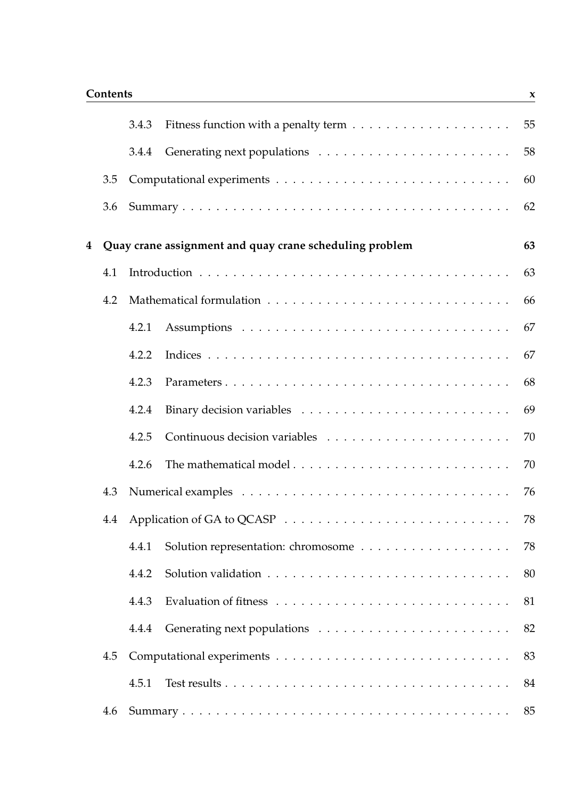|   |     | 3.4.3 |                                                         | 55 |
|---|-----|-------|---------------------------------------------------------|----|
|   |     | 3.4.4 |                                                         | 58 |
|   | 3.5 |       |                                                         | 60 |
|   | 3.6 |       |                                                         | 62 |
| 4 |     |       | Quay crane assignment and quay crane scheduling problem | 63 |
|   | 4.1 |       |                                                         | 63 |
|   | 4.2 |       |                                                         | 66 |
|   |     | 4.2.1 |                                                         | 67 |
|   |     | 4.2.2 |                                                         | 67 |
|   |     | 4.2.3 |                                                         | 68 |
|   |     | 4.2.4 |                                                         | 69 |
|   |     | 4.2.5 |                                                         | 70 |
|   |     | 4.2.6 | The mathematical model                                  | 70 |
|   | 4.3 |       |                                                         | 76 |
|   | 4.4 |       |                                                         | 78 |
|   |     | 4.4.1 |                                                         | 78 |
|   |     | 4.4.2 |                                                         | 80 |
|   |     | 4.4.3 |                                                         | 81 |
|   |     | 4.4.4 |                                                         | 82 |
|   | 4.5 |       |                                                         | 83 |
|   |     | 4.5.1 |                                                         | 84 |
|   | 4.6 |       |                                                         | 85 |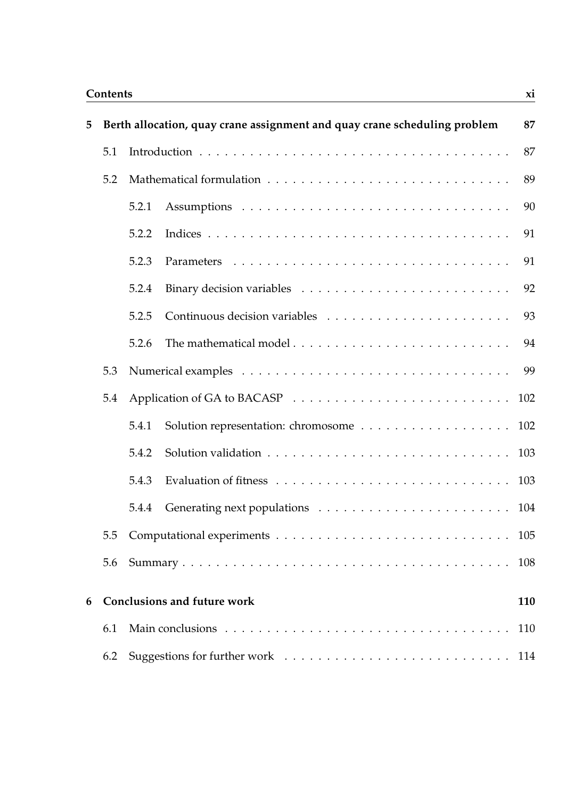#### **Contents xi**

| 5 |     |       | Berth allocation, quay crane assignment and quay crane scheduling problem | 87  |
|---|-----|-------|---------------------------------------------------------------------------|-----|
|   | 5.1 |       |                                                                           | 87  |
|   | 5.2 |       |                                                                           | 89  |
|   |     | 5.2.1 |                                                                           | 90  |
|   |     | 5.2.2 |                                                                           | 91  |
|   |     | 5.2.3 |                                                                           | 91  |
|   |     | 5.2.4 |                                                                           | 92  |
|   |     | 5.2.5 |                                                                           | 93  |
|   |     | 5.2.6 |                                                                           | 94  |
|   | 5.3 |       |                                                                           | 99  |
|   | 5.4 |       |                                                                           | 102 |
|   |     | 5.4.1 | Solution representation: chromosome 102                                   |     |
|   |     | 5.4.2 |                                                                           | 103 |
|   |     | 5.4.3 |                                                                           | 103 |
|   |     | 5.4.4 |                                                                           | 104 |
|   |     |       |                                                                           | 105 |
|   | 5.6 |       |                                                                           | 108 |
| 6 |     |       | <b>Conclusions and future work</b>                                        | 110 |
|   |     |       |                                                                           |     |
|   | 6.1 |       |                                                                           | 110 |
|   | 6.2 |       |                                                                           |     |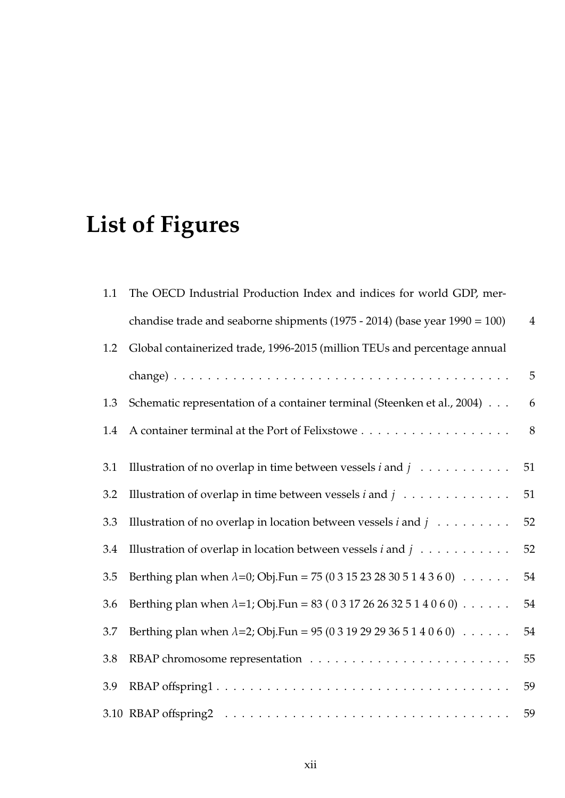# **List of Figures**

| 1.1 | The OECD Industrial Production Index and indices for world GDP, mer-                          |                |
|-----|-----------------------------------------------------------------------------------------------|----------------|
|     | chandise trade and seaborne shipments $(1975 - 2014)$ (base year $1990 = 100$ )               | $\overline{4}$ |
| 1.2 | Global containerized trade, 1996-2015 (million TEUs and percentage annual                     |                |
|     |                                                                                               | 5              |
| 1.3 | Schematic representation of a container terminal (Steenken et al., 2004)                      | 6              |
| 1.4 |                                                                                               | 8              |
| 3.1 | Illustration of no overlap in time between vessels $i$ and $j$                                | 51             |
| 3.2 | Illustration of overlap in time between vessels $i$ and $j$                                   | 51             |
| 3.3 | Illustration of no overlap in location between vessels $i$ and $j$                            | 52             |
| 3.4 | Illustration of overlap in location between vessels $i$ and $j$                               | 52             |
| 3.5 | Berthing plan when $\lambda = 0$ ; Obj.Fun = 75 (0 3 15 23 28 30 5 1 4 3 6 0) $\ldots \ldots$ | 54             |
| 3.6 | Berthing plan when $\lambda = 1$ ; Obj.Fun = 83 (0317262632514060) $\ldots \ldots$            | 54             |
| 3.7 | Berthing plan when $\lambda = 2$ ; Obj.Fun = 95 (0 3 19 29 29 36 5 1 4 0 6 0) $\ldots \ldots$ | 54             |
| 3.8 |                                                                                               | 55             |
| 3.9 |                                                                                               | 59             |
|     |                                                                                               | 59             |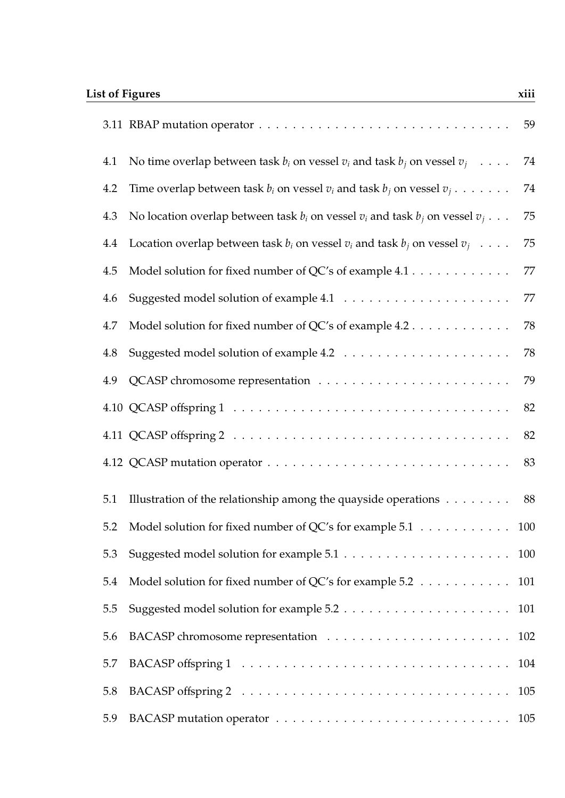|     |                                                                                              | 59  |
|-----|----------------------------------------------------------------------------------------------|-----|
| 4.1 | No time overlap between task $b_i$ on vessel $v_i$ and task $b_j$ on vessel $v_j$            | 74  |
| 4.2 | Time overlap between task $b_i$ on vessel $v_i$ and task $b_j$ on vessel $v_j \ldots \ldots$ | 74  |
| 4.3 | No location overlap between task $b_i$ on vessel $v_i$ and task $b_j$ on vessel $v_j$        | 75  |
| 4.4 | Location overlap between task $b_i$ on vessel $v_i$ and task $b_j$ on vessel $v_j$           | 75  |
| 4.5 | Model solution for fixed number of QC's of example 4.1                                       | 77  |
| 4.6 |                                                                                              | 77  |
| 4.7 | Model solution for fixed number of QC's of example 4.2                                       | 78  |
| 4.8 |                                                                                              | 78  |
| 4.9 |                                                                                              | 79  |
|     |                                                                                              | 82  |
|     |                                                                                              | 82  |
|     |                                                                                              | 83  |
| 5.1 | Illustration of the relationship among the quayside operations                               | 88  |
| 5.2 | Model solution for fixed number of QC's for example 5.1 100                                  |     |
| 5.3 |                                                                                              | 100 |
| 5.4 | Model solution for fixed number of QC's for example 5.2                                      | 101 |
| 5.5 |                                                                                              | 101 |
| 5.6 |                                                                                              | 102 |
| 5.7 |                                                                                              | 104 |
| 5.8 |                                                                                              | 105 |
| 5.9 |                                                                                              | 105 |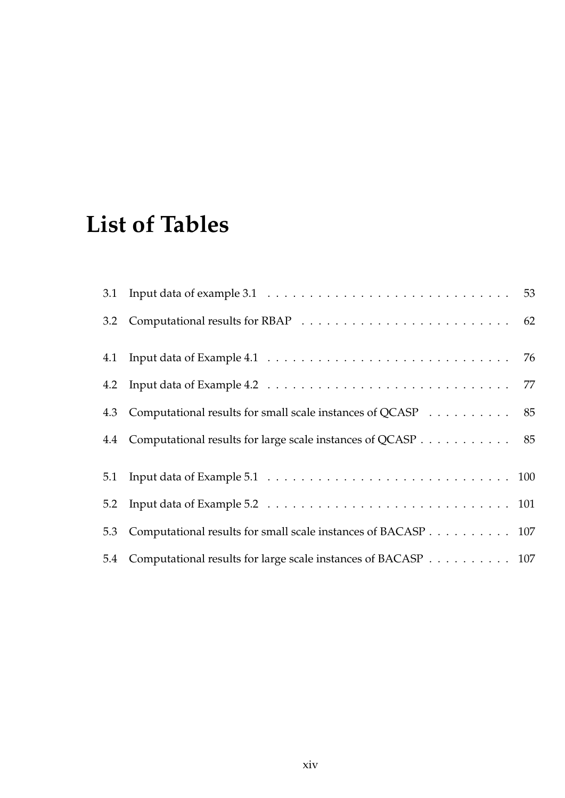## **List of Tables**

| 4.3 Computational results for small scale instances of QCASP 85   |  |
|-------------------------------------------------------------------|--|
| 4.4 Computational results for large scale instances of QCASP 85   |  |
|                                                                   |  |
|                                                                   |  |
| 5.3 Computational results for small scale instances of BACASP 107 |  |
| 5.4 Computational results for large scale instances of BACASP 107 |  |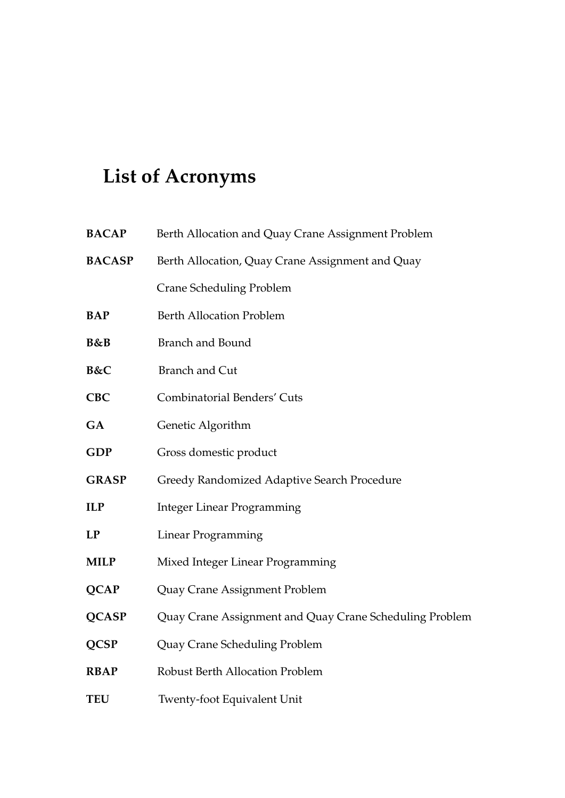## **List of Acronyms**

| <b>BACAP</b>   | Berth Allocation and Quay Crane Assignment Problem      |
|----------------|---------------------------------------------------------|
| <b>BACASP</b>  | Berth Allocation, Quay Crane Assignment and Quay        |
|                | <b>Crane Scheduling Problem</b>                         |
| <b>BAP</b>     | <b>Berth Allocation Problem</b>                         |
| <b>B&amp;B</b> | <b>Branch and Bound</b>                                 |
| B&C            | <b>Branch and Cut</b>                                   |
| <b>CBC</b>     | <b>Combinatorial Benders' Cuts</b>                      |
| <b>GA</b>      | Genetic Algorithm                                       |
| <b>GDP</b>     | Gross domestic product                                  |
| <b>GRASP</b>   | Greedy Randomized Adaptive Search Procedure             |
| <b>ILP</b>     | <b>Integer Linear Programming</b>                       |
| LP             | <b>Linear Programming</b>                               |
| <b>MILP</b>    | Mixed Integer Linear Programming                        |
| <b>QCAP</b>    | Quay Crane Assignment Problem                           |
| <b>QCASP</b>   | Quay Crane Assignment and Quay Crane Scheduling Problem |
| <b>QCSP</b>    | Quay Crane Scheduling Problem                           |
| <b>RBAP</b>    | <b>Robust Berth Allocation Problem</b>                  |
| <b>TEU</b>     | <b>Twenty-foot Equivalent Unit</b>                      |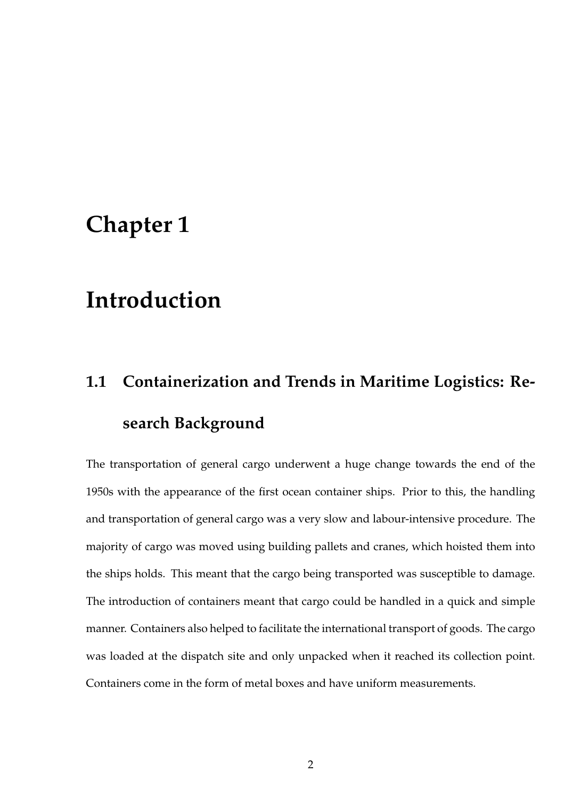#### **Chapter 1**

## **Introduction**

# **1.1 Containerization and Trends in Maritime Logistics: Research Background**

The transportation of general cargo underwent a huge change towards the end of the 1950s with the appearance of the first ocean container ships. Prior to this, the handling and transportation of general cargo was a very slow and labour-intensive procedure. The majority of cargo was moved using building pallets and cranes, which hoisted them into the ships holds. This meant that the cargo being transported was susceptible to damage. The introduction of containers meant that cargo could be handled in a quick and simple manner. Containers also helped to facilitate the international transport of goods. The cargo was loaded at the dispatch site and only unpacked when it reached its collection point. Containers come in the form of metal boxes and have uniform measurements.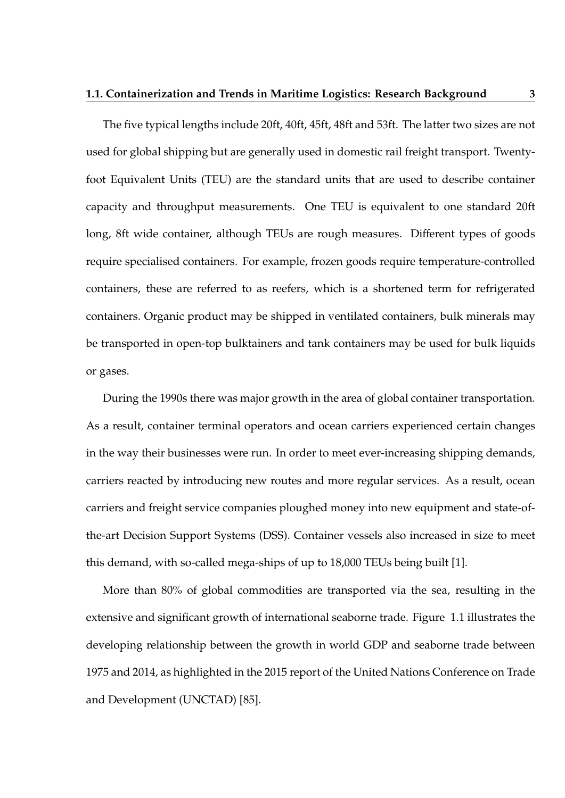The five typical lengths include 20ft, 40ft, 45ft, 48ft and 53ft. The latter two sizes are not used for global shipping but are generally used in domestic rail freight transport. Twentyfoot Equivalent Units (TEU) are the standard units that are used to describe container capacity and throughput measurements. One TEU is equivalent to one standard 20ft long, 8ft wide container, although TEUs are rough measures. Different types of goods require specialised containers. For example, frozen goods require temperature-controlled containers, these are referred to as reefers, which is a shortened term for refrigerated containers. Organic product may be shipped in ventilated containers, bulk minerals may be transported in open-top bulktainers and tank containers may be used for bulk liquids or gases.

During the 1990s there was major growth in the area of global container transportation. As a result, container terminal operators and ocean carriers experienced certain changes in the way their businesses were run. In order to meet ever-increasing shipping demands, carriers reacted by introducing new routes and more regular services. As a result, ocean carriers and freight service companies ploughed money into new equipment and state-ofthe-art Decision Support Systems (DSS). Container vessels also increased in size to meet this demand, with so-called mega-ships of up to 18,000 TEUs being built [1].

More than 80% of global commodities are transported via the sea, resulting in the extensive and significant growth of international seaborne trade. Figure 1.1 illustrates the developing relationship between the growth in world GDP and seaborne trade between 1975 and 2014, as highlighted in the 2015 report of the United Nations Conference on Trade and Development (UNCTAD) [85].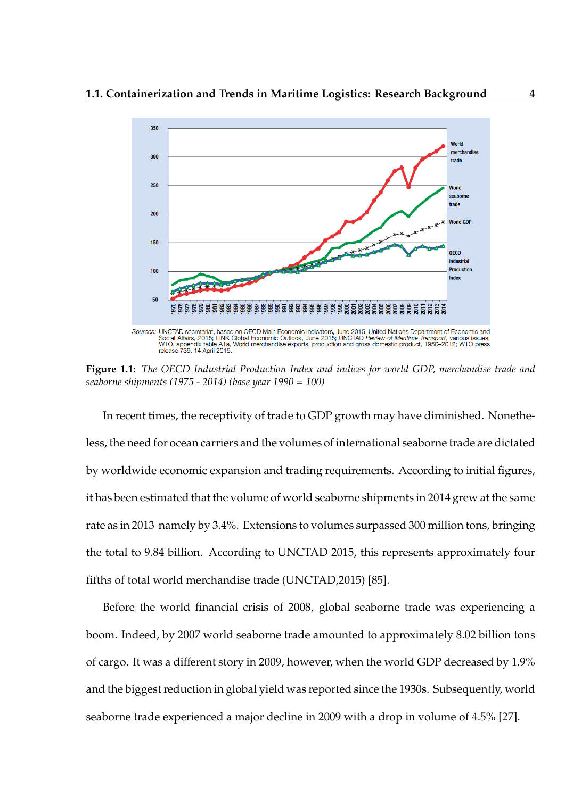

**Figure 1.1:** *The OECD Industrial Production Index and indices for world GDP, merchandise trade and seaborne shipments (1975 - 2014) (base year 1990* = *100)*

In recent times, the receptivity of trade to GDP growth may have diminished. Nonetheless, the need for ocean carriers and the volumes of international seaborne trade are dictated by worldwide economic expansion and trading requirements. According to initial figures, it has been estimated that the volume of world seaborne shipments in 2014 grew at the same rate as in 2013 namely by 3.4%. Extensions to volumes surpassed 300 million tons, bringing the total to 9.84 billion. According to UNCTAD 2015, this represents approximately four fifths of total world merchandise trade (UNCTAD,2015) [85].

Before the world financial crisis of 2008, global seaborne trade was experiencing a boom. Indeed, by 2007 world seaborne trade amounted to approximately 8.02 billion tons of cargo. It was a different story in 2009, however, when the world GDP decreased by 1.9% and the biggest reduction in global yield was reported since the 1930s. Subsequently, world seaborne trade experienced a major decline in 2009 with a drop in volume of 4.5% [27].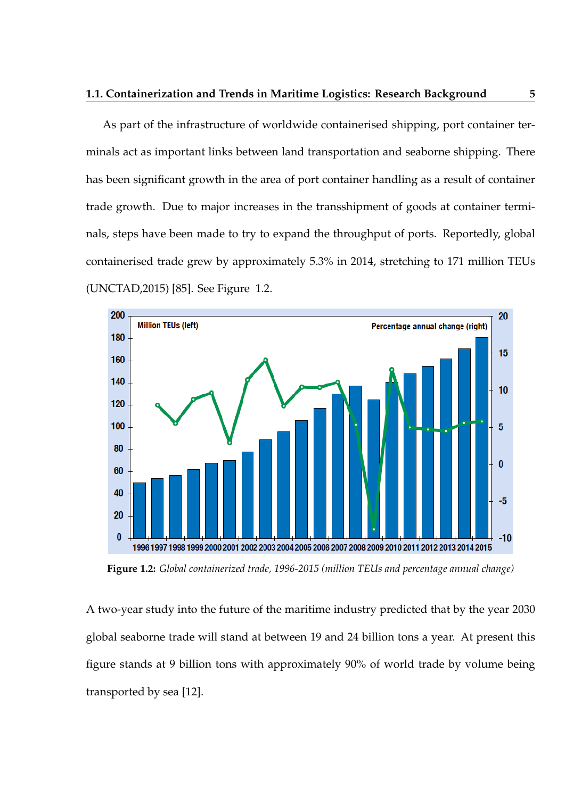As part of the infrastructure of worldwide containerised shipping, port container terminals act as important links between land transportation and seaborne shipping. There has been significant growth in the area of port container handling as a result of container trade growth. Due to major increases in the transshipment of goods at container terminals, steps have been made to try to expand the throughput of ports. Reportedly, global containerised trade grew by approximately 5.3% in 2014, stretching to 171 million TEUs (UNCTAD,2015) [85]. See Figure 1.2.



**Figure 1.2:** *Global containerized trade, 1996-2015 (million TEUs and percentage annual change)*

A two-year study into the future of the maritime industry predicted that by the year 2030 global seaborne trade will stand at between 19 and 24 billion tons a year. At present this figure stands at 9 billion tons with approximately 90% of world trade by volume being transported by sea [12].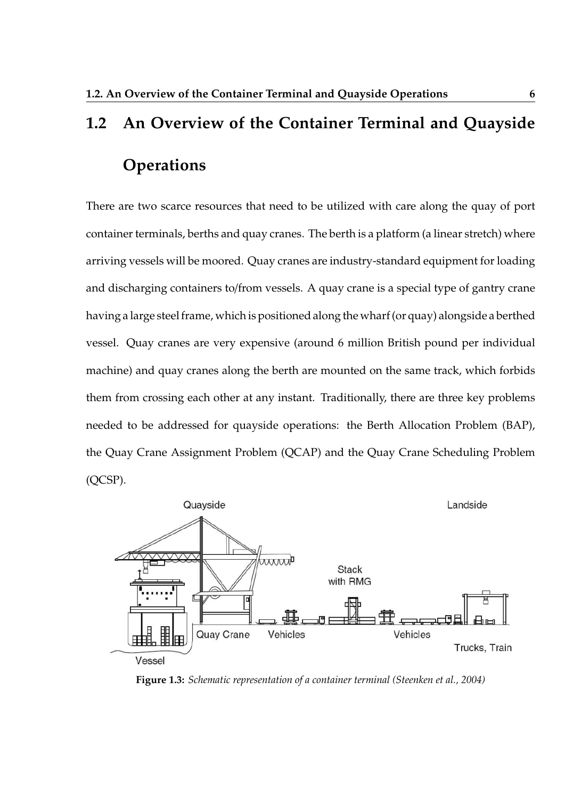# **1.2 An Overview of the Container Terminal and Quayside Operations**

There are two scarce resources that need to be utilized with care along the quay of port container terminals, berths and quay cranes. The berth is a platform (a linear stretch) where arriving vessels will be moored. Quay cranes are industry-standard equipment for loading and discharging containers to/from vessels. A quay crane is a special type of gantry crane having a large steel frame, which is positioned along the wharf (or quay) alongside a berthed vessel. Quay cranes are very expensive (around 6 million British pound per individual machine) and quay cranes along the berth are mounted on the same track, which forbids them from crossing each other at any instant. Traditionally, there are three key problems needed to be addressed for quayside operations: the Berth Allocation Problem (BAP), the Quay Crane Assignment Problem (QCAP) and the Quay Crane Scheduling Problem (QCSP).



**Figure 1.3:** *Schematic representation of a container terminal (Steenken et al., 2004)*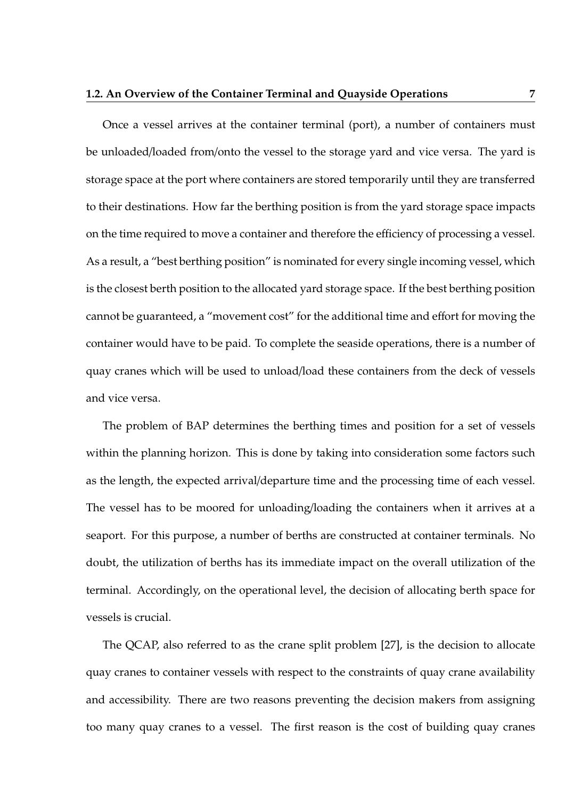Once a vessel arrives at the container terminal (port), a number of containers must be unloaded/loaded from/onto the vessel to the storage yard and vice versa. The yard is storage space at the port where containers are stored temporarily until they are transferred to their destinations. How far the berthing position is from the yard storage space impacts on the time required to move a container and therefore the efficiency of processing a vessel. As a result, a "best berthing position" is nominated for every single incoming vessel, which is the closest berth position to the allocated yard storage space. If the best berthing position cannot be guaranteed, a "movement cost" for the additional time and effort for moving the container would have to be paid. To complete the seaside operations, there is a number of quay cranes which will be used to unload/load these containers from the deck of vessels and vice versa.

The problem of BAP determines the berthing times and position for a set of vessels within the planning horizon. This is done by taking into consideration some factors such as the length, the expected arrival/departure time and the processing time of each vessel. The vessel has to be moored for unloading/loading the containers when it arrives at a seaport. For this purpose, a number of berths are constructed at container terminals. No doubt, the utilization of berths has its immediate impact on the overall utilization of the terminal. Accordingly, on the operational level, the decision of allocating berth space for vessels is crucial.

The QCAP, also referred to as the crane split problem [27], is the decision to allocate quay cranes to container vessels with respect to the constraints of quay crane availability and accessibility. There are two reasons preventing the decision makers from assigning too many quay cranes to a vessel. The first reason is the cost of building quay cranes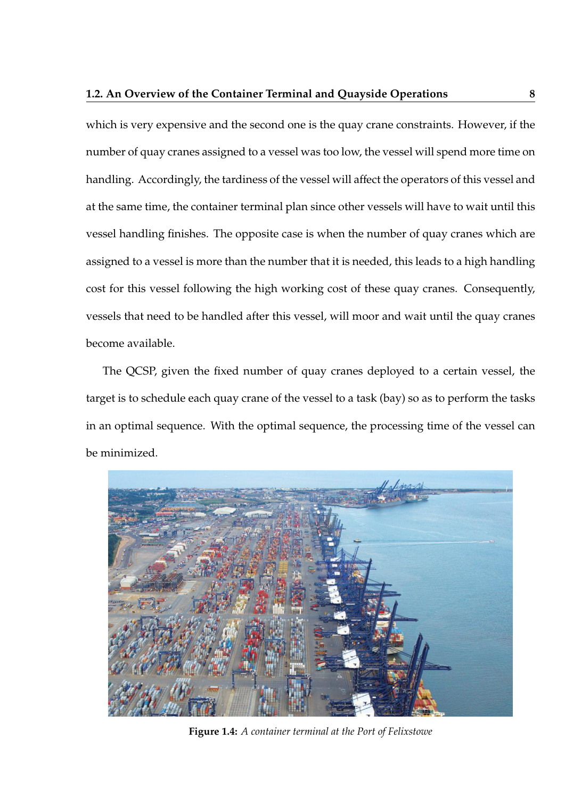which is very expensive and the second one is the quay crane constraints. However, if the number of quay cranes assigned to a vessel was too low, the vessel will spend more time on handling. Accordingly, the tardiness of the vessel will affect the operators of this vessel and at the same time, the container terminal plan since other vessels will have to wait until this vessel handling finishes. The opposite case is when the number of quay cranes which are assigned to a vessel is more than the number that it is needed, this leads to a high handling cost for this vessel following the high working cost of these quay cranes. Consequently, vessels that need to be handled after this vessel, will moor and wait until the quay cranes become available.

The QCSP, given the fixed number of quay cranes deployed to a certain vessel, the target is to schedule each quay crane of the vessel to a task (bay) so as to perform the tasks in an optimal sequence. With the optimal sequence, the processing time of the vessel can be minimized.



**Figure 1.4:** *A container terminal at the Port of Felixstowe*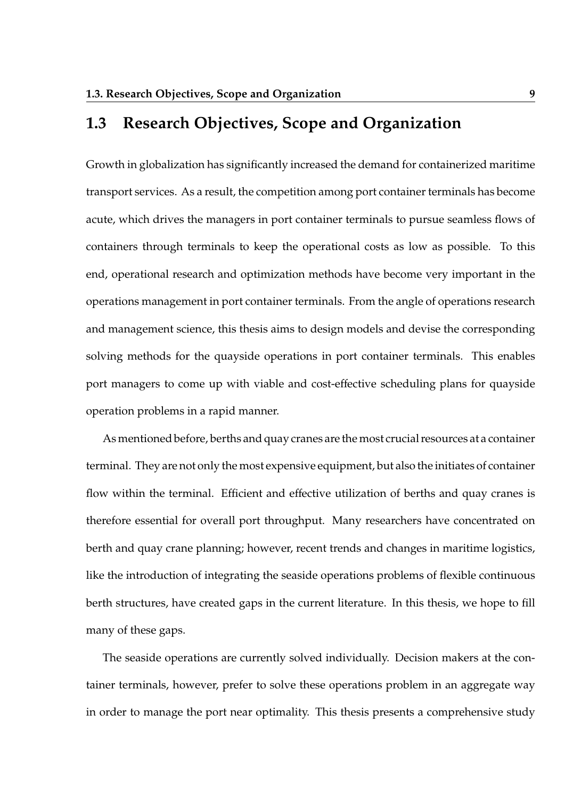#### **1.3 Research Objectives, Scope and Organization**

Growth in globalization has significantly increased the demand for containerized maritime transport services. As a result, the competition among port container terminals has become acute, which drives the managers in port container terminals to pursue seamless flows of containers through terminals to keep the operational costs as low as possible. To this end, operational research and optimization methods have become very important in the operations management in port container terminals. From the angle of operations research and management science, this thesis aims to design models and devise the corresponding solving methods for the quayside operations in port container terminals. This enables port managers to come up with viable and cost-effective scheduling plans for quayside operation problems in a rapid manner.

As mentioned before, berths and quay cranes are the most crucial resources at a container terminal. They are not only the most expensive equipment, but also the initiates of container flow within the terminal. Efficient and effective utilization of berths and quay cranes is therefore essential for overall port throughput. Many researchers have concentrated on berth and quay crane planning; however, recent trends and changes in maritime logistics, like the introduction of integrating the seaside operations problems of flexible continuous berth structures, have created gaps in the current literature. In this thesis, we hope to fill many of these gaps.

The seaside operations are currently solved individually. Decision makers at the container terminals, however, prefer to solve these operations problem in an aggregate way in order to manage the port near optimality. This thesis presents a comprehensive study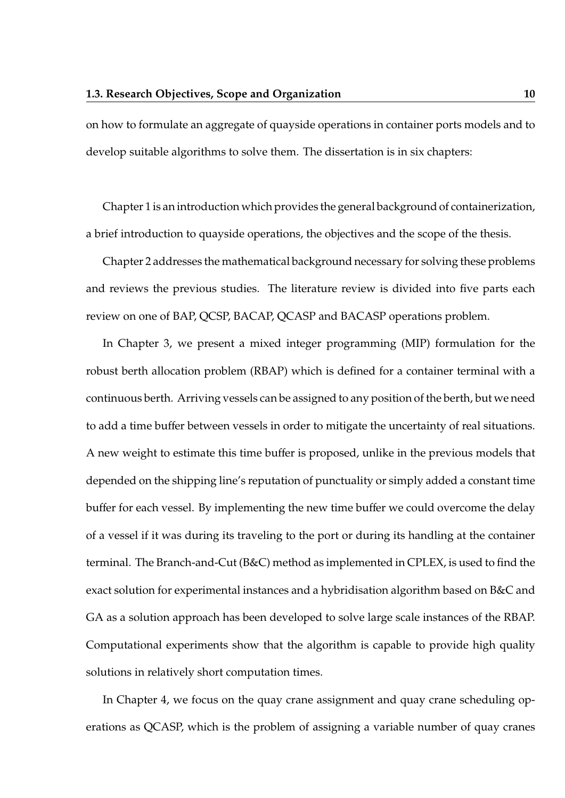on how to formulate an aggregate of quayside operations in container ports models and to develop suitable algorithms to solve them. The dissertation is in six chapters:

Chapter 1 is an introduction which provides the general background of containerization, a brief introduction to quayside operations, the objectives and the scope of the thesis.

Chapter 2 addresses the mathematical background necessary for solving these problems and reviews the previous studies. The literature review is divided into five parts each review on one of BAP, QCSP, BACAP, QCASP and BACASP operations problem.

In Chapter 3, we present a mixed integer programming (MIP) formulation for the robust berth allocation problem (RBAP) which is defined for a container terminal with a continuous berth. Arriving vessels can be assigned to any position of the berth, but we need to add a time buffer between vessels in order to mitigate the uncertainty of real situations. A new weight to estimate this time buffer is proposed, unlike in the previous models that depended on the shipping line's reputation of punctuality or simply added a constant time buffer for each vessel. By implementing the new time buffer we could overcome the delay of a vessel if it was during its traveling to the port or during its handling at the container terminal. The Branch-and-Cut (B&C) method as implemented in CPLEX, is used to find the exact solution for experimental instances and a hybridisation algorithm based on B&C and GA as a solution approach has been developed to solve large scale instances of the RBAP. Computational experiments show that the algorithm is capable to provide high quality solutions in relatively short computation times.

In Chapter 4, we focus on the quay crane assignment and quay crane scheduling operations as QCASP, which is the problem of assigning a variable number of quay cranes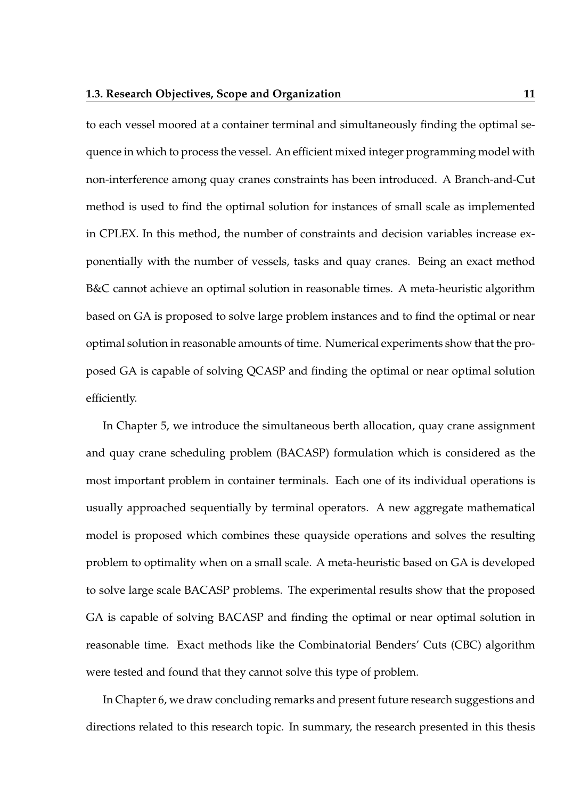to each vessel moored at a container terminal and simultaneously finding the optimal sequence in which to process the vessel. An efficient mixed integer programming model with non-interference among quay cranes constraints has been introduced. A Branch-and-Cut method is used to find the optimal solution for instances of small scale as implemented in CPLEX. In this method, the number of constraints and decision variables increase exponentially with the number of vessels, tasks and quay cranes. Being an exact method B&C cannot achieve an optimal solution in reasonable times. A meta-heuristic algorithm based on GA is proposed to solve large problem instances and to find the optimal or near optimal solution in reasonable amounts of time. Numerical experiments show that the proposed GA is capable of solving QCASP and finding the optimal or near optimal solution efficiently.

In Chapter 5, we introduce the simultaneous berth allocation, quay crane assignment and quay crane scheduling problem (BACASP) formulation which is considered as the most important problem in container terminals. Each one of its individual operations is usually approached sequentially by terminal operators. A new aggregate mathematical model is proposed which combines these quayside operations and solves the resulting problem to optimality when on a small scale. A meta-heuristic based on GA is developed to solve large scale BACASP problems. The experimental results show that the proposed GA is capable of solving BACASP and finding the optimal or near optimal solution in reasonable time. Exact methods like the Combinatorial Benders' Cuts (CBC) algorithm were tested and found that they cannot solve this type of problem.

In Chapter 6, we draw concluding remarks and present future research suggestions and directions related to this research topic. In summary, the research presented in this thesis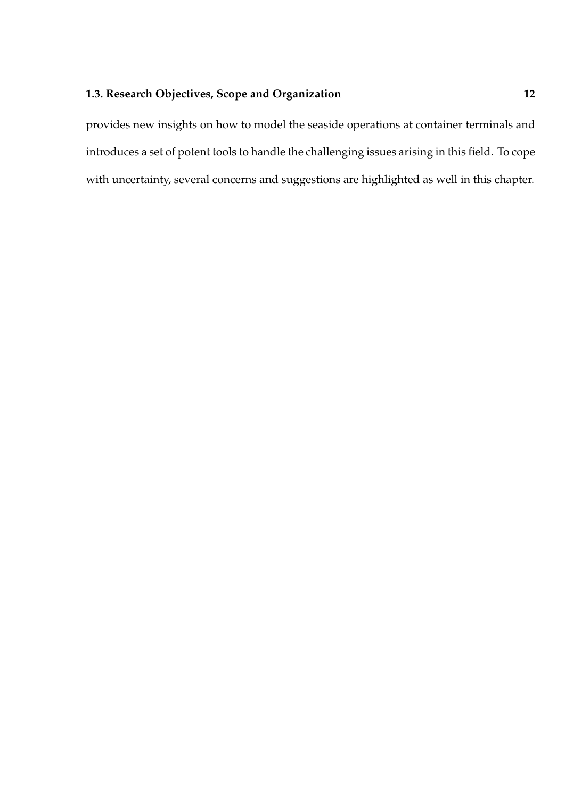provides new insights on how to model the seaside operations at container terminals and introduces a set of potent tools to handle the challenging issues arising in this field. To cope with uncertainty, several concerns and suggestions are highlighted as well in this chapter.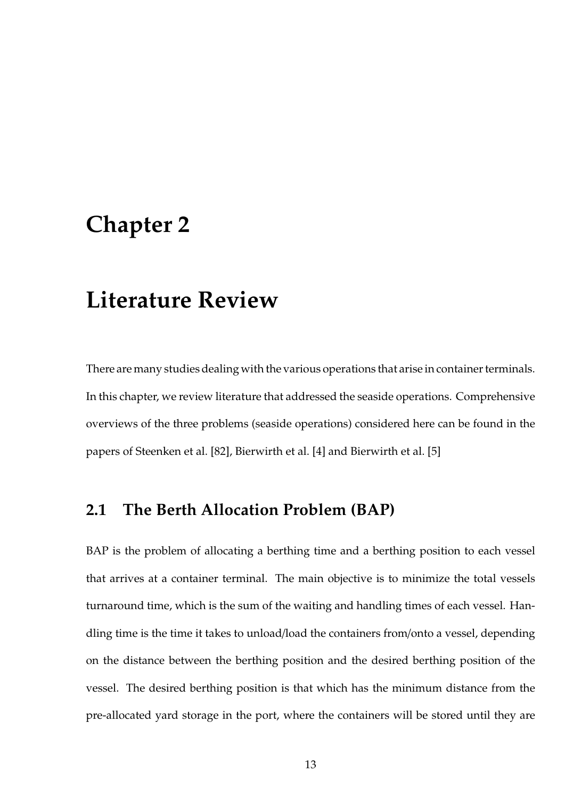### **Chapter 2**

### **Literature Review**

There are many studies dealing with the various operations that arise in container terminals. In this chapter, we review literature that addressed the seaside operations. Comprehensive overviews of the three problems (seaside operations) considered here can be found in the papers of Steenken et al. [82], Bierwirth et al. [4] and Bierwirth et al. [5]

#### **2.1 The Berth Allocation Problem (BAP)**

BAP is the problem of allocating a berthing time and a berthing position to each vessel that arrives at a container terminal. The main objective is to minimize the total vessels turnaround time, which is the sum of the waiting and handling times of each vessel. Handling time is the time it takes to unload/load the containers from/onto a vessel, depending on the distance between the berthing position and the desired berthing position of the vessel. The desired berthing position is that which has the minimum distance from the pre-allocated yard storage in the port, where the containers will be stored until they are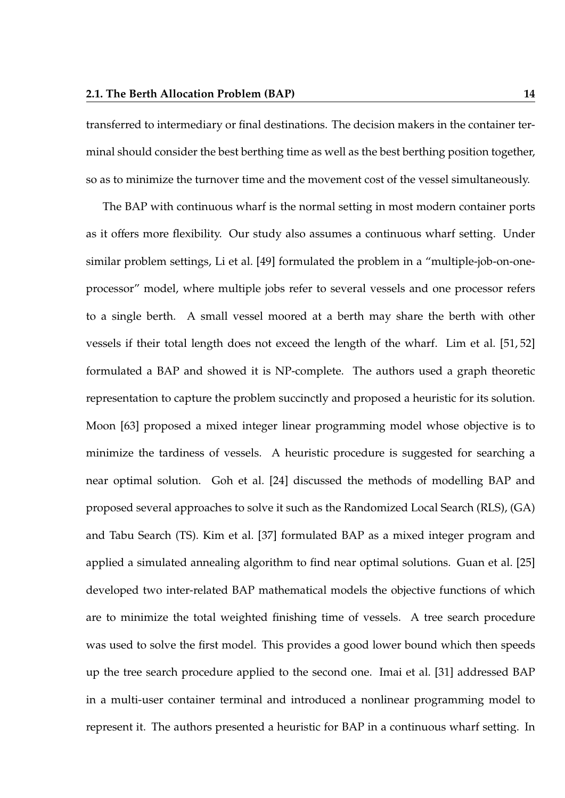transferred to intermediary or final destinations. The decision makers in the container terminal should consider the best berthing time as well as the best berthing position together, so as to minimize the turnover time and the movement cost of the vessel simultaneously.

The BAP with continuous wharf is the normal setting in most modern container ports as it offers more flexibility. Our study also assumes a continuous wharf setting. Under similar problem settings, Li et al. [49] formulated the problem in a "multiple-job-on-oneprocessor" model, where multiple jobs refer to several vessels and one processor refers to a single berth. A small vessel moored at a berth may share the berth with other vessels if their total length does not exceed the length of the wharf. Lim et al. [51, 52] formulated a BAP and showed it is NP-complete. The authors used a graph theoretic representation to capture the problem succinctly and proposed a heuristic for its solution. Moon [63] proposed a mixed integer linear programming model whose objective is to minimize the tardiness of vessels. A heuristic procedure is suggested for searching a near optimal solution. Goh et al. [24] discussed the methods of modelling BAP and proposed several approaches to solve it such as the Randomized Local Search (RLS), (GA) and Tabu Search (TS). Kim et al. [37] formulated BAP as a mixed integer program and applied a simulated annealing algorithm to find near optimal solutions. Guan et al. [25] developed two inter-related BAP mathematical models the objective functions of which are to minimize the total weighted finishing time of vessels. A tree search procedure was used to solve the first model. This provides a good lower bound which then speeds up the tree search procedure applied to the second one. Imai et al. [31] addressed BAP in a multi-user container terminal and introduced a nonlinear programming model to represent it. The authors presented a heuristic for BAP in a continuous wharf setting. In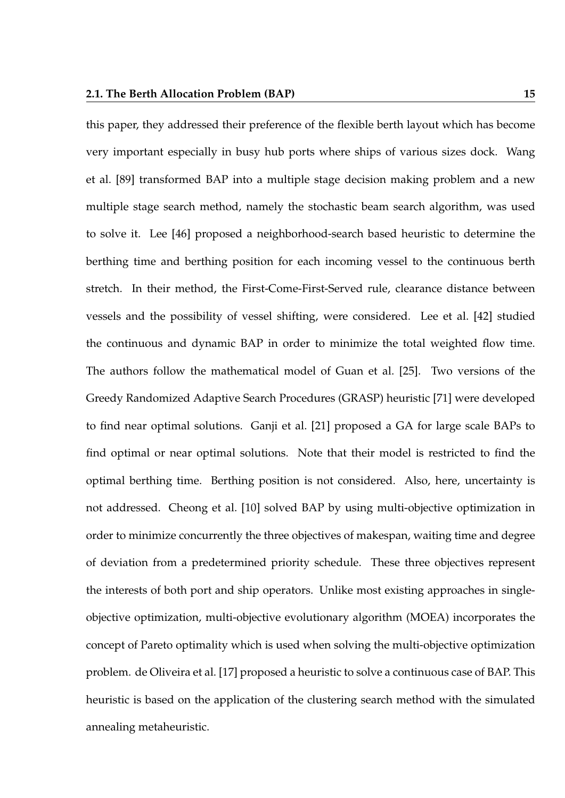this paper, they addressed their preference of the flexible berth layout which has become very important especially in busy hub ports where ships of various sizes dock. Wang et al. [89] transformed BAP into a multiple stage decision making problem and a new multiple stage search method, namely the stochastic beam search algorithm, was used to solve it. Lee [46] proposed a neighborhood-search based heuristic to determine the berthing time and berthing position for each incoming vessel to the continuous berth stretch. In their method, the First-Come-First-Served rule, clearance distance between vessels and the possibility of vessel shifting, were considered. Lee et al. [42] studied the continuous and dynamic BAP in order to minimize the total weighted flow time. The authors follow the mathematical model of Guan et al. [25]. Two versions of the Greedy Randomized Adaptive Search Procedures (GRASP) heuristic [71] were developed to find near optimal solutions. Ganji et al. [21] proposed a GA for large scale BAPs to find optimal or near optimal solutions. Note that their model is restricted to find the optimal berthing time. Berthing position is not considered. Also, here, uncertainty is not addressed. Cheong et al. [10] solved BAP by using multi-objective optimization in order to minimize concurrently the three objectives of makespan, waiting time and degree of deviation from a predetermined priority schedule. These three objectives represent the interests of both port and ship operators. Unlike most existing approaches in singleobjective optimization, multi-objective evolutionary algorithm (MOEA) incorporates the concept of Pareto optimality which is used when solving the multi-objective optimization problem. de Oliveira et al. [17] proposed a heuristic to solve a continuous case of BAP. This heuristic is based on the application of the clustering search method with the simulated annealing metaheuristic.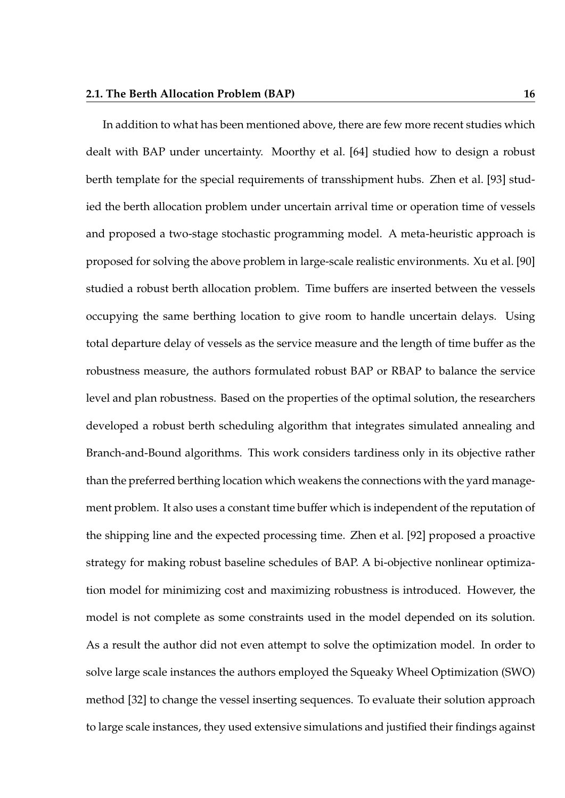In addition to what has been mentioned above, there are few more recent studies which dealt with BAP under uncertainty. Moorthy et al. [64] studied how to design a robust berth template for the special requirements of transshipment hubs. Zhen et al. [93] studied the berth allocation problem under uncertain arrival time or operation time of vessels and proposed a two-stage stochastic programming model. A meta-heuristic approach is proposed for solving the above problem in large-scale realistic environments. Xu et al. [90] studied a robust berth allocation problem. Time buffers are inserted between the vessels occupying the same berthing location to give room to handle uncertain delays. Using total departure delay of vessels as the service measure and the length of time buffer as the robustness measure, the authors formulated robust BAP or RBAP to balance the service level and plan robustness. Based on the properties of the optimal solution, the researchers developed a robust berth scheduling algorithm that integrates simulated annealing and Branch-and-Bound algorithms. This work considers tardiness only in its objective rather than the preferred berthing location which weakens the connections with the yard management problem. It also uses a constant time buffer which is independent of the reputation of the shipping line and the expected processing time. Zhen et al. [92] proposed a proactive strategy for making robust baseline schedules of BAP. A bi-objective nonlinear optimization model for minimizing cost and maximizing robustness is introduced. However, the model is not complete as some constraints used in the model depended on its solution. As a result the author did not even attempt to solve the optimization model. In order to solve large scale instances the authors employed the Squeaky Wheel Optimization (SWO) method [32] to change the vessel inserting sequences. To evaluate their solution approach to large scale instances, they used extensive simulations and justified their findings against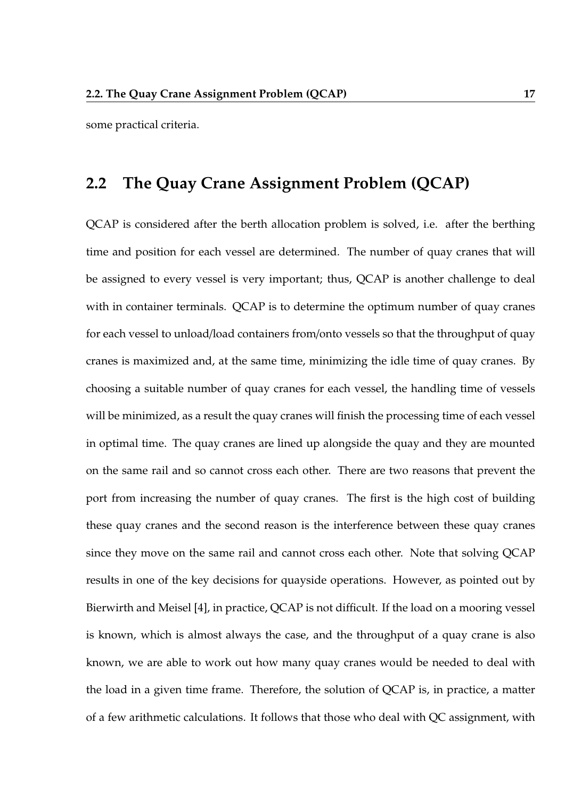some practical criteria.

#### **2.2 The Quay Crane Assignment Problem (QCAP)**

QCAP is considered after the berth allocation problem is solved, i.e. after the berthing time and position for each vessel are determined. The number of quay cranes that will be assigned to every vessel is very important; thus, QCAP is another challenge to deal with in container terminals. QCAP is to determine the optimum number of quay cranes for each vessel to unload/load containers from/onto vessels so that the throughput of quay cranes is maximized and, at the same time, minimizing the idle time of quay cranes. By choosing a suitable number of quay cranes for each vessel, the handling time of vessels will be minimized, as a result the quay cranes will finish the processing time of each vessel in optimal time. The quay cranes are lined up alongside the quay and they are mounted on the same rail and so cannot cross each other. There are two reasons that prevent the port from increasing the number of quay cranes. The first is the high cost of building these quay cranes and the second reason is the interference between these quay cranes since they move on the same rail and cannot cross each other. Note that solving QCAP results in one of the key decisions for quayside operations. However, as pointed out by Bierwirth and Meisel [4], in practice, QCAP is not difficult. If the load on a mooring vessel is known, which is almost always the case, and the throughput of a quay crane is also known, we are able to work out how many quay cranes would be needed to deal with the load in a given time frame. Therefore, the solution of QCAP is, in practice, a matter of a few arithmetic calculations. It follows that those who deal with QC assignment, with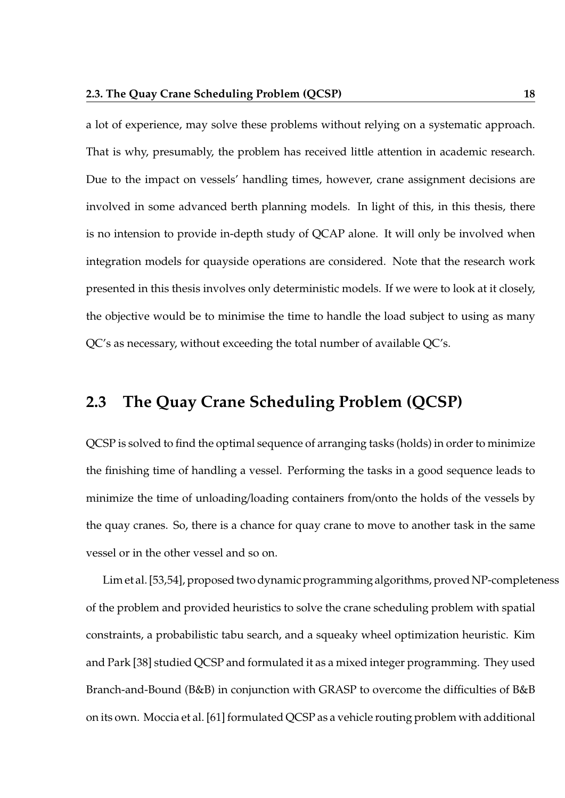a lot of experience, may solve these problems without relying on a systematic approach. That is why, presumably, the problem has received little attention in academic research. Due to the impact on vessels' handling times, however, crane assignment decisions are involved in some advanced berth planning models. In light of this, in this thesis, there is no intension to provide in-depth study of QCAP alone. It will only be involved when integration models for quayside operations are considered. Note that the research work presented in this thesis involves only deterministic models. If we were to look at it closely, the objective would be to minimise the time to handle the load subject to using as many QC's as necessary, without exceeding the total number of available QC's.

#### **2.3 The Quay Crane Scheduling Problem (QCSP)**

QCSP is solved to find the optimal sequence of arranging tasks (holds) in order to minimize the finishing time of handling a vessel. Performing the tasks in a good sequence leads to minimize the time of unloading/loading containers from/onto the holds of the vessels by the quay cranes. So, there is a chance for quay crane to move to another task in the same vessel or in the other vessel and so on.

Lim et al. [53,54], proposed two dynamic programming algorithms, proved NP-completeness of the problem and provided heuristics to solve the crane scheduling problem with spatial constraints, a probabilistic tabu search, and a squeaky wheel optimization heuristic. Kim and Park [38] studied QCSP and formulated it as a mixed integer programming. They used Branch-and-Bound (B&B) in conjunction with GRASP to overcome the difficulties of B&B on its own. Moccia et al. [61] formulated QCSP as a vehicle routing problem with additional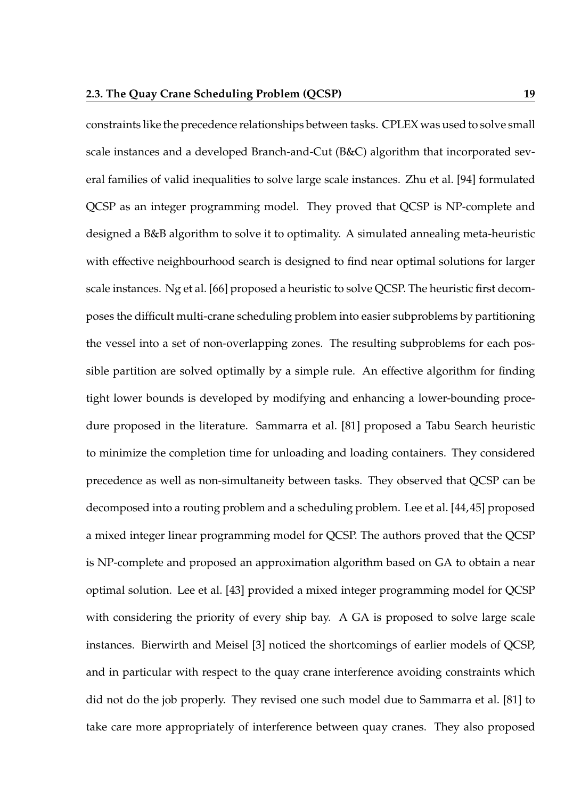constraints like the precedence relationships between tasks. CPLEX was used to solve small scale instances and a developed Branch-and-Cut (B&C) algorithm that incorporated several families of valid inequalities to solve large scale instances. Zhu et al. [94] formulated QCSP as an integer programming model. They proved that QCSP is NP-complete and designed a B&B algorithm to solve it to optimality. A simulated annealing meta-heuristic with effective neighbourhood search is designed to find near optimal solutions for larger scale instances. Ng et al. [66] proposed a heuristic to solve QCSP. The heuristic first decomposes the difficult multi-crane scheduling problem into easier subproblems by partitioning the vessel into a set of non-overlapping zones. The resulting subproblems for each possible partition are solved optimally by a simple rule. An effective algorithm for finding tight lower bounds is developed by modifying and enhancing a lower-bounding procedure proposed in the literature. Sammarra et al. [81] proposed a Tabu Search heuristic to minimize the completion time for unloading and loading containers. They considered precedence as well as non-simultaneity between tasks. They observed that QCSP can be decomposed into a routing problem and a scheduling problem. Lee et al. [44, 45] proposed a mixed integer linear programming model for QCSP. The authors proved that the QCSP is NP-complete and proposed an approximation algorithm based on GA to obtain a near optimal solution. Lee et al. [43] provided a mixed integer programming model for QCSP with considering the priority of every ship bay. A GA is proposed to solve large scale instances. Bierwirth and Meisel [3] noticed the shortcomings of earlier models of QCSP, and in particular with respect to the quay crane interference avoiding constraints which did not do the job properly. They revised one such model due to Sammarra et al. [81] to take care more appropriately of interference between quay cranes. They also proposed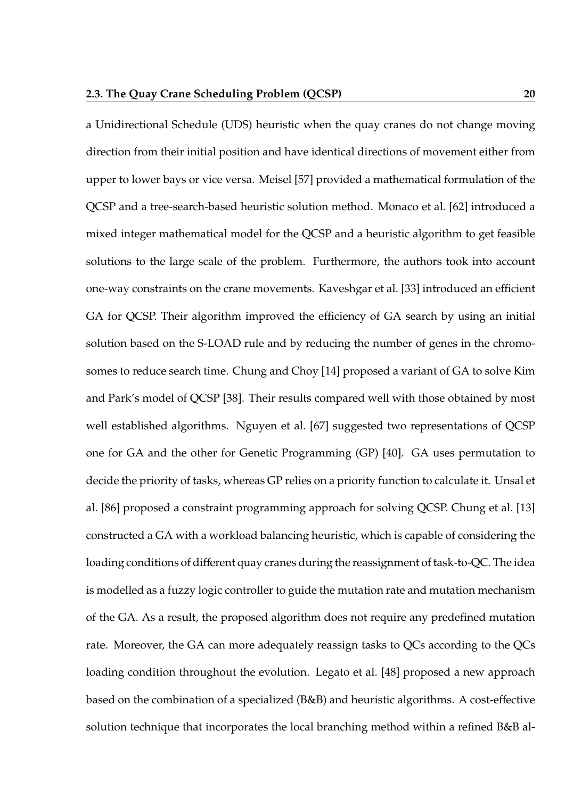a Unidirectional Schedule (UDS) heuristic when the quay cranes do not change moving direction from their initial position and have identical directions of movement either from upper to lower bays or vice versa. Meisel [57] provided a mathematical formulation of the QCSP and a tree-search-based heuristic solution method. Monaco et al. [62] introduced a mixed integer mathematical model for the QCSP and a heuristic algorithm to get feasible solutions to the large scale of the problem. Furthermore, the authors took into account one-way constraints on the crane movements. Kaveshgar et al. [33] introduced an efficient GA for QCSP. Their algorithm improved the efficiency of GA search by using an initial solution based on the S-LOAD rule and by reducing the number of genes in the chromosomes to reduce search time. Chung and Choy [14] proposed a variant of GA to solve Kim and Park's model of QCSP [38]. Their results compared well with those obtained by most well established algorithms. Nguyen et al. [67] suggested two representations of QCSP one for GA and the other for Genetic Programming (GP) [40]. GA uses permutation to decide the priority of tasks, whereas GP relies on a priority function to calculate it. Unsal et al. [86] proposed a constraint programming approach for solving QCSP. Chung et al. [13] constructed a GA with a workload balancing heuristic, which is capable of considering the loading conditions of different quay cranes during the reassignment of task-to-QC. The idea is modelled as a fuzzy logic controller to guide the mutation rate and mutation mechanism of the GA. As a result, the proposed algorithm does not require any predefined mutation rate. Moreover, the GA can more adequately reassign tasks to QCs according to the QCs loading condition throughout the evolution. Legato et al. [48] proposed a new approach based on the combination of a specialized (B&B) and heuristic algorithms. A cost-effective solution technique that incorporates the local branching method within a refined B&B al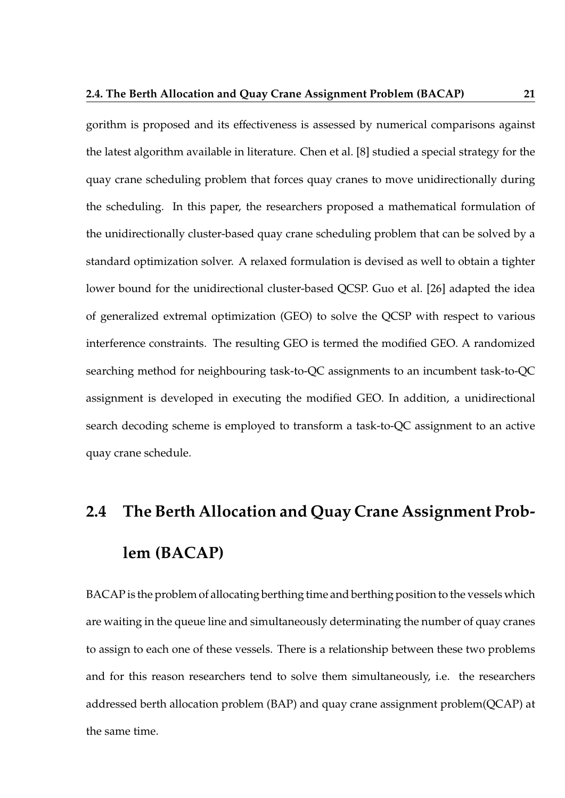gorithm is proposed and its effectiveness is assessed by numerical comparisons against the latest algorithm available in literature. Chen et al. [8] studied a special strategy for the quay crane scheduling problem that forces quay cranes to move unidirectionally during the scheduling. In this paper, the researchers proposed a mathematical formulation of the unidirectionally cluster-based quay crane scheduling problem that can be solved by a standard optimization solver. A relaxed formulation is devised as well to obtain a tighter lower bound for the unidirectional cluster-based QCSP. Guo et al. [26] adapted the idea of generalized extremal optimization (GEO) to solve the QCSP with respect to various interference constraints. The resulting GEO is termed the modified GEO. A randomized searching method for neighbouring task-to-QC assignments to an incumbent task-to-QC assignment is developed in executing the modified GEO. In addition, a unidirectional search decoding scheme is employed to transform a task-to-QC assignment to an active quay crane schedule.

# **2.4 The Berth Allocation and Quay Crane Assignment Problem (BACAP)**

BACAP is the problem of allocating berthing time and berthing position to the vessels which are waiting in the queue line and simultaneously determinating the number of quay cranes to assign to each one of these vessels. There is a relationship between these two problems and for this reason researchers tend to solve them simultaneously, i.e. the researchers addressed berth allocation problem (BAP) and quay crane assignment problem(QCAP) at the same time.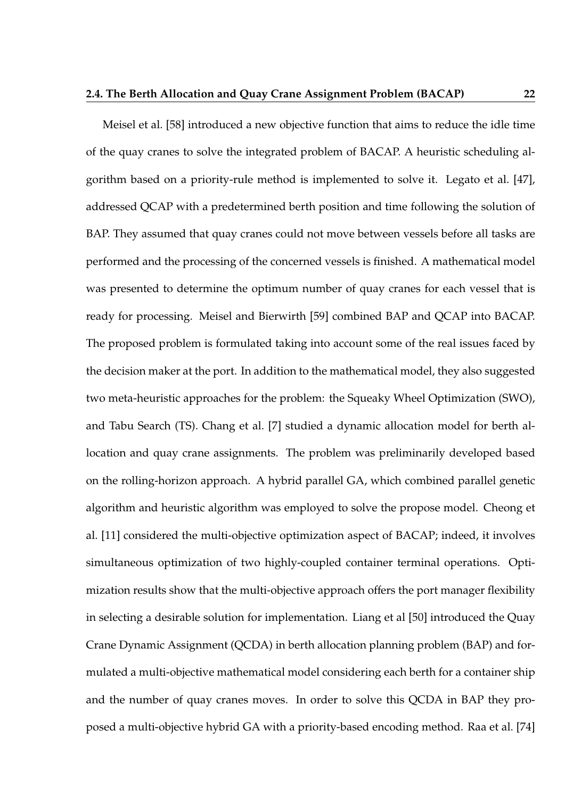Meisel et al. [58] introduced a new objective function that aims to reduce the idle time of the quay cranes to solve the integrated problem of BACAP. A heuristic scheduling algorithm based on a priority-rule method is implemented to solve it. Legato et al. [47], addressed QCAP with a predetermined berth position and time following the solution of BAP. They assumed that quay cranes could not move between vessels before all tasks are performed and the processing of the concerned vessels is finished. A mathematical model was presented to determine the optimum number of quay cranes for each vessel that is ready for processing. Meisel and Bierwirth [59] combined BAP and QCAP into BACAP. The proposed problem is formulated taking into account some of the real issues faced by the decision maker at the port. In addition to the mathematical model, they also suggested two meta-heuristic approaches for the problem: the Squeaky Wheel Optimization (SWO), and Tabu Search (TS). Chang et al. [7] studied a dynamic allocation model for berth allocation and quay crane assignments. The problem was preliminarily developed based on the rolling-horizon approach. A hybrid parallel GA, which combined parallel genetic algorithm and heuristic algorithm was employed to solve the propose model. Cheong et al. [11] considered the multi-objective optimization aspect of BACAP; indeed, it involves simultaneous optimization of two highly-coupled container terminal operations. Optimization results show that the multi-objective approach offers the port manager flexibility in selecting a desirable solution for implementation. Liang et al [50] introduced the Quay Crane Dynamic Assignment (QCDA) in berth allocation planning problem (BAP) and formulated a multi-objective mathematical model considering each berth for a container ship and the number of quay cranes moves. In order to solve this QCDA in BAP they proposed a multi-objective hybrid GA with a priority-based encoding method. Raa et al. [74]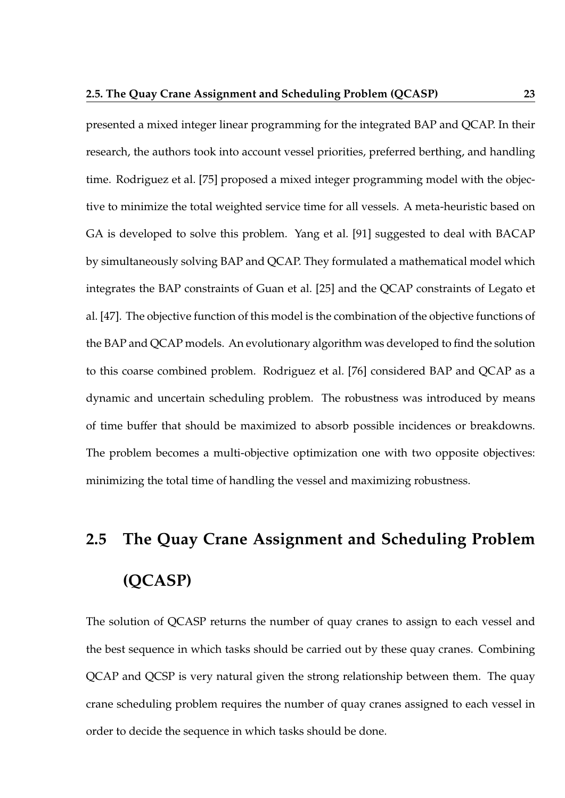presented a mixed integer linear programming for the integrated BAP and QCAP. In their research, the authors took into account vessel priorities, preferred berthing, and handling time. Rodriguez et al. [75] proposed a mixed integer programming model with the objective to minimize the total weighted service time for all vessels. A meta-heuristic based on GA is developed to solve this problem. Yang et al. [91] suggested to deal with BACAP by simultaneously solving BAP and QCAP. They formulated a mathematical model which integrates the BAP constraints of Guan et al. [25] and the QCAP constraints of Legato et al. [47]. The objective function of this model is the combination of the objective functions of the BAP and QCAP models. An evolutionary algorithm was developed to find the solution to this coarse combined problem. Rodriguez et al. [76] considered BAP and QCAP as a dynamic and uncertain scheduling problem. The robustness was introduced by means of time buffer that should be maximized to absorb possible incidences or breakdowns. The problem becomes a multi-objective optimization one with two opposite objectives: minimizing the total time of handling the vessel and maximizing robustness.

# **2.5 The Quay Crane Assignment and Scheduling Problem (QCASP)**

The solution of QCASP returns the number of quay cranes to assign to each vessel and the best sequence in which tasks should be carried out by these quay cranes. Combining QCAP and QCSP is very natural given the strong relationship between them. The quay crane scheduling problem requires the number of quay cranes assigned to each vessel in order to decide the sequence in which tasks should be done.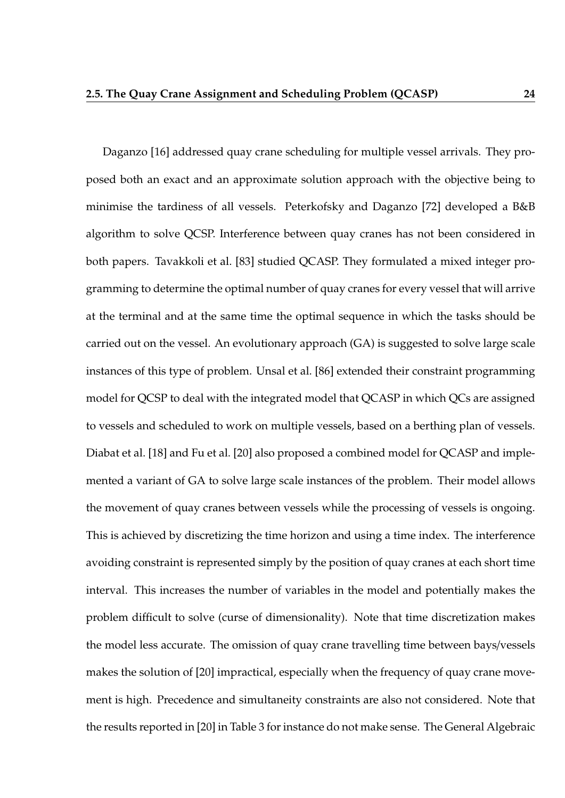Daganzo [16] addressed quay crane scheduling for multiple vessel arrivals. They proposed both an exact and an approximate solution approach with the objective being to minimise the tardiness of all vessels. Peterkofsky and Daganzo [72] developed a B&B algorithm to solve QCSP. Interference between quay cranes has not been considered in both papers. Tavakkoli et al. [83] studied QCASP. They formulated a mixed integer programming to determine the optimal number of quay cranes for every vessel that will arrive at the terminal and at the same time the optimal sequence in which the tasks should be carried out on the vessel. An evolutionary approach (GA) is suggested to solve large scale instances of this type of problem. Unsal et al. [86] extended their constraint programming model for QCSP to deal with the integrated model that QCASP in which QCs are assigned to vessels and scheduled to work on multiple vessels, based on a berthing plan of vessels. Diabat et al. [18] and Fu et al. [20] also proposed a combined model for QCASP and implemented a variant of GA to solve large scale instances of the problem. Their model allows the movement of quay cranes between vessels while the processing of vessels is ongoing. This is achieved by discretizing the time horizon and using a time index. The interference avoiding constraint is represented simply by the position of quay cranes at each short time interval. This increases the number of variables in the model and potentially makes the problem difficult to solve (curse of dimensionality). Note that time discretization makes the model less accurate. The omission of quay crane travelling time between bays/vessels makes the solution of [20] impractical, especially when the frequency of quay crane movement is high. Precedence and simultaneity constraints are also not considered. Note that the results reported in [20] in Table 3 for instance do not make sense. The General Algebraic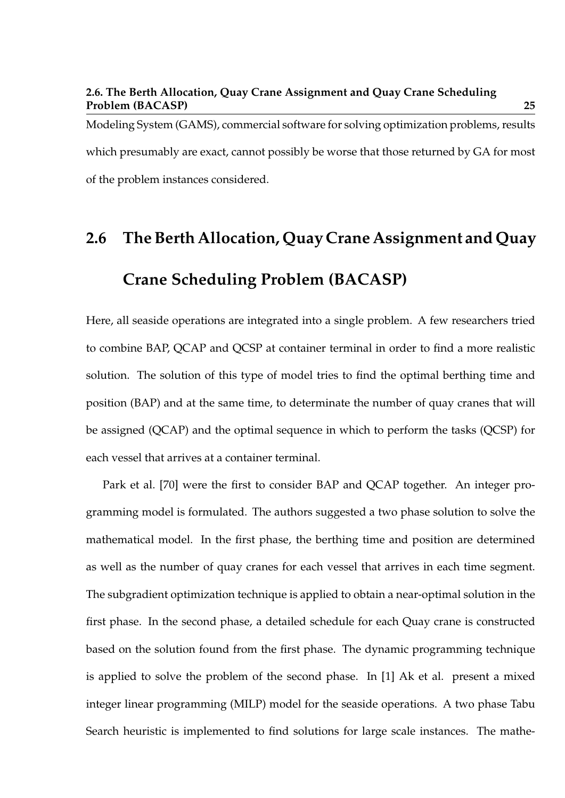### **2.6. The Berth Allocation, Quay Crane Assignment and Quay Crane Scheduling Problem (BACASP) 25**

Modeling System (GAMS), commercial software for solving optimization problems, results which presumably are exact, cannot possibly be worse that those returned by GA for most of the problem instances considered.

# **2.6 The Berth Allocation, Quay Crane Assignment and Quay Crane Scheduling Problem (BACASP)**

Here, all seaside operations are integrated into a single problem. A few researchers tried to combine BAP, QCAP and QCSP at container terminal in order to find a more realistic solution. The solution of this type of model tries to find the optimal berthing time and position (BAP) and at the same time, to determinate the number of quay cranes that will be assigned (QCAP) and the optimal sequence in which to perform the tasks (QCSP) for each vessel that arrives at a container terminal.

Park et al. [70] were the first to consider BAP and QCAP together. An integer programming model is formulated. The authors suggested a two phase solution to solve the mathematical model. In the first phase, the berthing time and position are determined as well as the number of quay cranes for each vessel that arrives in each time segment. The subgradient optimization technique is applied to obtain a near-optimal solution in the first phase. In the second phase, a detailed schedule for each Quay crane is constructed based on the solution found from the first phase. The dynamic programming technique is applied to solve the problem of the second phase. In [1] Ak et al. present a mixed integer linear programming (MILP) model for the seaside operations. A two phase Tabu Search heuristic is implemented to find solutions for large scale instances. The mathe-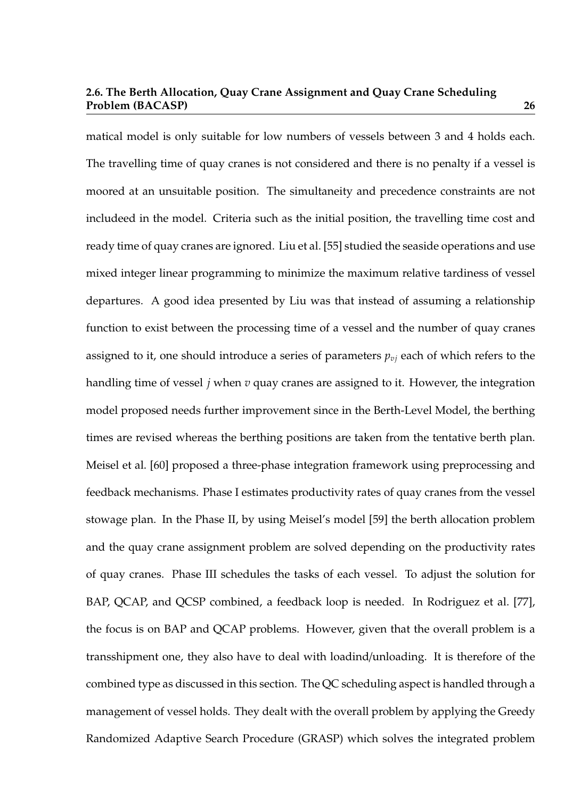### **2.6. The Berth Allocation, Quay Crane Assignment and Quay Crane Scheduling Problem (BACASP) 26**

matical model is only suitable for low numbers of vessels between 3 and 4 holds each. The travelling time of quay cranes is not considered and there is no penalty if a vessel is moored at an unsuitable position. The simultaneity and precedence constraints are not includeed in the model. Criteria such as the initial position, the travelling time cost and ready time of quay cranes are ignored. Liu et al. [55] studied the seaside operations and use mixed integer linear programming to minimize the maximum relative tardiness of vessel departures. A good idea presented by Liu was that instead of assuming a relationship function to exist between the processing time of a vessel and the number of quay cranes assigned to it, one should introduce a series of parameters  $p_{vi}$  each of which refers to the handling time of vessel *j* when *v* quay cranes are assigned to it. However, the integration model proposed needs further improvement since in the Berth-Level Model, the berthing times are revised whereas the berthing positions are taken from the tentative berth plan. Meisel et al. [60] proposed a three-phase integration framework using preprocessing and feedback mechanisms. Phase I estimates productivity rates of quay cranes from the vessel stowage plan. In the Phase II, by using Meisel's model [59] the berth allocation problem and the quay crane assignment problem are solved depending on the productivity rates of quay cranes. Phase III schedules the tasks of each vessel. To adjust the solution for BAP, QCAP, and QCSP combined, a feedback loop is needed. In Rodriguez et al. [77], the focus is on BAP and QCAP problems. However, given that the overall problem is a transshipment one, they also have to deal with loadind/unloading. It is therefore of the combined type as discussed in this section. The QC scheduling aspect is handled through a management of vessel holds. They dealt with the overall problem by applying the Greedy Randomized Adaptive Search Procedure (GRASP) which solves the integrated problem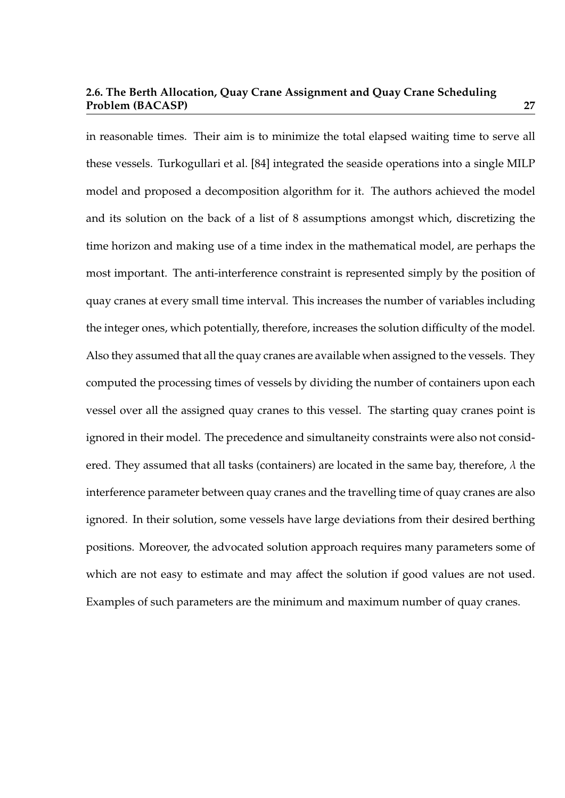### **2.6. The Berth Allocation, Quay Crane Assignment and Quay Crane Scheduling Problem (BACASP) 27**

in reasonable times. Their aim is to minimize the total elapsed waiting time to serve all these vessels. Turkogullari et al. [84] integrated the seaside operations into a single MILP model and proposed a decomposition algorithm for it. The authors achieved the model and its solution on the back of a list of 8 assumptions amongst which, discretizing the time horizon and making use of a time index in the mathematical model, are perhaps the most important. The anti-interference constraint is represented simply by the position of quay cranes at every small time interval. This increases the number of variables including the integer ones, which potentially, therefore, increases the solution difficulty of the model. Also they assumed that all the quay cranes are available when assigned to the vessels. They computed the processing times of vessels by dividing the number of containers upon each vessel over all the assigned quay cranes to this vessel. The starting quay cranes point is ignored in their model. The precedence and simultaneity constraints were also not considered. They assumed that all tasks (containers) are located in the same bay, therefore,  $\lambda$  the interference parameter between quay cranes and the travelling time of quay cranes are also ignored. In their solution, some vessels have large deviations from their desired berthing positions. Moreover, the advocated solution approach requires many parameters some of which are not easy to estimate and may affect the solution if good values are not used. Examples of such parameters are the minimum and maximum number of quay cranes.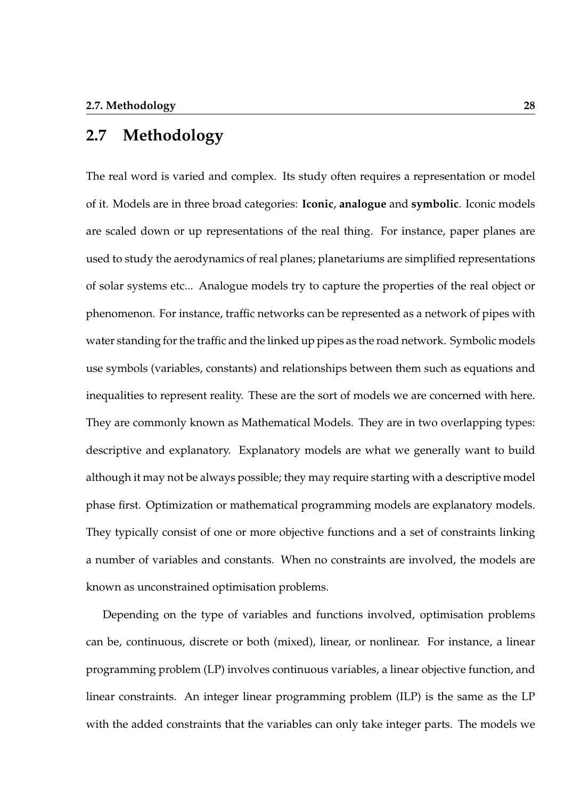## **2.7 Methodology**

The real word is varied and complex. Its study often requires a representation or model of it. Models are in three broad categories: **Iconic**, **analogue** and **symbolic**. Iconic models are scaled down or up representations of the real thing. For instance, paper planes are used to study the aerodynamics of real planes; planetariums are simplified representations of solar systems etc... Analogue models try to capture the properties of the real object or phenomenon. For instance, traffic networks can be represented as a network of pipes with water standing for the traffic and the linked up pipes as the road network. Symbolic models use symbols (variables, constants) and relationships between them such as equations and inequalities to represent reality. These are the sort of models we are concerned with here. They are commonly known as Mathematical Models. They are in two overlapping types: descriptive and explanatory. Explanatory models are what we generally want to build although it may not be always possible; they may require starting with a descriptive model phase first. Optimization or mathematical programming models are explanatory models. They typically consist of one or more objective functions and a set of constraints linking a number of variables and constants. When no constraints are involved, the models are known as unconstrained optimisation problems.

Depending on the type of variables and functions involved, optimisation problems can be, continuous, discrete or both (mixed), linear, or nonlinear. For instance, a linear programming problem (LP) involves continuous variables, a linear objective function, and linear constraints. An integer linear programming problem (ILP) is the same as the LP with the added constraints that the variables can only take integer parts. The models we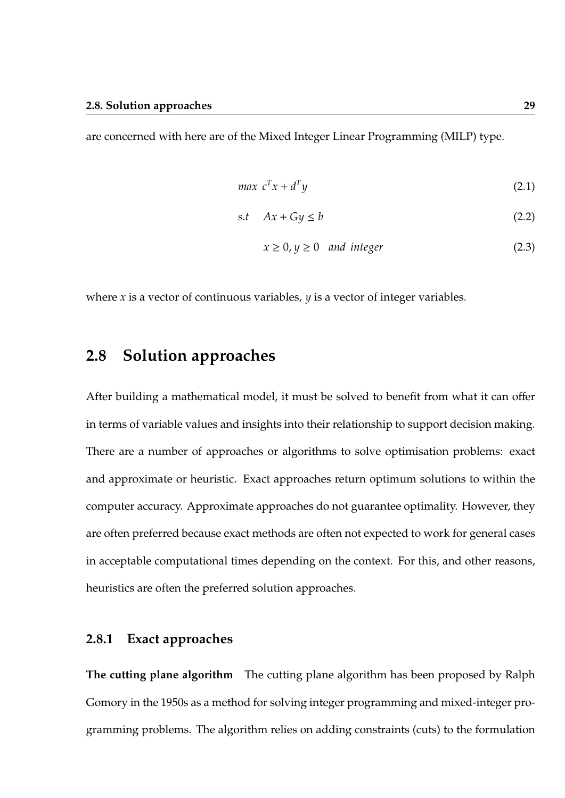are concerned with here are of the Mixed Integer Linear Programming (MILP) type.

$$
max \ c^T x + d^T y \tag{2.1}
$$

$$
s.t \quad Ax + Gy \le b \tag{2.2}
$$

$$
x \ge 0, y \ge 0 \quad and \ integer \tag{2.3}
$$

where *x* is a vector of continuous variables, *y* is a vector of integer variables.

## **2.8 Solution approaches**

After building a mathematical model, it must be solved to benefit from what it can offer in terms of variable values and insights into their relationship to support decision making. There are a number of approaches or algorithms to solve optimisation problems: exact and approximate or heuristic. Exact approaches return optimum solutions to within the computer accuracy. Approximate approaches do not guarantee optimality. However, they are often preferred because exact methods are often not expected to work for general cases in acceptable computational times depending on the context. For this, and other reasons, heuristics are often the preferred solution approaches.

## **2.8.1 Exact approaches**

**The cutting plane algorithm** The cutting plane algorithm has been proposed by Ralph Gomory in the 1950s as a method for solving integer programming and mixed-integer programming problems. The algorithm relies on adding constraints (cuts) to the formulation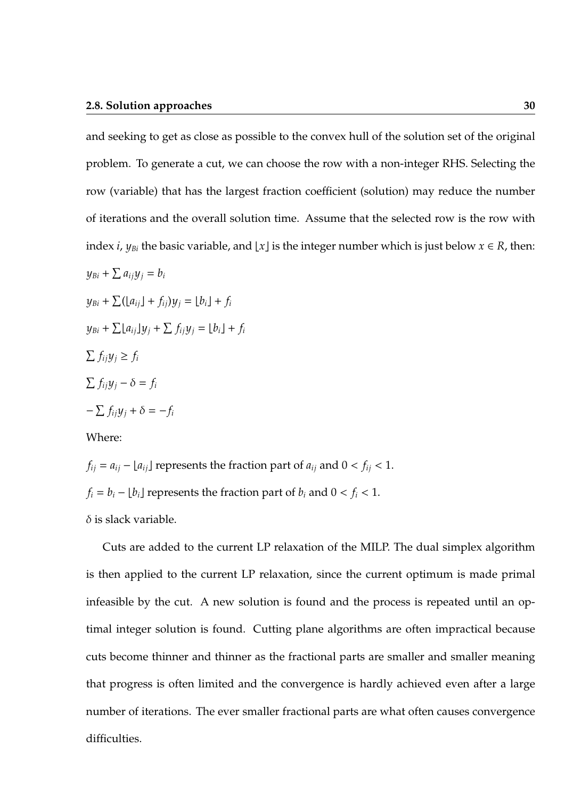### **2.8. Solution approaches** 30

and seeking to get as close as possible to the convex hull of the solution set of the original problem. To generate a cut, we can choose the row with a non-integer RHS. Selecting the row (variable) that has the largest fraction coefficient (solution) may reduce the number of iterations and the overall solution time. Assume that the selected row is the row with index *i*,  $y_{Bi}$  the basic variable, and [x] is the integer number which is just below  $x \in R$ , then:

$$
y_{Bi} + \sum a_{ij} y_j = b_i
$$
  
\n
$$
y_{Bi} + \sum (a_{ij} + f_{ij}) y_j = \lfloor b_i \rfloor + f_i
$$
  
\n
$$
y_{Bi} + \sum a_{ij} \rfloor y_j + \sum f_{ij} y_j = \lfloor b_i \rfloor + f_i
$$
  
\n
$$
\sum f_{ij} y_j \ge f_i
$$
  
\n
$$
\sum f_{ij} y_j - \delta = f_i
$$
  
\n
$$
-\sum f_{ij} y_j + \delta = -f_i
$$

Where:

*f*<sub>ij</sub> =  $a_{ij}$  –  $[a_{ij}]$  represents the fraction part of  $a_{ij}$  and  $0 < f_{ij} < 1$ .  $f_i = b_i - [b_i]$  represents the fraction part of  $b_i$  and  $0 < f_i < 1$ .  $\delta$  is slack variable.

Cuts are added to the current LP relaxation of the MILP. The dual simplex algorithm is then applied to the current LP relaxation, since the current optimum is made primal infeasible by the cut. A new solution is found and the process is repeated until an optimal integer solution is found. Cutting plane algorithms are often impractical because cuts become thinner and thinner as the fractional parts are smaller and smaller meaning that progress is often limited and the convergence is hardly achieved even after a large number of iterations. The ever smaller fractional parts are what often causes convergence difficulties.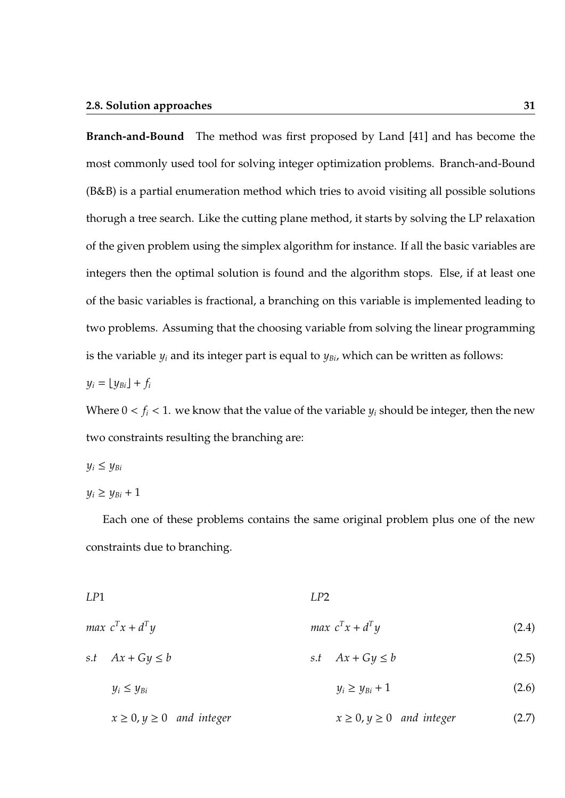### **2.8. Solution approaches 31**

**Branch-and-Bound** The method was first proposed by Land [41] and has become the most commonly used tool for solving integer optimization problems. Branch-and-Bound (B&B) is a partial enumeration method which tries to avoid visiting all possible solutions thorugh a tree search. Like the cutting plane method, it starts by solving the LP relaxation of the given problem using the simplex algorithm for instance. If all the basic variables are integers then the optimal solution is found and the algorithm stops. Else, if at least one of the basic variables is fractional, a branching on this variable is implemented leading to two problems. Assuming that the choosing variable from solving the linear programming is the variable  $y_i$  and its integer part is equal to  $y_{Bi}$ , which can be written as follows:

$$
y_i = \lfloor y_{Bi} \rfloor + f_i
$$

Where  $0 < f_i < 1$ . we know that the value of the variable  $y_i$  should be integer, then the new two constraints resulting the branching are:

$$
y_i \le y_{Bi}
$$

 $y_i \ge y_{Bi} + 1$ 

Each one of these problems contains the same original problem plus one of the new constraints due to branching.

| LP1 |                      | LP2 |                            |       |
|-----|----------------------|-----|----------------------------|-------|
|     | max $c^T x + d^T y$  |     | <i>max</i> $c^T x + d^T y$ | (2.4) |
|     | s.t $Ax + Gy \leq b$ |     | s.t $Ax + Gy \leq b$       | (2.5) |
|     | $y_i \le y_{Bi}$     |     | $y_i \ge y_{Bi} + 1$       | (2.6) |
|     |                      |     |                            |       |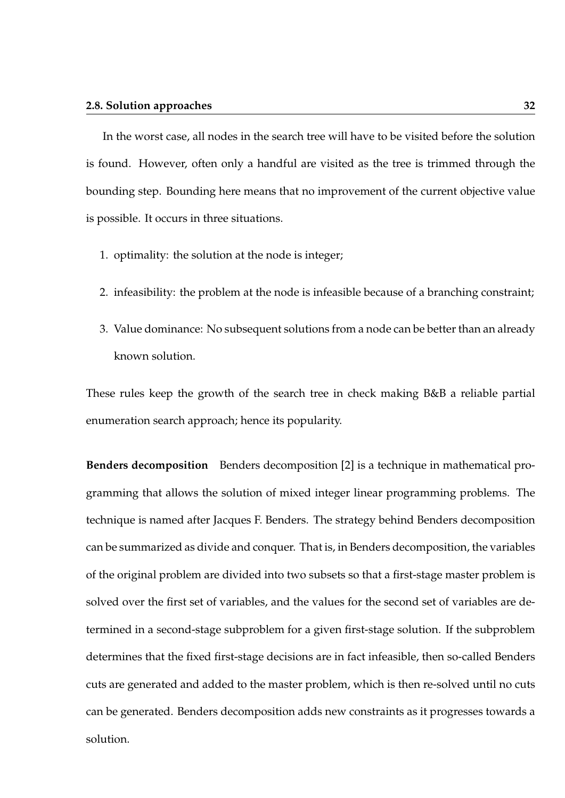In the worst case, all nodes in the search tree will have to be visited before the solution is found. However, often only a handful are visited as the tree is trimmed through the bounding step. Bounding here means that no improvement of the current objective value is possible. It occurs in three situations.

- 1. optimality: the solution at the node is integer;
- 2. infeasibility: the problem at the node is infeasible because of a branching constraint;
- 3. Value dominance: No subsequent solutions from a node can be better than an already known solution.

These rules keep the growth of the search tree in check making B&B a reliable partial enumeration search approach; hence its popularity.

**Benders decomposition** Benders decomposition [2] is a technique in mathematical programming that allows the solution of mixed integer linear programming problems. The technique is named after Jacques F. Benders. The strategy behind Benders decomposition can be summarized as divide and conquer. That is, in Benders decomposition, the variables of the original problem are divided into two subsets so that a first-stage master problem is solved over the first set of variables, and the values for the second set of variables are determined in a second-stage subproblem for a given first-stage solution. If the subproblem determines that the fixed first-stage decisions are in fact infeasible, then so-called Benders cuts are generated and added to the master problem, which is then re-solved until no cuts can be generated. Benders decomposition adds new constraints as it progresses towards a solution.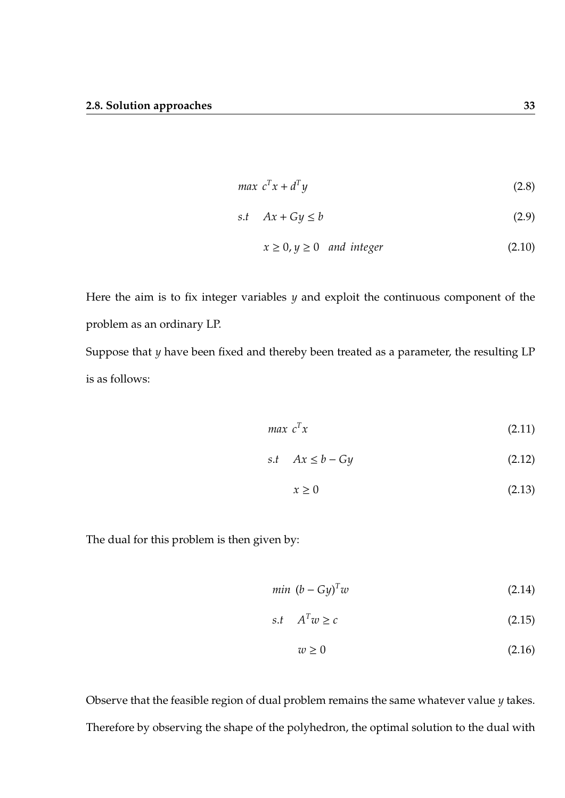$$
max \ c^T x + d^T y \tag{2.8}
$$

$$
s.t \quad Ax + Gy \le b \tag{2.9}
$$

$$
x \ge 0, y \ge 0 \quad and \ integer \tag{2.10}
$$

Here the aim is to fix integer variables *y* and exploit the continuous component of the problem as an ordinary LP. Suppose that *y* have been fixed and thereby been treated as a parameter, the resulting LP

is as follows:

$$
max \ c^T x \tag{2.11}
$$

$$
s.t \quad Ax \le b - Gy \tag{2.12}
$$

$$
x \ge 0 \tag{2.13}
$$

The dual for this problem is then given by:

$$
min (b - Gy)^{T} w \tag{2.14}
$$

$$
s.t \t AT w \ge c \t (2.15)
$$

$$
w \ge 0 \tag{2.16}
$$

Observe that the feasible region of dual problem remains the same whatever value *y* takes. Therefore by observing the shape of the polyhedron, the optimal solution to the dual with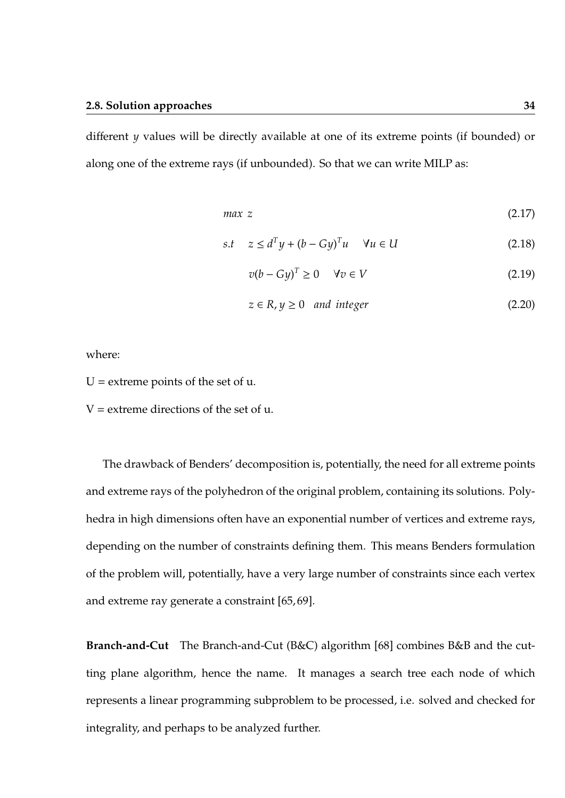different *y* values will be directly available at one of its extreme points (if bounded) or along one of the extreme rays (if unbounded). So that we can write MILP as:

$$
max \ z \tag{2.17}
$$

$$
s.t \quad z \le d^T y + (b - Gy)^T u \quad \forall u \in U \tag{2.18}
$$

$$
v(b - Gy)^{T} \ge 0 \quad \forall v \in V \tag{2.19}
$$

$$
z \in R, y \ge 0 \quad and \ integer \tag{2.20}
$$

where:

 $U =$  extreme points of the set of  $u$ .

 $V =$  extreme directions of the set of  $u$ .

The drawback of Benders' decomposition is, potentially, the need for all extreme points and extreme rays of the polyhedron of the original problem, containing its solutions. Polyhedra in high dimensions often have an exponential number of vertices and extreme rays, depending on the number of constraints defining them. This means Benders formulation of the problem will, potentially, have a very large number of constraints since each vertex and extreme ray generate a constraint [65, 69].

**Branch-and-Cut** The Branch-and-Cut (B&C) algorithm [68] combines B&B and the cutting plane algorithm, hence the name. It manages a search tree each node of which represents a linear programming subproblem to be processed, i.e. solved and checked for integrality, and perhaps to be analyzed further.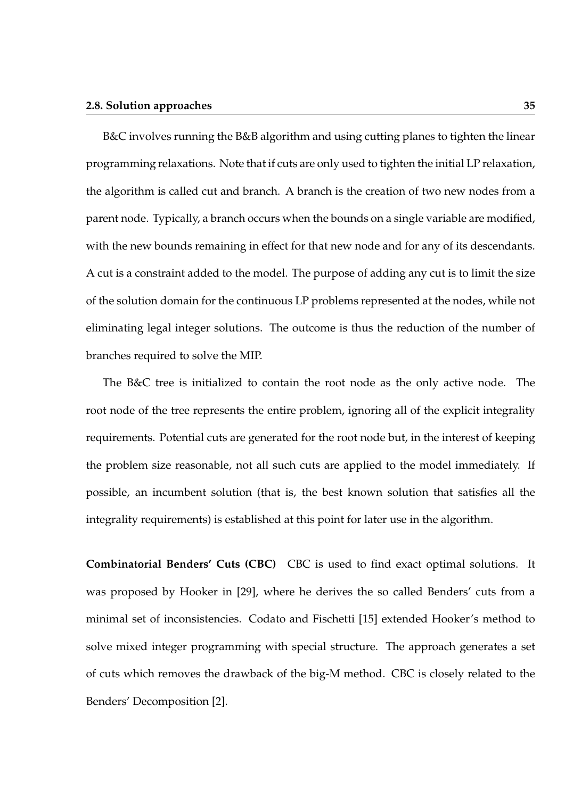### **2.8. Solution approaches 35**

B&C involves running the B&B algorithm and using cutting planes to tighten the linear programming relaxations. Note that if cuts are only used to tighten the initial LP relaxation, the algorithm is called cut and branch. A branch is the creation of two new nodes from a parent node. Typically, a branch occurs when the bounds on a single variable are modified, with the new bounds remaining in effect for that new node and for any of its descendants. A cut is a constraint added to the model. The purpose of adding any cut is to limit the size of the solution domain for the continuous LP problems represented at the nodes, while not eliminating legal integer solutions. The outcome is thus the reduction of the number of branches required to solve the MIP.

The B&C tree is initialized to contain the root node as the only active node. The root node of the tree represents the entire problem, ignoring all of the explicit integrality requirements. Potential cuts are generated for the root node but, in the interest of keeping the problem size reasonable, not all such cuts are applied to the model immediately. If possible, an incumbent solution (that is, the best known solution that satisfies all the integrality requirements) is established at this point for later use in the algorithm.

**Combinatorial Benders' Cuts (CBC)** CBC is used to find exact optimal solutions. It was proposed by Hooker in [29], where he derives the so called Benders' cuts from a minimal set of inconsistencies. Codato and Fischetti [15] extended Hooker's method to solve mixed integer programming with special structure. The approach generates a set of cuts which removes the drawback of the big-M method. CBC is closely related to the Benders' Decomposition [2].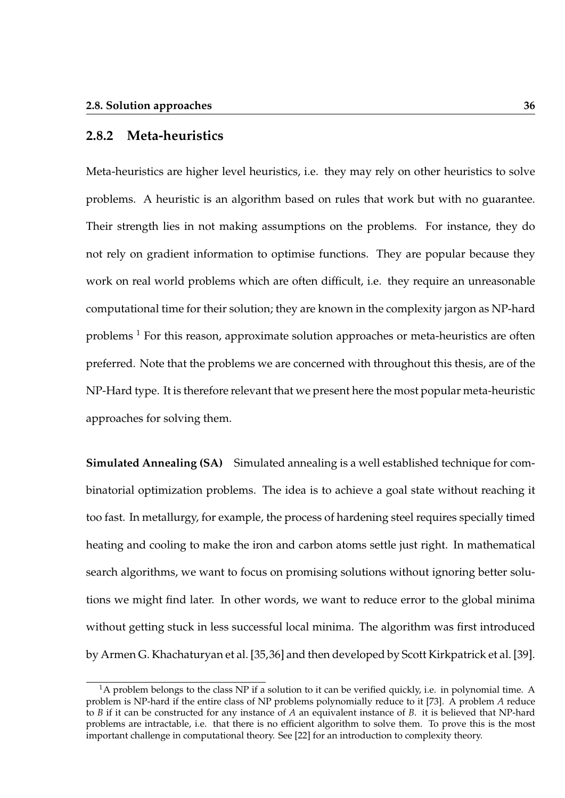### **2.8.2 Meta-heuristics**

Meta-heuristics are higher level heuristics, i.e. they may rely on other heuristics to solve problems. A heuristic is an algorithm based on rules that work but with no guarantee. Their strength lies in not making assumptions on the problems. For instance, they do not rely on gradient information to optimise functions. They are popular because they work on real world problems which are often difficult, i.e. they require an unreasonable computational time for their solution; they are known in the complexity jargon as NP-hard problems  $<sup>1</sup>$  For this reason, approximate solution approaches or meta-heuristics are often</sup> preferred. Note that the problems we are concerned with throughout this thesis, are of the NP-Hard type. It is therefore relevant that we present here the most popular meta-heuristic approaches for solving them.

**Simulated Annealing (SA)** Simulated annealing is a well established technique for combinatorial optimization problems. The idea is to achieve a goal state without reaching it too fast. In metallurgy, for example, the process of hardening steel requires specially timed heating and cooling to make the iron and carbon atoms settle just right. In mathematical search algorithms, we want to focus on promising solutions without ignoring better solutions we might find later. In other words, we want to reduce error to the global minima without getting stuck in less successful local minima. The algorithm was first introduced by Armen G. Khachaturyan et al. [35,36] and then developed by Scott Kirkpatrick et al. [39].

 $1<sup>1</sup>A$  problem belongs to the class NP if a solution to it can be verified quickly, i.e. in polynomial time. A problem is NP-hard if the entire class of NP problems polynomially reduce to it [73]. A problem *A* reduce to *B* if it can be constructed for any instance of *A* an equivalent instance of *B*. it is believed that NP-hard problems are intractable, i.e. that there is no efficient algorithm to solve them. To prove this is the most important challenge in computational theory. See [22] for an introduction to complexity theory.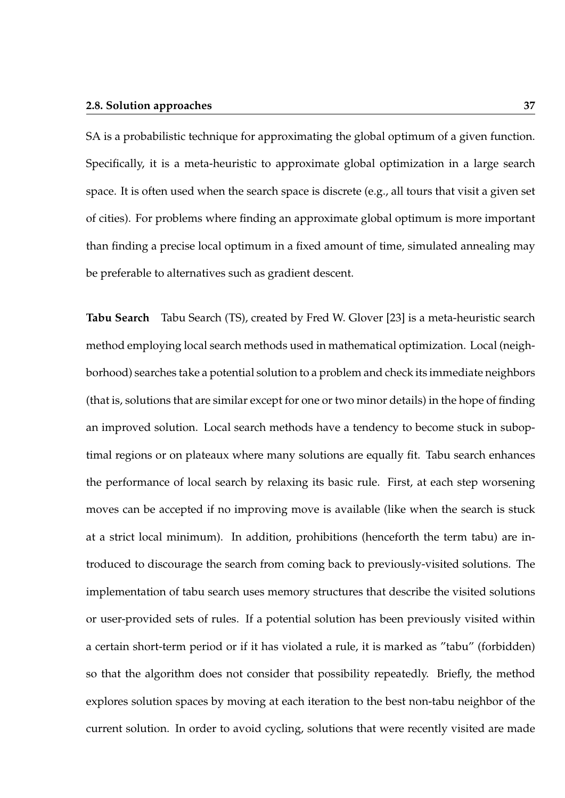### **2.8. Solution approaches 37**

SA is a probabilistic technique for approximating the global optimum of a given function. Specifically, it is a meta-heuristic to approximate global optimization in a large search space. It is often used when the search space is discrete (e.g., all tours that visit a given set of cities). For problems where finding an approximate global optimum is more important than finding a precise local optimum in a fixed amount of time, simulated annealing may be preferable to alternatives such as gradient descent.

**Tabu Search** Tabu Search (TS), created by Fred W. Glover [23] is a meta-heuristic search method employing local search methods used in mathematical optimization. Local (neighborhood) searches take a potential solution to a problem and check its immediate neighbors (that is, solutions that are similar except for one or two minor details) in the hope of finding an improved solution. Local search methods have a tendency to become stuck in suboptimal regions or on plateaux where many solutions are equally fit. Tabu search enhances the performance of local search by relaxing its basic rule. First, at each step worsening moves can be accepted if no improving move is available (like when the search is stuck at a strict local minimum). In addition, prohibitions (henceforth the term tabu) are introduced to discourage the search from coming back to previously-visited solutions. The implementation of tabu search uses memory structures that describe the visited solutions or user-provided sets of rules. If a potential solution has been previously visited within a certain short-term period or if it has violated a rule, it is marked as "tabu" (forbidden) so that the algorithm does not consider that possibility repeatedly. Briefly, the method explores solution spaces by moving at each iteration to the best non-tabu neighbor of the current solution. In order to avoid cycling, solutions that were recently visited are made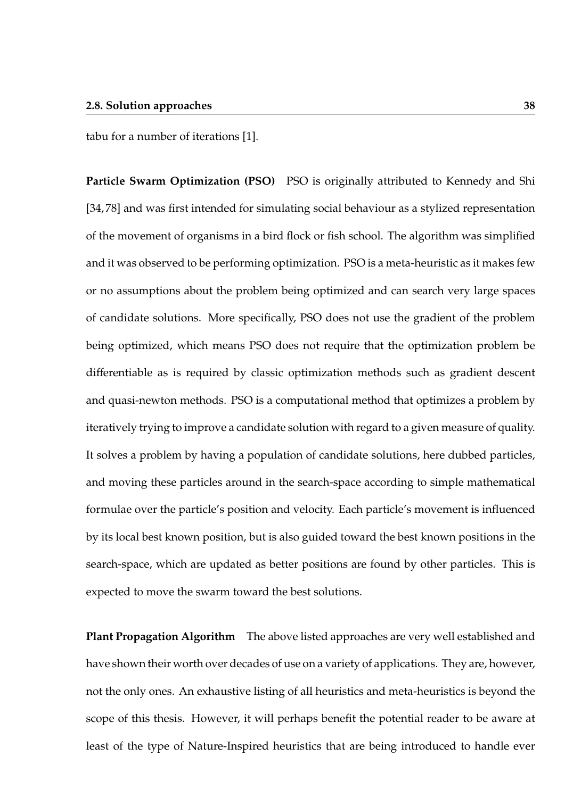tabu for a number of iterations [1].

**Particle Swarm Optimization (PSO)** PSO is originally attributed to Kennedy and Shi [34, 78] and was first intended for simulating social behaviour as a stylized representation of the movement of organisms in a bird flock or fish school. The algorithm was simplified and it was observed to be performing optimization. PSO is a meta-heuristic as it makes few or no assumptions about the problem being optimized and can search very large spaces of candidate solutions. More specifically, PSO does not use the gradient of the problem being optimized, which means PSO does not require that the optimization problem be differentiable as is required by classic optimization methods such as gradient descent and quasi-newton methods. PSO is a computational method that optimizes a problem by iteratively trying to improve a candidate solution with regard to a given measure of quality. It solves a problem by having a population of candidate solutions, here dubbed particles, and moving these particles around in the search-space according to simple mathematical formulae over the particle's position and velocity. Each particle's movement is influenced by its local best known position, but is also guided toward the best known positions in the search-space, which are updated as better positions are found by other particles. This is expected to move the swarm toward the best solutions.

**Plant Propagation Algorithm** The above listed approaches are very well established and have shown their worth over decades of use on a variety of applications. They are, however, not the only ones. An exhaustive listing of all heuristics and meta-heuristics is beyond the scope of this thesis. However, it will perhaps benefit the potential reader to be aware at least of the type of Nature-Inspired heuristics that are being introduced to handle ever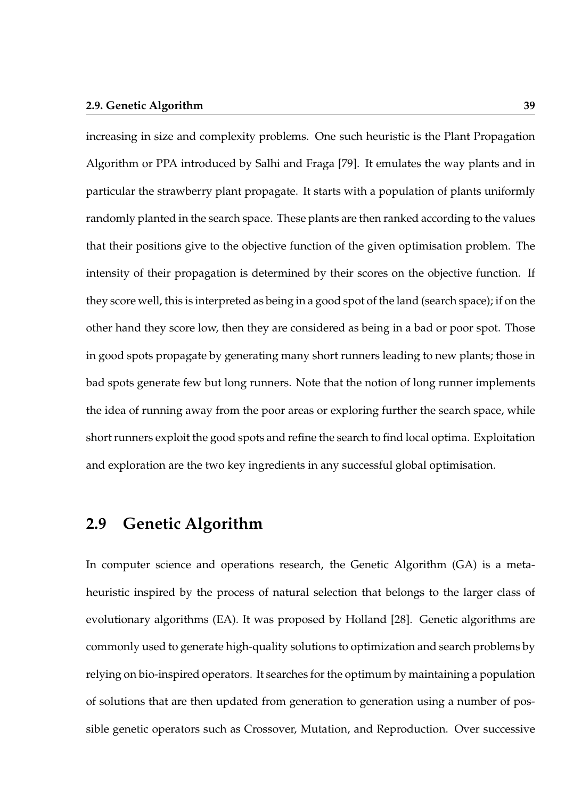### **2.9. Genetic Algorithm 39**

increasing in size and complexity problems. One such heuristic is the Plant Propagation Algorithm or PPA introduced by Salhi and Fraga [79]. It emulates the way plants and in particular the strawberry plant propagate. It starts with a population of plants uniformly randomly planted in the search space. These plants are then ranked according to the values that their positions give to the objective function of the given optimisation problem. The intensity of their propagation is determined by their scores on the objective function. If they score well, this is interpreted as being in a good spot of the land (search space); if on the other hand they score low, then they are considered as being in a bad or poor spot. Those in good spots propagate by generating many short runners leading to new plants; those in bad spots generate few but long runners. Note that the notion of long runner implements the idea of running away from the poor areas or exploring further the search space, while short runners exploit the good spots and refine the search to find local optima. Exploitation and exploration are the two key ingredients in any successful global optimisation.

## **2.9 Genetic Algorithm**

In computer science and operations research, the Genetic Algorithm (GA) is a metaheuristic inspired by the process of natural selection that belongs to the larger class of evolutionary algorithms (EA). It was proposed by Holland [28]. Genetic algorithms are commonly used to generate high-quality solutions to optimization and search problems by relying on bio-inspired operators. It searches for the optimum by maintaining a population of solutions that are then updated from generation to generation using a number of possible genetic operators such as Crossover, Mutation, and Reproduction. Over successive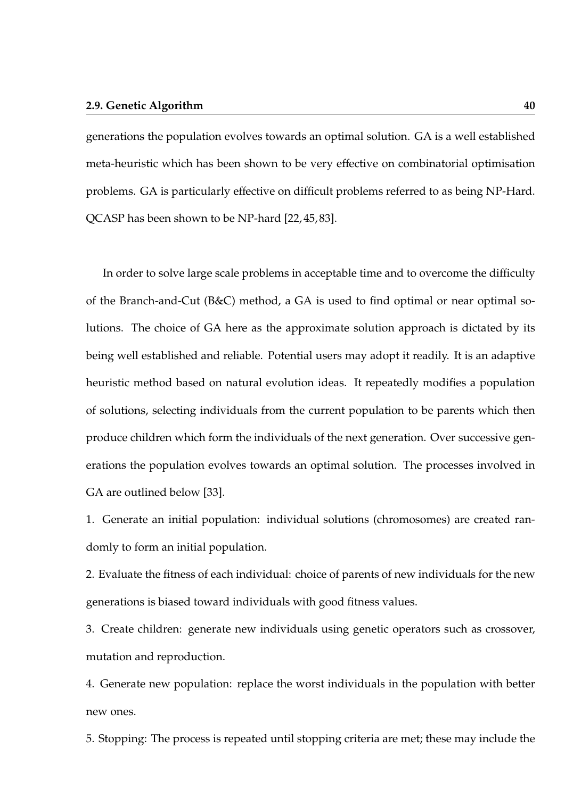generations the population evolves towards an optimal solution. GA is a well established meta-heuristic which has been shown to be very effective on combinatorial optimisation problems. GA is particularly effective on difficult problems referred to as being NP-Hard. QCASP has been shown to be NP-hard [22, 45, 83].

In order to solve large scale problems in acceptable time and to overcome the difficulty of the Branch-and-Cut (B&C) method, a GA is used to find optimal or near optimal solutions. The choice of GA here as the approximate solution approach is dictated by its being well established and reliable. Potential users may adopt it readily. It is an adaptive heuristic method based on natural evolution ideas. It repeatedly modifies a population of solutions, selecting individuals from the current population to be parents which then produce children which form the individuals of the next generation. Over successive generations the population evolves towards an optimal solution. The processes involved in GA are outlined below [33].

1. Generate an initial population: individual solutions (chromosomes) are created randomly to form an initial population.

2. Evaluate the fitness of each individual: choice of parents of new individuals for the new generations is biased toward individuals with good fitness values.

3. Create children: generate new individuals using genetic operators such as crossover, mutation and reproduction.

4. Generate new population: replace the worst individuals in the population with better new ones.

5. Stopping: The process is repeated until stopping criteria are met; these may include the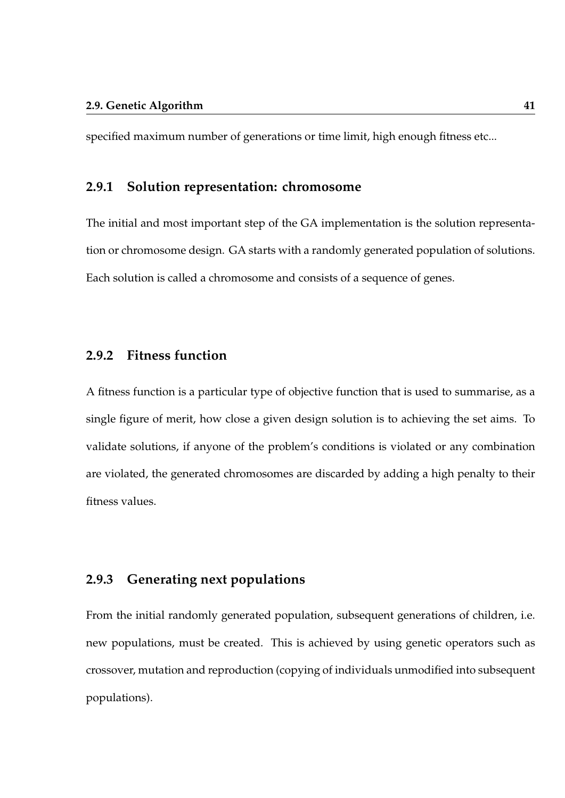specified maximum number of generations or time limit, high enough fitness etc...

### **2.9.1 Solution representation: chromosome**

The initial and most important step of the GA implementation is the solution representation or chromosome design. GA starts with a randomly generated population of solutions. Each solution is called a chromosome and consists of a sequence of genes.

## **2.9.2 Fitness function**

A fitness function is a particular type of objective function that is used to summarise, as a single figure of merit, how close a given design solution is to achieving the set aims. To validate solutions, if anyone of the problem's conditions is violated or any combination are violated, the generated chromosomes are discarded by adding a high penalty to their fitness values.

## **2.9.3 Generating next populations**

From the initial randomly generated population, subsequent generations of children, i.e. new populations, must be created. This is achieved by using genetic operators such as crossover, mutation and reproduction (copying of individuals unmodified into subsequent populations).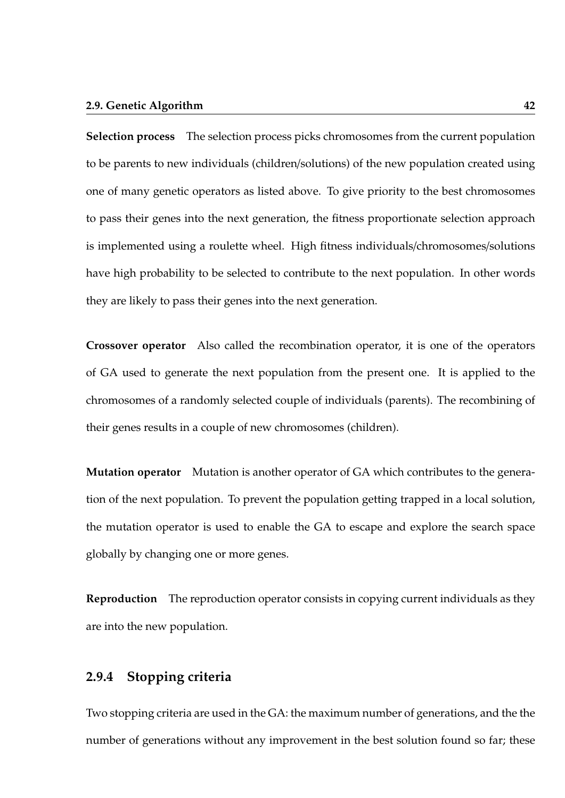### **2.9. Genetic Algorithm 42**

**Selection process** The selection process picks chromosomes from the current population to be parents to new individuals (children/solutions) of the new population created using one of many genetic operators as listed above. To give priority to the best chromosomes to pass their genes into the next generation, the fitness proportionate selection approach is implemented using a roulette wheel. High fitness individuals/chromosomes/solutions have high probability to be selected to contribute to the next population. In other words they are likely to pass their genes into the next generation.

**Crossover operator** Also called the recombination operator, it is one of the operators of GA used to generate the next population from the present one. It is applied to the chromosomes of a randomly selected couple of individuals (parents). The recombining of their genes results in a couple of new chromosomes (children).

**Mutation operator** Mutation is another operator of GA which contributes to the generation of the next population. To prevent the population getting trapped in a local solution, the mutation operator is used to enable the GA to escape and explore the search space globally by changing one or more genes.

**Reproduction** The reproduction operator consists in copying current individuals as they are into the new population.

## **2.9.4 Stopping criteria**

Two stopping criteria are used in the GA: the maximum number of generations, and the the number of generations without any improvement in the best solution found so far; these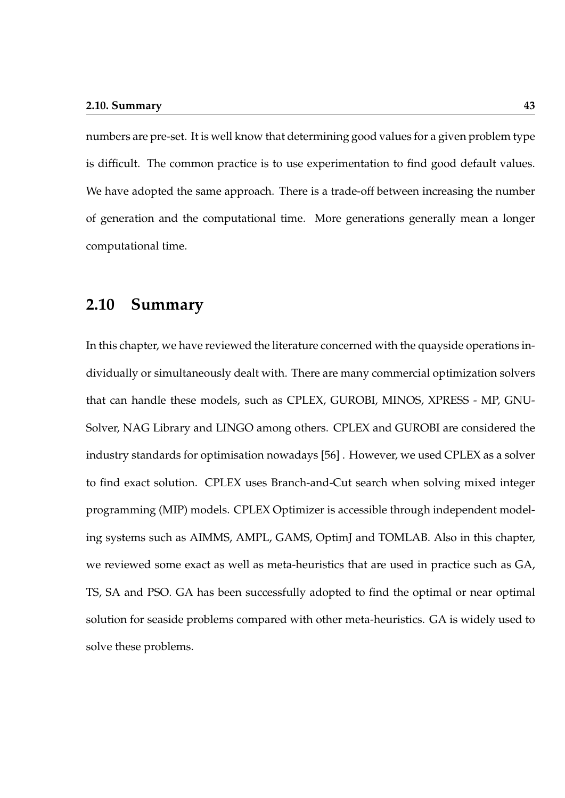numbers are pre-set. It is well know that determining good values for a given problem type is difficult. The common practice is to use experimentation to find good default values. We have adopted the same approach. There is a trade-off between increasing the number of generation and the computational time. More generations generally mean a longer computational time.

## **2.10 Summary**

In this chapter, we have reviewed the literature concerned with the quayside operations individually or simultaneously dealt with. There are many commercial optimization solvers that can handle these models, such as CPLEX, GUROBI, MINOS, XPRESS - MP, GNU-Solver, NAG Library and LINGO among others. CPLEX and GUROBI are considered the industry standards for optimisation nowadays [56] . However, we used CPLEX as a solver to find exact solution. CPLEX uses Branch-and-Cut search when solving mixed integer programming (MIP) models. CPLEX Optimizer is accessible through independent modeling systems such as AIMMS, AMPL, GAMS, OptimJ and TOMLAB. Also in this chapter, we reviewed some exact as well as meta-heuristics that are used in practice such as GA, TS, SA and PSO. GA has been successfully adopted to find the optimal or near optimal solution for seaside problems compared with other meta-heuristics. GA is widely used to solve these problems.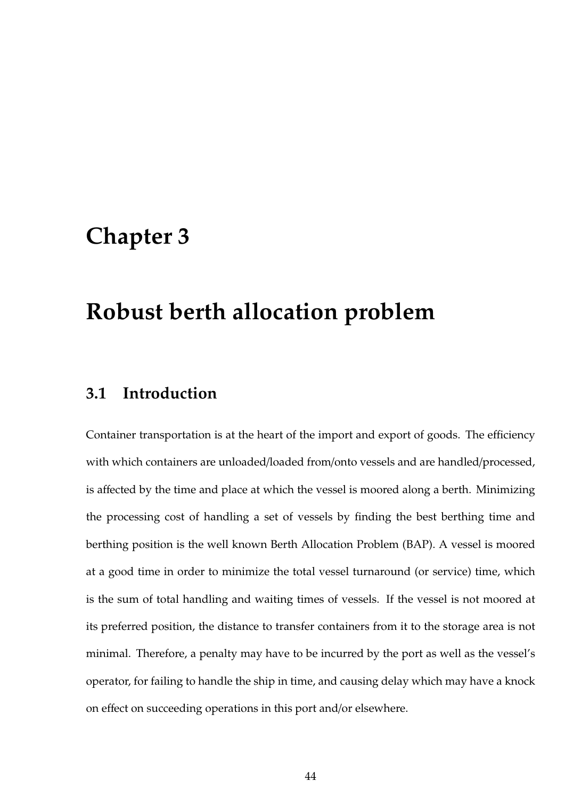## **Chapter 3**

## **Robust berth allocation problem**

## **3.1 Introduction**

Container transportation is at the heart of the import and export of goods. The efficiency with which containers are unloaded/loaded from/onto vessels and are handled/processed, is affected by the time and place at which the vessel is moored along a berth. Minimizing the processing cost of handling a set of vessels by finding the best berthing time and berthing position is the well known Berth Allocation Problem (BAP). A vessel is moored at a good time in order to minimize the total vessel turnaround (or service) time, which is the sum of total handling and waiting times of vessels. If the vessel is not moored at its preferred position, the distance to transfer containers from it to the storage area is not minimal. Therefore, a penalty may have to be incurred by the port as well as the vessel's operator, for failing to handle the ship in time, and causing delay which may have a knock on effect on succeeding operations in this port and/or elsewhere.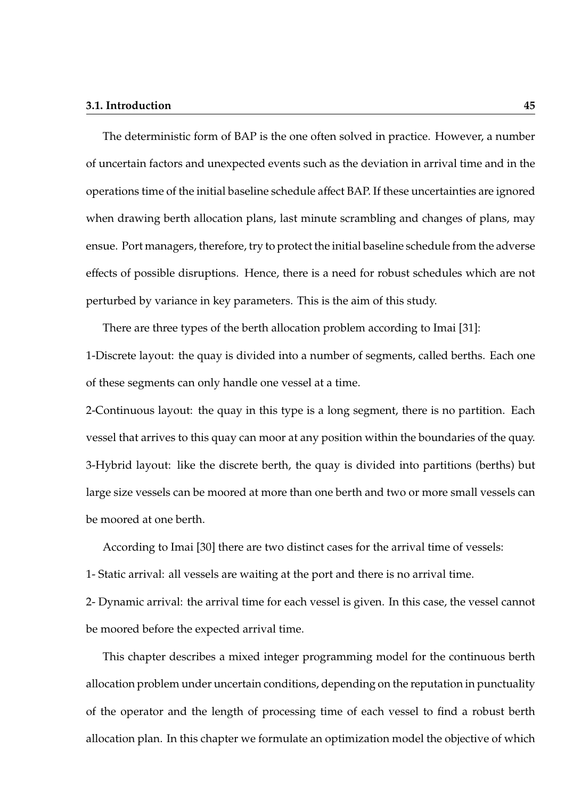### **3.1. Introduction 45**

The deterministic form of BAP is the one often solved in practice. However, a number of uncertain factors and unexpected events such as the deviation in arrival time and in the operations time of the initial baseline schedule affect BAP. If these uncertainties are ignored when drawing berth allocation plans, last minute scrambling and changes of plans, may ensue. Port managers, therefore, try to protect the initial baseline schedule from the adverse effects of possible disruptions. Hence, there is a need for robust schedules which are not perturbed by variance in key parameters. This is the aim of this study.

There are three types of the berth allocation problem according to Imai [31]: 1-Discrete layout: the quay is divided into a number of segments, called berths. Each one of these segments can only handle one vessel at a time.

2-Continuous layout: the quay in this type is a long segment, there is no partition. Each vessel that arrives to this quay can moor at any position within the boundaries of the quay. 3-Hybrid layout: like the discrete berth, the quay is divided into partitions (berths) but large size vessels can be moored at more than one berth and two or more small vessels can be moored at one berth.

According to Imai [30] there are two distinct cases for the arrival time of vessels:

1- Static arrival: all vessels are waiting at the port and there is no arrival time.

2- Dynamic arrival: the arrival time for each vessel is given. In this case, the vessel cannot be moored before the expected arrival time.

This chapter describes a mixed integer programming model for the continuous berth allocation problem under uncertain conditions, depending on the reputation in punctuality of the operator and the length of processing time of each vessel to find a robust berth allocation plan. In this chapter we formulate an optimization model the objective of which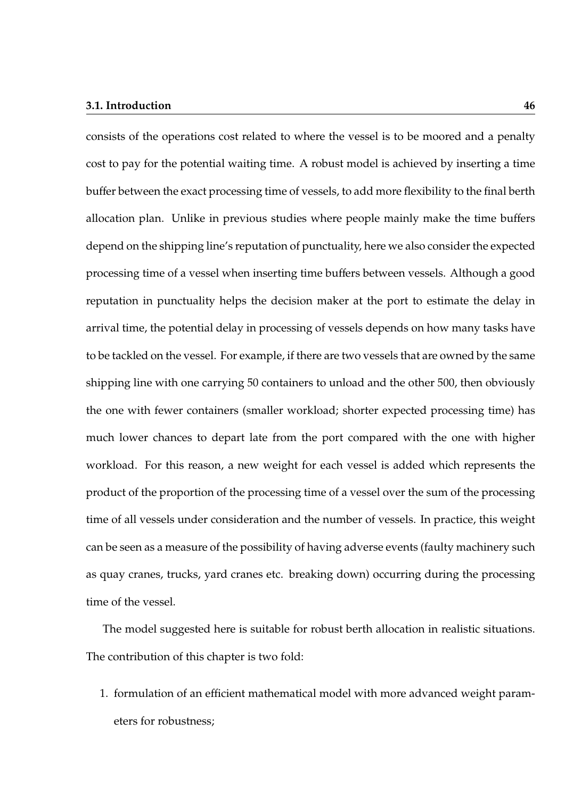### **3.1. Introduction 46**

consists of the operations cost related to where the vessel is to be moored and a penalty cost to pay for the potential waiting time. A robust model is achieved by inserting a time buffer between the exact processing time of vessels, to add more flexibility to the final berth allocation plan. Unlike in previous studies where people mainly make the time buffers depend on the shipping line's reputation of punctuality, here we also consider the expected processing time of a vessel when inserting time buffers between vessels. Although a good reputation in punctuality helps the decision maker at the port to estimate the delay in arrival time, the potential delay in processing of vessels depends on how many tasks have to be tackled on the vessel. For example, if there are two vessels that are owned by the same shipping line with one carrying 50 containers to unload and the other 500, then obviously the one with fewer containers (smaller workload; shorter expected processing time) has much lower chances to depart late from the port compared with the one with higher workload. For this reason, a new weight for each vessel is added which represents the product of the proportion of the processing time of a vessel over the sum of the processing time of all vessels under consideration and the number of vessels. In practice, this weight can be seen as a measure of the possibility of having adverse events (faulty machinery such as quay cranes, trucks, yard cranes etc. breaking down) occurring during the processing time of the vessel.

The model suggested here is suitable for robust berth allocation in realistic situations. The contribution of this chapter is two fold:

1. formulation of an efficient mathematical model with more advanced weight parameters for robustness;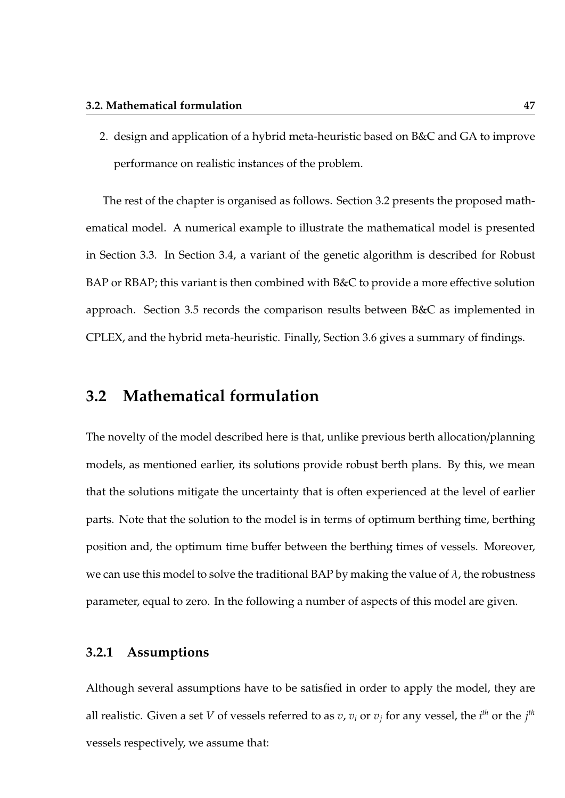2. design and application of a hybrid meta-heuristic based on B&C and GA to improve performance on realistic instances of the problem.

The rest of the chapter is organised as follows. Section 3.2 presents the proposed mathematical model. A numerical example to illustrate the mathematical model is presented in Section 3.3. In Section 3.4, a variant of the genetic algorithm is described for Robust BAP or RBAP; this variant is then combined with B&C to provide a more effective solution approach. Section 3.5 records the comparison results between B&C as implemented in CPLEX, and the hybrid meta-heuristic. Finally, Section 3.6 gives a summary of findings.

## **3.2 Mathematical formulation**

The novelty of the model described here is that, unlike previous berth allocation/planning models, as mentioned earlier, its solutions provide robust berth plans. By this, we mean that the solutions mitigate the uncertainty that is often experienced at the level of earlier parts. Note that the solution to the model is in terms of optimum berthing time, berthing position and, the optimum time buffer between the berthing times of vessels. Moreover, we can use this model to solve the traditional BAP by making the value of  $\lambda$ , the robustness parameter, equal to zero. In the following a number of aspects of this model are given.

## **3.2.1 Assumptions**

Although several assumptions have to be satisfied in order to apply the model, they are all realistic. Given a set *V* of vessels referred to as  $v$ ,  $v_i$  or  $v_j$  for any vessel, the  $i^{th}$  or the  $j^{th}$ vessels respectively, we assume that: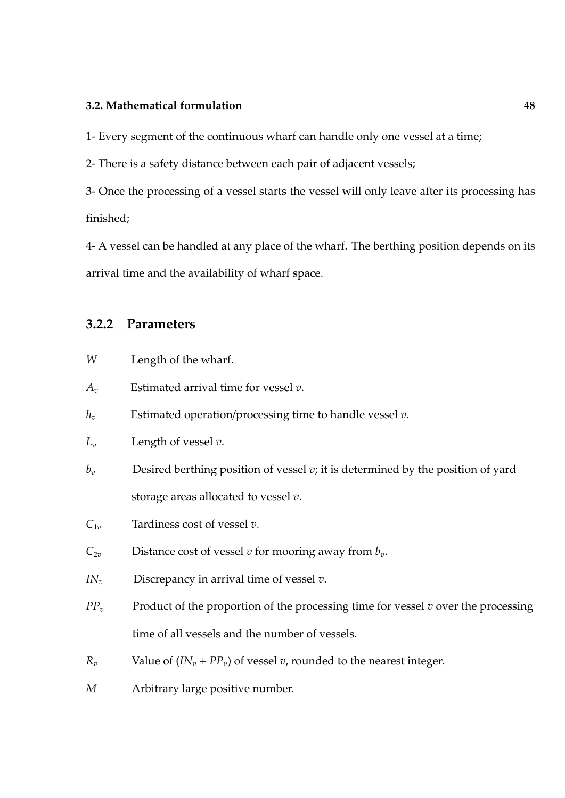### **3.2. Mathematical formulation 48**

1- Every segment of the continuous wharf can handle only one vessel at a time;

2- There is a safety distance between each pair of adjacent vessels;

3- Once the processing of a vessel starts the vessel will only leave after its processing has finished;

4- A vessel can be handled at any place of the wharf. The berthing position depends on its arrival time and the availability of wharf space.

## **3.2.2 Parameters**

- *W* Length of the wharf.
- *A<sup>v</sup>* Estimated arrival time for vessel *v*.
- *h<sup>v</sup>* Estimated operation/processing time to handle vessel *v*.
- *L<sup>v</sup>* Length of vessel *v*.
- *b<sup>v</sup>* Desired berthing position of vessel *v*; it is determined by the position of yard storage areas allocated to vessel *v*.
- *C*1*<sup>v</sup>* Tardiness cost of vessel *v*.
- $C_{2v}$  Distance cost of vessel *v* for mooring away from  $b_v$ .
- *IN<sup>v</sup>* Discrepancy in arrival time of vessel *v*.
- *PP*<sup>*v*</sup> Product of the proportion of the processing time for vessel *v* over the processing time of all vessels and the number of vessels.
- *R*<sup>*v*</sup> Value of  $(IN_v + PP_v)$  of vessel *v*, rounded to the nearest integer.
- *M* Arbitrary large positive number.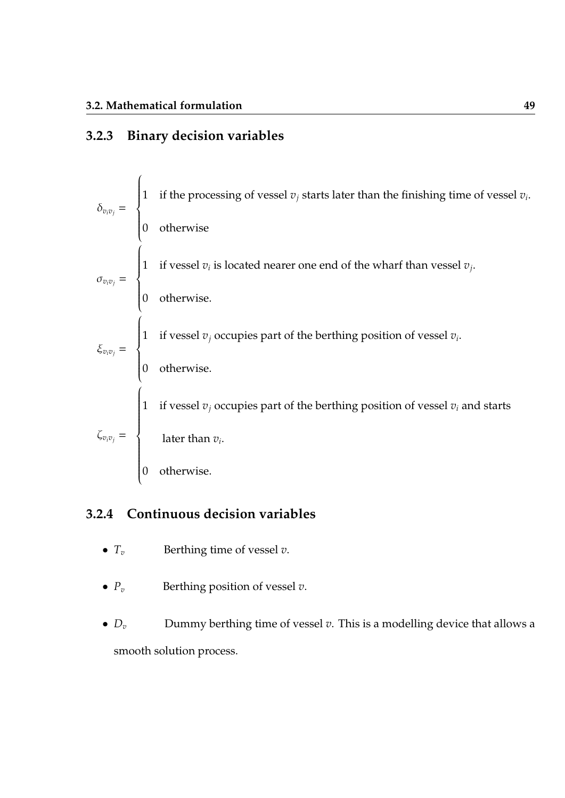## **3.2.3 Binary decision variables**

|  | $\delta_{v_i v_j}$ = $\begin{cases} 1 & \text{if the processing of vessel } v_j \text{ starts later than the finishing time of vessel } v_i. \\ 0 & \text{otherwise} \end{cases}$                                  |
|--|--------------------------------------------------------------------------------------------------------------------------------------------------------------------------------------------------------------------|
|  |                                                                                                                                                                                                                    |
|  | $\sigma_{v_i v_j} = \begin{cases} 1 & \text{if vessel } v_i \text{ is located nearer one end of the what from vessel } v_j. \\ 0 & \text{otherwise.} \end{cases}$                                                  |
|  |                                                                                                                                                                                                                    |
|  | $\xi_{v_i v_j}$ = $\begin{cases} 1 & \text{if vessel } v_j \text{ occupies part of the berthing position of vessel } v_i. \\ 0 & \text{otherwise.} \end{cases}$                                                    |
|  |                                                                                                                                                                                                                    |
|  | $\zeta_{v_iv_j} = \begin{cases} 1 & \text{if vessel } v_j \text{ occupies part of the berthing position of vessel } v_i \text{ and starts} \\ & \text{later than } v_i. \\ & \\ 0 & \text{otherwise.} \end{cases}$ |
|  |                                                                                                                                                                                                                    |
|  |                                                                                                                                                                                                                    |

## **3.2.4 Continuous decision variables**

- $T_v$  Berthing time of vessel  $v$ .
- $P_v$  Berthing position of vessel  $v$ .
- $D_v$  Dummy berthing time of vessel  $v$ . This is a modelling device that allows a smooth solution process.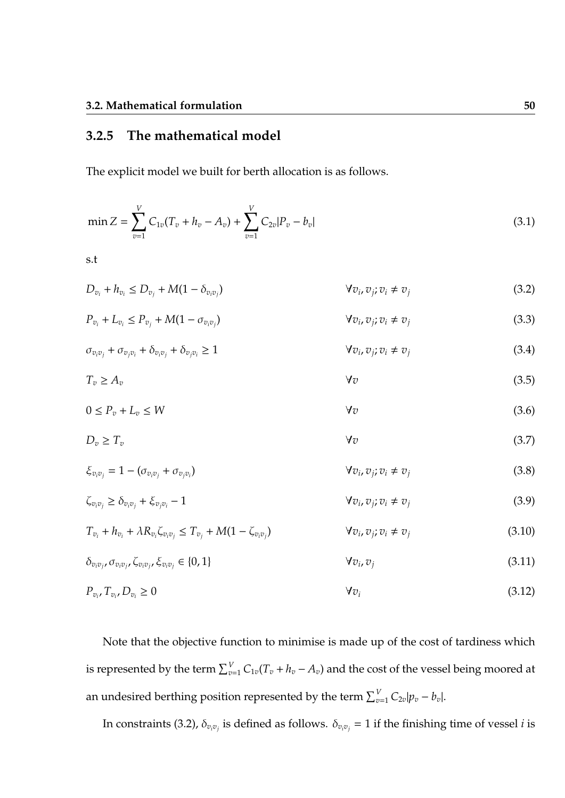## **3.2.5 The mathematical model**

The explicit model we built for berth allocation is as follows.

$$
\min Z = \sum_{v=1}^{V} C_{1v} (T_v + h_v - A_v) + \sum_{v=1}^{V} C_{2v} |P_v - b_v|
$$
\n(3.1)

s.t

$$
D_{v_i} + h_{v_i} \le D_{v_j} + M(1 - \delta_{v_i v_j})
$$
\n
$$
\forall v_i, v_j; v_i \ne v_j
$$
\n
$$
(3.2)
$$

$$
P_{v_i} + L_{v_i} \le P_{v_j} + M(1 - \sigma_{v_i v_j}) \qquad \qquad \forall v_i, v_j; v_i \ne v_j \qquad (3.3)
$$

$$
\sigma_{v_i v_j} + \sigma_{v_j v_i} + \delta_{v_i v_j} + \delta_{v_j v_i} \ge 1 \qquad \qquad \forall v_i, v_j; v_i \ne v_j \qquad (3.4)
$$

$$
T_v \ge A_v \tag{3.5}
$$

$$
0 \le P_v + L_v \le W \tag{3.6}
$$

$$
D_v \ge T_v \tag{3.7}
$$

$$
\xi_{v_i v_j} = 1 - (\sigma_{v_i v_j} + \sigma_{v_j v_i})
$$
\n
$$
\forall v_i, v_j; v_i \neq v_j
$$
\n(3.8)

$$
\zeta_{v_i v_j} \ge \delta_{v_i v_j} + \xi_{v_j v_i} - 1 \tag{3.9}
$$

$$
T_{v_i} + h_{v_i} + \lambda R_{v_i} \zeta_{v_i v_j} \le T_{v_j} + M(1 - \zeta_{v_i v_j}) \qquad \forall v_i, v_j; v_i \ne v_j \qquad (3.10)
$$

$$
\delta_{v_i v_j}, \sigma_{v_i v_j}, \zeta_{v_i v_j}, \xi_{v_i v_j} \in \{0, 1\}
$$
\n
$$
\forall v_i, v_j
$$
\n(3.11)

$$
P_{v_i}, T_{v_i}, D_{v_i} \ge 0 \tag{3.12}
$$

Note that the objective function to minimise is made up of the cost of tardiness which is represented by the term  $\sum_{v=1}^{V} C_{1v}(T_v + h_v - A_v)$  and the cost of the vessel being moored at an undesired berthing position represented by the term  $\sum_{v=1}^{V} C_{2v} |p_v - b_v|$ .

In constraints (3.2),  $\delta_{v_iv_j}$  is defined as follows.  $\delta_{v_iv_j}=1$  if the finishing time of vessel  $i$  is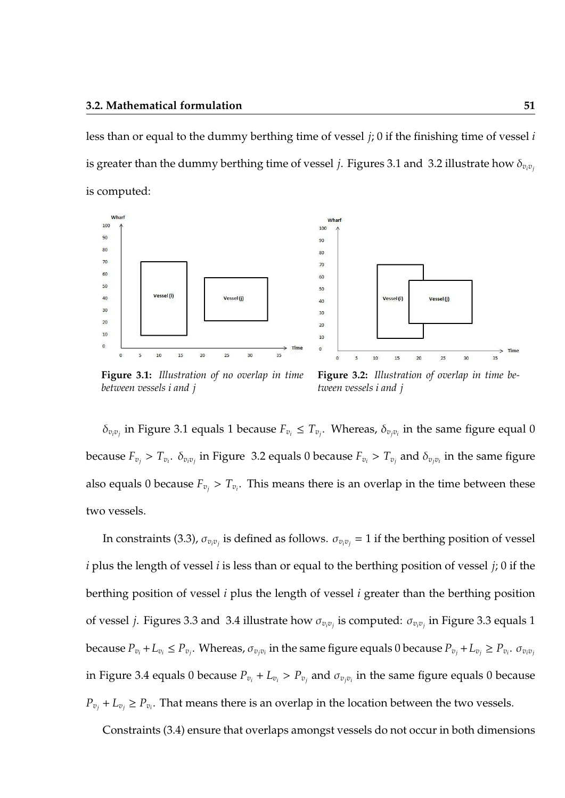less than or equal to the dummy berthing time of vessel *j*; 0 if the finishing time of vessel *i* is greater than the dummy berthing time of vessel *j*. Figures 3.1 and 3.2 illustrate how  $\delta_{v_i v_j}$ is computed:





**Figure 3.1:** *Illustration of no overlap in time between vessels i and j*

**Figure 3.2:** *Illustration of overlap in time between vessels i and j*

 $\delta_{v_i v_j}$  in Figure 3.1 equals 1 because  $F_{v_i} \leq T_{v_j}$ . Whereas,  $\delta_{v_j v_i}$  in the same figure equal 0 because  $F_{v_j} > T_{v_i}$ .  $\delta_{v_i v_j}$  in Figure 3.2 equals 0 because  $F_{v_i} > T_{v_j}$  and  $\delta_{v_j v_i}$  in the same figure also equals 0 because  $F_{v_j} > T_{v_i}$ . This means there is an overlap in the time between these two vessels.

In constraints (3.3),  $\sigma_{v_iv_j}$  is defined as follows.  $\sigma_{v_iv_j}=1$  if the berthing position of vessel *i* plus the length of vessel *i* is less than or equal to the berthing position of vessel *j*; 0 if the berthing position of vessel *i* plus the length of vessel *i* greater than the berthing position of vessel *j*. Figures 3.3 and 3.4 illustrate how σ*<sup>v</sup>iv<sup>j</sup>* is computed: σ*<sup>v</sup>iv<sup>j</sup>* in Figure 3.3 equals 1 because  $P_{v_i}+L_{v_i}\leq P_{v_j}$ . Whereas,  $\sigma_{v_jv_i}$  in the same figure equals 0 because  $P_{v_j}+L_{v_j}\geq P_{v_i}$ .  $\sigma_{v_iv_j}$ in Figure 3.4 equals 0 because  $P_{v_i} + L_{v_i} > P_{v_j}$  and  $\sigma_{v_j v_i}$  in the same figure equals 0 because  $P_{v_j} + L_{v_j} \ge P_{v_i}$ . That means there is an overlap in the location between the two vessels.

Constraints (3.4) ensure that overlaps amongst vessels do not occur in both dimensions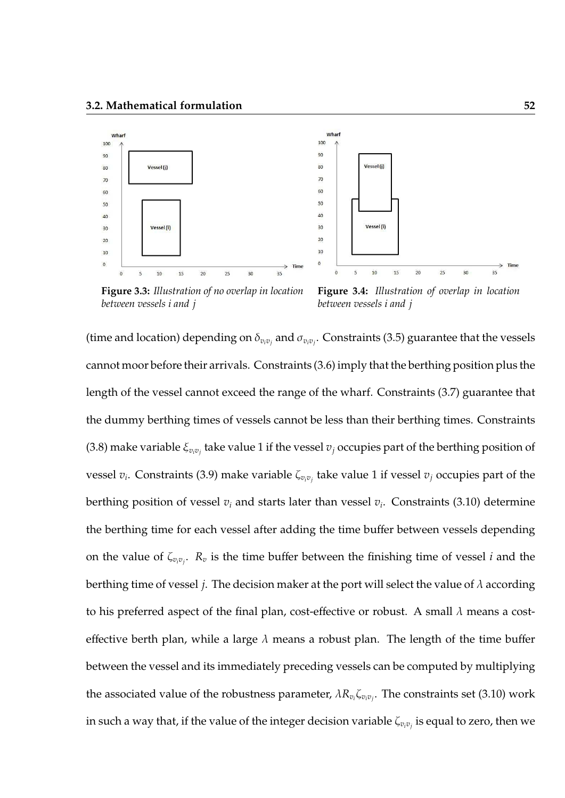

**Figure 3.3:** *Illustration of no overlap in location between vessels i and j*



 $\overline{20}$ 

 $25$ 

 $30<sup>2</sup>$ 

15

Vessel (i)

Vessel (i)

 $\overline{5}$  $10$ 

(time and location) depending on  $\delta_{v_iv_j}$  and  $\sigma_{v_iv_j}$ . Constraints (3.5) guarantee that the vessels cannot moor before their arrivals. Constraints (3.6) imply that the berthing position plus the length of the vessel cannot exceed the range of the wharf. Constraints (3.7) guarantee that the dummy berthing times of vessels cannot be less than their berthing times. Constraints (3.8) make variable  $\xi_{v_iv_j}$  take value 1 if the vessel  $v_j$  occupies part of the berthing position of vessel *v<sup>i</sup>* . Constraints (3.9) make variable ζ*<sup>v</sup>iv<sup>j</sup>* take value 1 if vessel *v<sup>j</sup>* occupies part of the berthing position of vessel *v<sup>i</sup>* and starts later than vessel *v<sup>i</sup>* . Constraints (3.10) determine the berthing time for each vessel after adding the time buffer between vessels depending on the value of  $\zeta_{v_iv_j}$ .  $R_v$  is the time buffer between the finishing time of vessel *i* and the berthing time of vessel *j*. The decision maker at the port will select the value of  $\lambda$  according to his preferred aspect of the final plan, cost-effective or robust. A small  $\lambda$  means a costeffective berth plan, while a large  $\lambda$  means a robust plan. The length of the time buffer between the vessel and its immediately preceding vessels can be computed by multiplying the associated value of the robustness parameter,  $\lambda R_{v_i}\zeta_{v_iv_j}$ . The constraints set (3.10) work in such a way that, if the value of the integer decision variable  $\zeta_{v_iv_j}$  is equal to zero, then we

Time

 $35$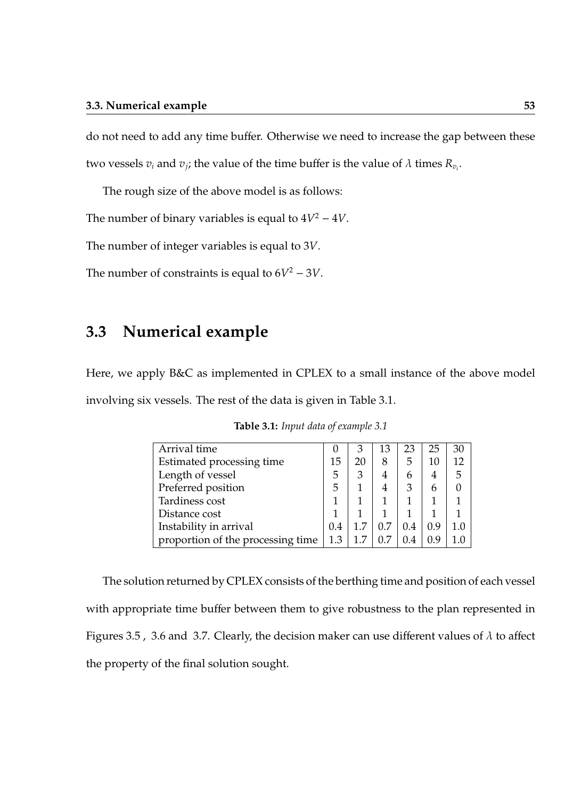do not need to add any time buffer. Otherwise we need to increase the gap between these two vessels  $v_i$  and  $v_j$ ; the value of the time buffer is the value of  $\lambda$  times  $R_{v_i}.$ 

The rough size of the above model is as follows:

The number of binary variables is equal to  $4V^2 - 4V$ .

The number of integer variables is equal to 3*V*.

The number of constraints is equal to  $6V^2 - 3V$ .

## **3.3 Numerical example**

Here, we apply B&C as implemented in CPLEX to a small instance of the above model involving six vessels. The rest of the data is given in Table 3.1.

| Arrival time                      |  | 3  | 13  | 23  | 25  | 30  |
|-----------------------------------|--|----|-----|-----|-----|-----|
| Estimated processing time         |  | 20 | 8   | 5   | 10  | 12  |
| Length of vessel                  |  | 3  |     | 6   | 4   | 5   |
| Preferred position                |  |    |     | 3   | 6   |     |
| Tardiness cost                    |  |    |     |     |     |     |
| Distance cost                     |  |    |     |     |     |     |
| Instability in arrival            |  |    | 0.7 | 0.4 | 0.9 | 1.0 |
| proportion of the processing time |  |    | 0.7 |     | 0.9 |     |

**Table 3.1:** *Input data of example 3.1*

The solution returned by CPLEX consists of the berthing time and position of each vessel with appropriate time buffer between them to give robustness to the plan represented in Figures 3.5, 3.6 and 3.7. Clearly, the decision maker can use different values of  $\lambda$  to affect the property of the final solution sought.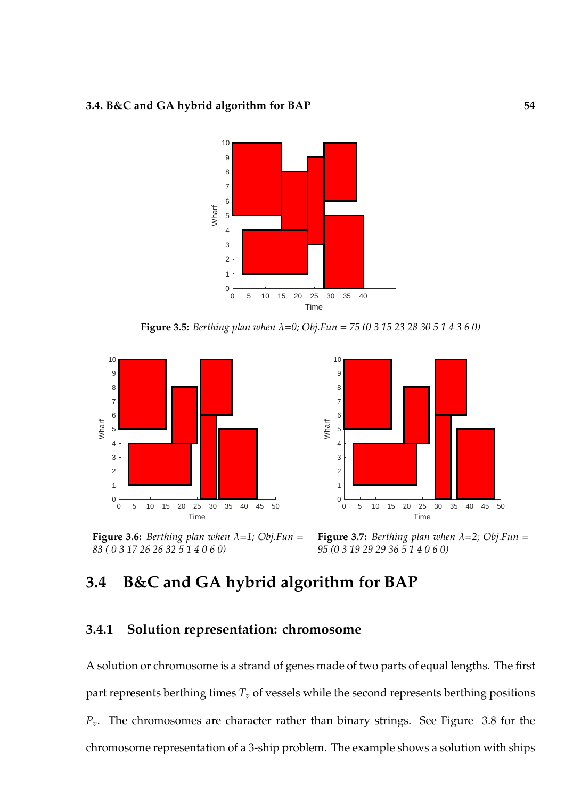

**Figure 3.5:** *Berthing plan when* λ=*0; Obj.Fun* = *75 (0 3 15 23 28 30 5 1 4 3 6 0)*



**Figure 3.6:** *Berthing plan when*  $\lambda = 1$ *; Obj.Fun* = *83 ( 0 3 17 26 26 32 5 1 4 0 6 0)*



**Figure 3.7:** *Berthing plan when*  $\lambda = 2$ *; Obj.Fun* = *95 (0 3 19 29 29 36 5 1 4 0 6 0)*

## **3.4 B&C and GA hybrid algorithm for BAP**

## **3.4.1 Solution representation: chromosome**

A solution or chromosome is a strand of genes made of two parts of equal lengths. The first part represents berthing times  $T<sub>v</sub>$  of vessels while the second represents berthing positions *Pv*. The chromosomes are character rather than binary strings. See Figure 3.8 for the chromosome representation of a 3-ship problem. The example shows a solution with ships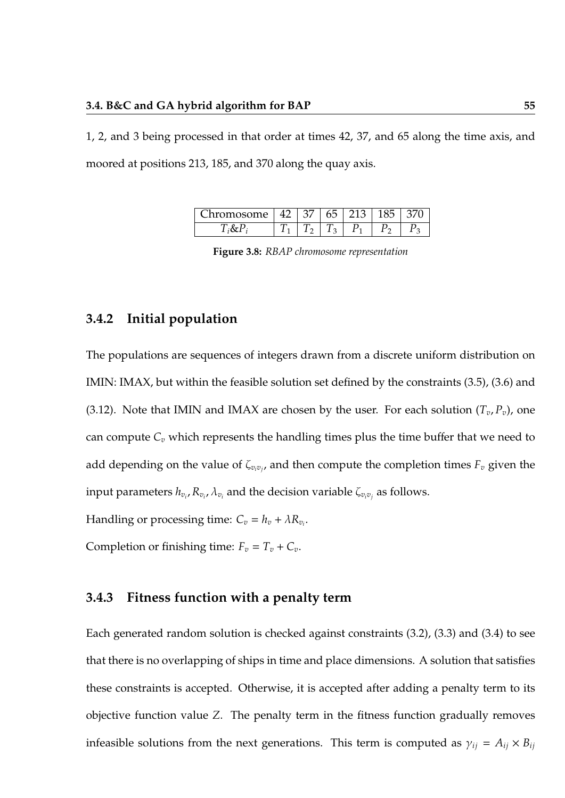1, 2, and 3 being processed in that order at times 42, 37, and 65 along the time axis, and moored at positions 213, 185, and 370 along the quay axis.

| hromosome | 4/ | ხე | $\sim$<br>≺ |  |
|-----------|----|----|-------------|--|
|           |    |    |             |  |

**Figure 3.8:** *RBAP chromosome representation*

## **3.4.2 Initial population**

The populations are sequences of integers drawn from a discrete uniform distribution on IMIN: IMAX, but within the feasible solution set defined by the constraints (3.5), (3.6) and (3.12). Note that IMIN and IMAX are chosen by the user. For each solution  $(T_v, P_v)$ , one can compute  $C_v$  which represents the handling times plus the time buffer that we need to add depending on the value of  $\zeta_{v_iv_j}$ , and then compute the completion times  $F_v$  given the input parameters  $h_{v_i}$ ,  $R_{v_i}$ ,  $\lambda_{v_i}$  and the decision variable  $\zeta_{v_iv_j}$  as follows.

Handling or processing time:  $C_v = h_v + \lambda R_{v_i}$ .

Completion or finishing time:  $F_v = T_v + C_v$ .

### **3.4.3 Fitness function with a penalty term**

Each generated random solution is checked against constraints (3.2), (3.3) and (3.4) to see that there is no overlapping of ships in time and place dimensions. A solution that satisfies these constraints is accepted. Otherwise, it is accepted after adding a penalty term to its objective function value *Z*. The penalty term in the fitness function gradually removes infeasible solutions from the next generations. This term is computed as  $\gamma_{ij} = A_{ij} \times B_{ij}$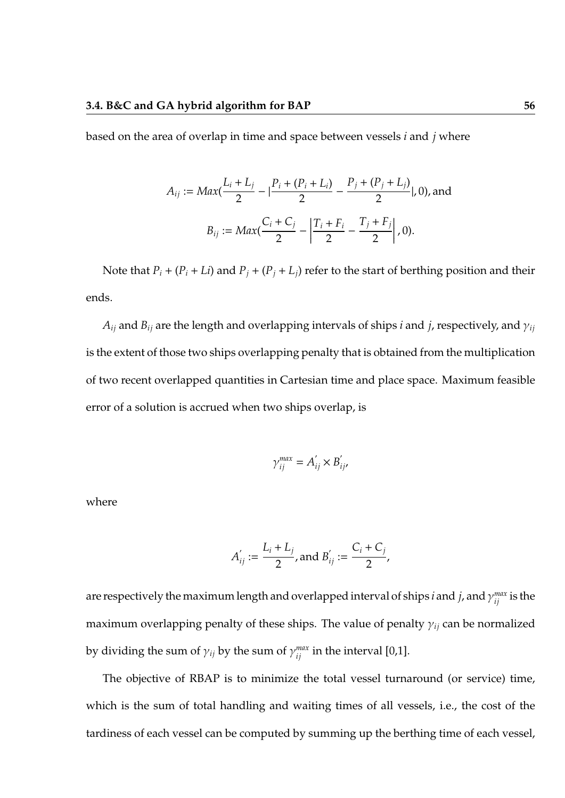based on the area of overlap in time and space between vessels *i* and *j* where

$$
A_{ij} := Max(\frac{L_i + L_j}{2} - |\frac{P_i + (P_i + L_i)}{2} - \frac{P_j + (P_j + L_j)}{2}|, 0),
$$
and  

$$
B_{ij} := Max(\frac{C_i + C_j}{2} - |\frac{T_i + F_i}{2} - \frac{T_j + F_j}{2}|, 0).
$$

Note that  $P_i + (P_i + Li)$  and  $P_j + (P_j + L_j)$  refer to the start of berthing position and their ends.

 $A_{ij}$  and  $B_{ij}$  are the length and overlapping intervals of ships *i* and *j*, respectively, and  $\gamma_{ij}$ is the extent of those two ships overlapping penalty that is obtained from the multiplication of two recent overlapped quantities in Cartesian time and place space. Maximum feasible error of a solution is accrued when two ships overlap, is

$$
\gamma_{ij}^{max} = A'_{ij} \times B'_{ij},
$$

where

$$
A'_{ij} := \frac{L_i + L_j}{2}, \text{ and } B'_{ij} := \frac{C_i + C_j}{2},
$$

are respectively the maximum length and overlapped interval of ships *i* and *j*, and  $\gamma_{ij}^{max}$  is the maximum overlapping penalty of these ships. The value of penalty γ*ij* can be normalized by dividing the sum of  $\gamma_{ij}$  by the sum of  $\gamma_{ij}^{max}$  in the interval [0,1].

The objective of RBAP is to minimize the total vessel turnaround (or service) time, which is the sum of total handling and waiting times of all vessels, i.e., the cost of the tardiness of each vessel can be computed by summing up the berthing time of each vessel,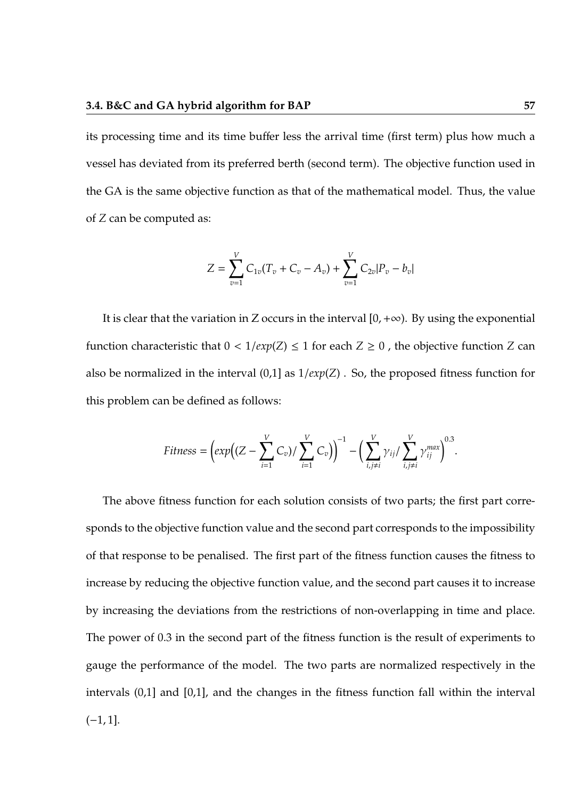its processing time and its time buffer less the arrival time (first term) plus how much a vessel has deviated from its preferred berth (second term). The objective function used in the GA is the same objective function as that of the mathematical model. Thus, the value of *Z* can be computed as:

$$
Z = \sum_{v=1}^{V} C_{1v}(T_v + C_v - A_v) + \sum_{v=1}^{V} C_{2v} |P_v - B_v|
$$

It is clear that the variation in Z occurs in the interval  $[0, +\infty)$ . By using the exponential function characteristic that  $0 < 1/exp(Z) \le 1$  for each  $Z \ge 0$ , the objective function *Z* can also be normalized in the interval (0,1] as 1/*exp*(*Z*) . So, the proposed fitness function for this problem can be defined as follows:

$$
Fitness = \left(exp\left((Z-\sum_{i=1}^{V} C_v)/\sum_{i=1}^{V} C_v\right)\right)^{-1} - \left(\sum_{i,j\neq i}^{V} \gamma_{ij} / \sum_{i,j\neq i}^{V} \gamma_{ij}^{max}\right)^{0.3}.
$$

The above fitness function for each solution consists of two parts; the first part corresponds to the objective function value and the second part corresponds to the impossibility of that response to be penalised. The first part of the fitness function causes the fitness to increase by reducing the objective function value, and the second part causes it to increase by increasing the deviations from the restrictions of non-overlapping in time and place. The power of 0.3 in the second part of the fitness function is the result of experiments to gauge the performance of the model. The two parts are normalized respectively in the intervals (0,1] and [0,1], and the changes in the fitness function fall within the interval  $(-1, 1].$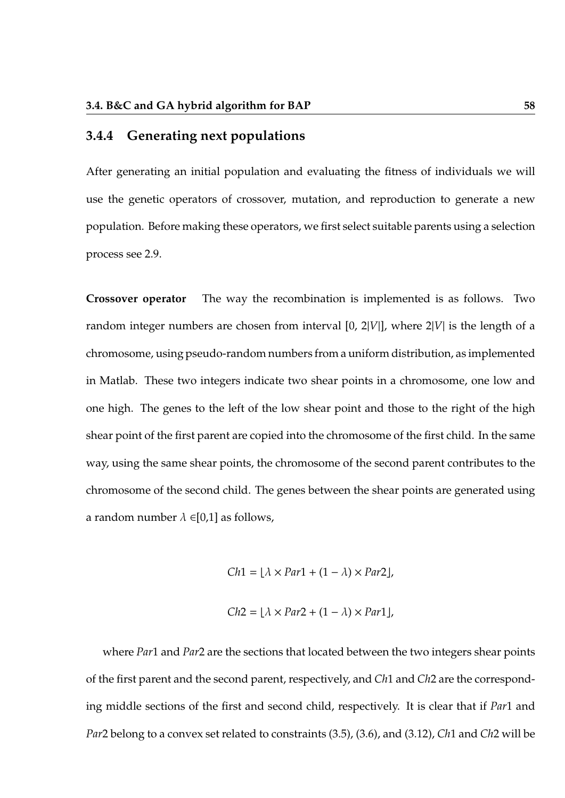### **3.4.4 Generating next populations**

After generating an initial population and evaluating the fitness of individuals we will use the genetic operators of crossover, mutation, and reproduction to generate a new population. Before making these operators, we first select suitable parents using a selection process see 2.9.

**Crossover operator** The way the recombination is implemented is as follows. Two random integer numbers are chosen from interval [0, 2|*V*|], where 2|*V*| is the length of a chromosome, using pseudo-random numbers from a uniform distribution, as implemented in Matlab. These two integers indicate two shear points in a chromosome, one low and one high. The genes to the left of the low shear point and those to the right of the high shear point of the first parent are copied into the chromosome of the first child. In the same way, using the same shear points, the chromosome of the second parent contributes to the chromosome of the second child. The genes between the shear points are generated using a random number  $\lambda \in [0,1]$  as follows,

$$
Ch1 = \lfloor \lambda \times Par1 + (1 - \lambda) \times Par2 \rfloor,
$$

$$
Ch2 = \lfloor \lambda \times Par2 + (1 - \lambda) \times Par1 \rfloor,
$$

where *Par*1 and *Par*2 are the sections that located between the two integers shear points of the first parent and the second parent, respectively, and *Ch*1 and *Ch*2 are the corresponding middle sections of the first and second child, respectively. It is clear that if *Par*1 and *Par*2 belong to a convex set related to constraints (3.5), (3.6), and (3.12), *Ch*1 and *Ch*2 will be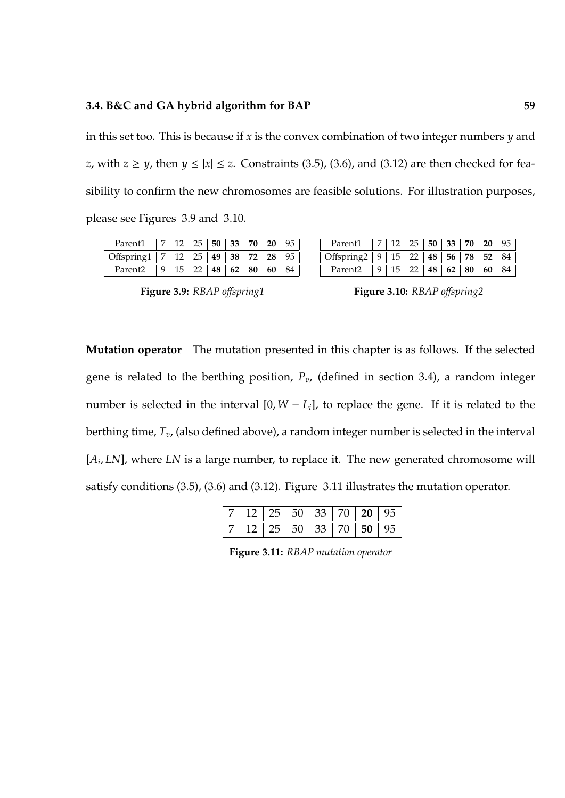in this set too. This is because if *x* is the convex combination of two integer numbers *y* and *z*, with  $z \geq y$ , then  $y \leq |x| \leq z$ . Constraints (3.5), (3.6), and (3.12) are then checked for feasibility to confirm the new chromosomes are feasible solutions. For illustration purposes, please see Figures 3.9 and 3.10.

| Parent1                                       | $\vert 7 \vert$ |           |              | 2   25   50   33   70   20   95 |  |
|-----------------------------------------------|-----------------|-----------|--------------|---------------------------------|--|
| Offspring 1   7   12   25   49   38   72   28 |                 |           |              |                                 |  |
| Parent2                                       |                 | $15$   22 | 48   62   80 | 60                              |  |

| Figure 3.9: RBAP offspring1 |  |  |  |
|-----------------------------|--|--|--|
|                             |  |  |  |

| Parent1                                           |   |                     |              | 7 12 25 50 33 70 20 |  |
|---------------------------------------------------|---|---------------------|--------------|---------------------|--|
| )ffspring2   9   15   22   48   56   78   52   84 |   |                     |              |                     |  |
| Parent?                                           | 9 | $15 \perp 22 \perp$ | 48   62   80 | 60 <sup>1</sup>     |  |

| <b>Figure 3.10:</b> RBAP offspring2 |  |
|-------------------------------------|--|
|-------------------------------------|--|

**Mutation operator** The mutation presented in this chapter is as follows. If the selected gene is related to the berthing position, *Pv*, (defined in section 3.4), a random integer number is selected in the interval  $[0, W - L_i]$ , to replace the gene. If it is related to the berthing time, *Tv*, (also defined above), a random integer number is selected in the interval [*A<sup>i</sup>* , *LN*], where *LN* is a large number, to replace it. The new generated chromosome will satisfy conditions (3.5), (3.6) and (3.12). Figure 3.11 illustrates the mutation operator.

**Figure 3.11:** *RBAP mutation operator*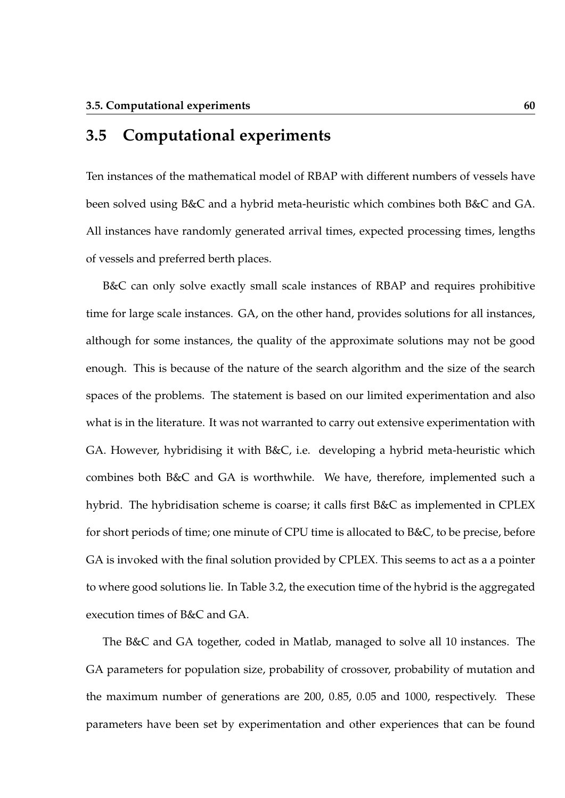## **3.5 Computational experiments**

Ten instances of the mathematical model of RBAP with different numbers of vessels have been solved using B&C and a hybrid meta-heuristic which combines both B&C and GA. All instances have randomly generated arrival times, expected processing times, lengths of vessels and preferred berth places.

B&C can only solve exactly small scale instances of RBAP and requires prohibitive time for large scale instances. GA, on the other hand, provides solutions for all instances, although for some instances, the quality of the approximate solutions may not be good enough. This is because of the nature of the search algorithm and the size of the search spaces of the problems. The statement is based on our limited experimentation and also what is in the literature. It was not warranted to carry out extensive experimentation with GA. However, hybridising it with B&C, i.e. developing a hybrid meta-heuristic which combines both B&C and GA is worthwhile. We have, therefore, implemented such a hybrid. The hybridisation scheme is coarse; it calls first B&C as implemented in CPLEX for short periods of time; one minute of CPU time is allocated to B&C, to be precise, before GA is invoked with the final solution provided by CPLEX. This seems to act as a a pointer to where good solutions lie. In Table 3.2, the execution time of the hybrid is the aggregated execution times of B&C and GA.

The B&C and GA together, coded in Matlab, managed to solve all 10 instances. The GA parameters for population size, probability of crossover, probability of mutation and the maximum number of generations are 200, 0.85, 0.05 and 1000, respectively. These parameters have been set by experimentation and other experiences that can be found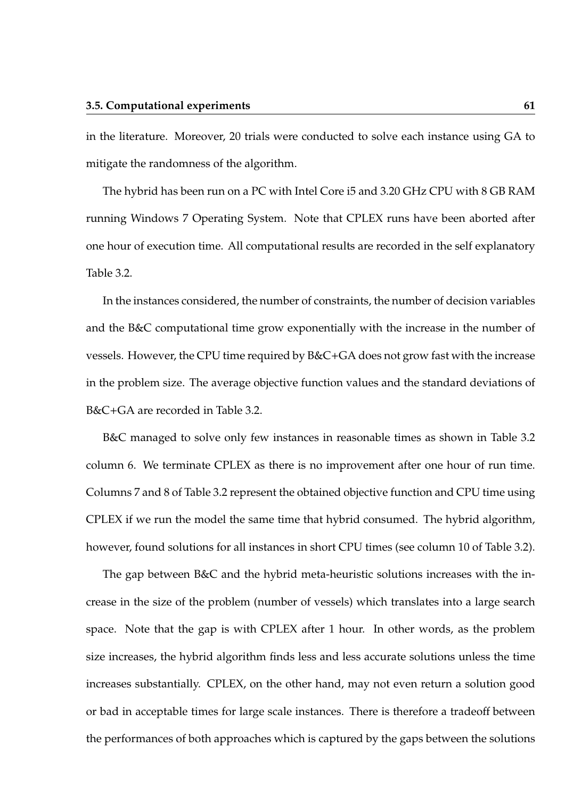in the literature. Moreover, 20 trials were conducted to solve each instance using GA to mitigate the randomness of the algorithm.

The hybrid has been run on a PC with Intel Core i5 and 3.20 GHz CPU with 8 GB RAM running Windows 7 Operating System. Note that CPLEX runs have been aborted after one hour of execution time. All computational results are recorded in the self explanatory Table 3.2.

In the instances considered, the number of constraints, the number of decision variables and the B&C computational time grow exponentially with the increase in the number of vessels. However, the CPU time required by B&C+GA does not grow fast with the increase in the problem size. The average objective function values and the standard deviations of B&C+GA are recorded in Table 3.2.

B&C managed to solve only few instances in reasonable times as shown in Table 3.2 column 6. We terminate CPLEX as there is no improvement after one hour of run time. Columns 7 and 8 of Table 3.2 represent the obtained objective function and CPU time using CPLEX if we run the model the same time that hybrid consumed. The hybrid algorithm, however, found solutions for all instances in short CPU times (see column 10 of Table 3.2).

The gap between B&C and the hybrid meta-heuristic solutions increases with the increase in the size of the problem (number of vessels) which translates into a large search space. Note that the gap is with CPLEX after 1 hour. In other words, as the problem size increases, the hybrid algorithm finds less and less accurate solutions unless the time increases substantially. CPLEX, on the other hand, may not even return a solution good or bad in acceptable times for large scale instances. There is therefore a tradeoff between the performances of both approaches which is captured by the gaps between the solutions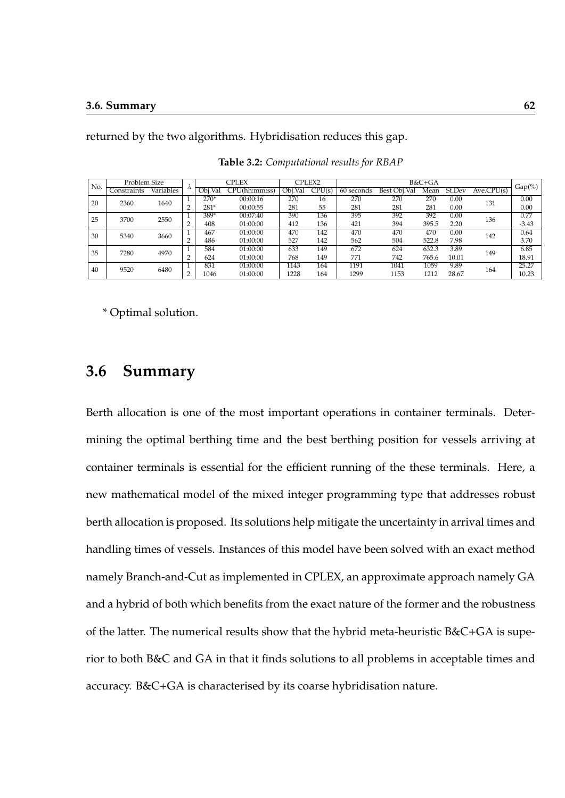returned by the two algorithms. Hybridisation reduces this gap.

| Problem Size<br>No. |                    |           |            | CPLEX    |               | CPLEX2  |        |            | B&C+GA       |       |        |            |           |
|---------------------|--------------------|-----------|------------|----------|---------------|---------|--------|------------|--------------|-------|--------|------------|-----------|
|                     | Constraints        | Variables | $\sqrt{2}$ | Obi.Val  | CPU(hh:mm:ss) | Obi.Val | CPU(s) | 60 seconds | Best Obi.Val | Mean  | St.Dev | Ave.CPU(s) | $Gap(\%)$ |
| -20                 | 1640<br>2360       |           | $270*$     | 00:00:16 | 270           | 16      | 270    | 270        | 270          | 0.00  | 131    | 0.00       |           |
|                     |                    |           | c          | $281*$   | 00:00:55      | 281     | 55     | 281        | 281          | 281   | 0.00   |            | 0.00      |
|                     | 25<br>2550<br>3700 |           | 389*       | 00:07:40 | 390           | 136     | 395    | 392        | 392          | 0.00  | 136    | 0.77       |           |
|                     |                    |           | c          | 408      | 01:00:00      | 412     | 136    | 421        | 394          | 395.5 | 2.20   |            | $-3.43$   |
| 30                  | 5340               | 3660      |            | 467      | 01:00:00      | 470     | 142    | 470        | 470          | 470   | 0.00   | 142        | 0.64      |
|                     |                    |           | c          | 486      | 01:00:00      | 527     | 142    | 562        | 504          | 522.8 | 7.98   |            | 3.70      |
| 35                  | 7280               | 4970      |            | 584      | 01:00:00      | 633     | 149    | 672        | 624          | 632.3 | 3.89   | 149        | 6.85      |
|                     |                    | c         | 624        | 01:00:00 | 768           | 149     | 771    | 742        | 765.6        | 10.01 |        | 18.91      |           |
| 40                  | 9520               | 6480      |            | 831      | 01:00:00      | 1143    | 164    | 1191       | 1041         | 1059  | 9.89   | 164        | 25.27     |
|                     |                    |           | c          | 1046     | 01:00:00      | 1228    | 164    | 1299       | 1153         | 1212  | 28.67  |            | 10.23     |

**Table 3.2:** *Computational results for RBAP*

\* Optimal solution.

## **3.6 Summary**

Berth allocation is one of the most important operations in container terminals. Determining the optimal berthing time and the best berthing position for vessels arriving at container terminals is essential for the efficient running of the these terminals. Here, a new mathematical model of the mixed integer programming type that addresses robust berth allocation is proposed. Its solutions help mitigate the uncertainty in arrival times and handling times of vessels. Instances of this model have been solved with an exact method namely Branch-and-Cut as implemented in CPLEX, an approximate approach namely GA and a hybrid of both which benefits from the exact nature of the former and the robustness of the latter. The numerical results show that the hybrid meta-heuristic B&C+GA is superior to both B&C and GA in that it finds solutions to all problems in acceptable times and accuracy. B&C+GA is characterised by its coarse hybridisation nature.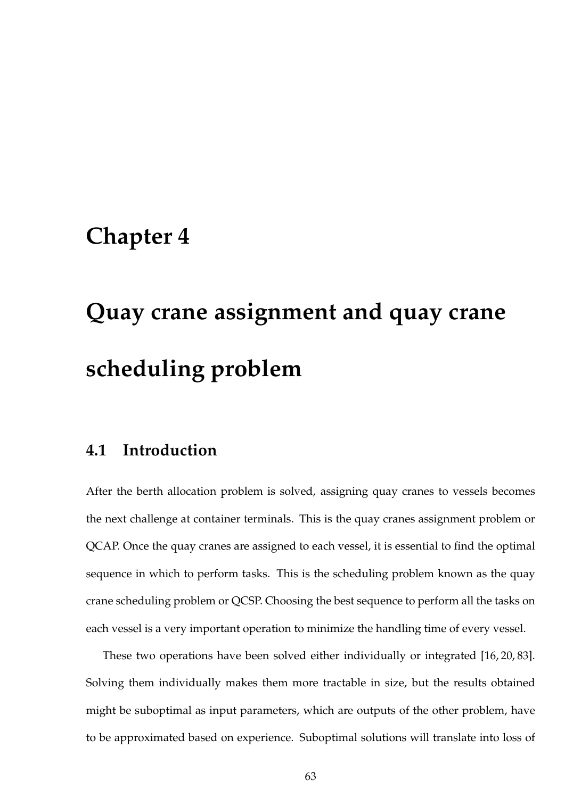# **Chapter 4**

# **Quay crane assignment and quay crane scheduling problem**

## **4.1 Introduction**

After the berth allocation problem is solved, assigning quay cranes to vessels becomes the next challenge at container terminals. This is the quay cranes assignment problem or QCAP. Once the quay cranes are assigned to each vessel, it is essential to find the optimal sequence in which to perform tasks. This is the scheduling problem known as the quay crane scheduling problem or QCSP. Choosing the best sequence to perform all the tasks on each vessel is a very important operation to minimize the handling time of every vessel.

These two operations have been solved either individually or integrated [16, 20, 83]. Solving them individually makes them more tractable in size, but the results obtained might be suboptimal as input parameters, which are outputs of the other problem, have to be approximated based on experience. Suboptimal solutions will translate into loss of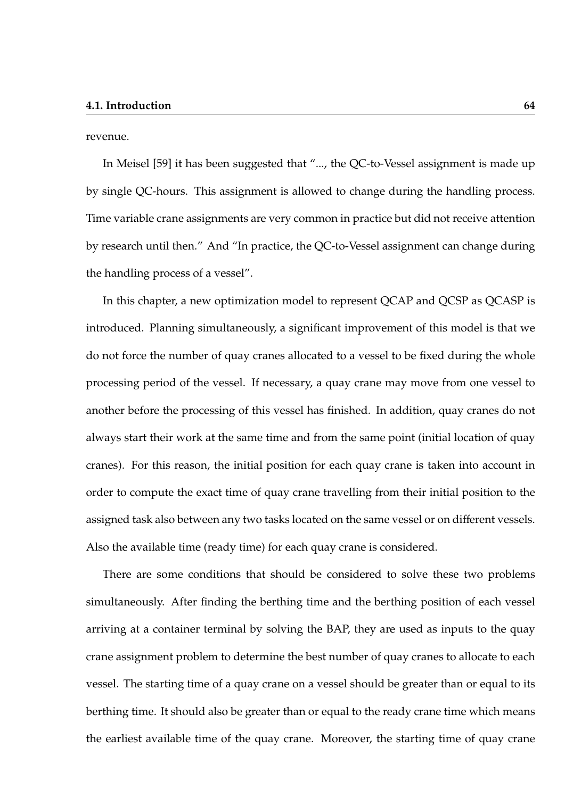revenue.

In Meisel [59] it has been suggested that "..., the QC-to-Vessel assignment is made up by single QC-hours. This assignment is allowed to change during the handling process. Time variable crane assignments are very common in practice but did not receive attention by research until then." And "In practice, the QC-to-Vessel assignment can change during the handling process of a vessel".

In this chapter, a new optimization model to represent QCAP and QCSP as QCASP is introduced. Planning simultaneously, a significant improvement of this model is that we do not force the number of quay cranes allocated to a vessel to be fixed during the whole processing period of the vessel. If necessary, a quay crane may move from one vessel to another before the processing of this vessel has finished. In addition, quay cranes do not always start their work at the same time and from the same point (initial location of quay cranes). For this reason, the initial position for each quay crane is taken into account in order to compute the exact time of quay crane travelling from their initial position to the assigned task also between any two tasks located on the same vessel or on different vessels. Also the available time (ready time) for each quay crane is considered.

There are some conditions that should be considered to solve these two problems simultaneously. After finding the berthing time and the berthing position of each vessel arriving at a container terminal by solving the BAP, they are used as inputs to the quay crane assignment problem to determine the best number of quay cranes to allocate to each vessel. The starting time of a quay crane on a vessel should be greater than or equal to its berthing time. It should also be greater than or equal to the ready crane time which means the earliest available time of the quay crane. Moreover, the starting time of quay crane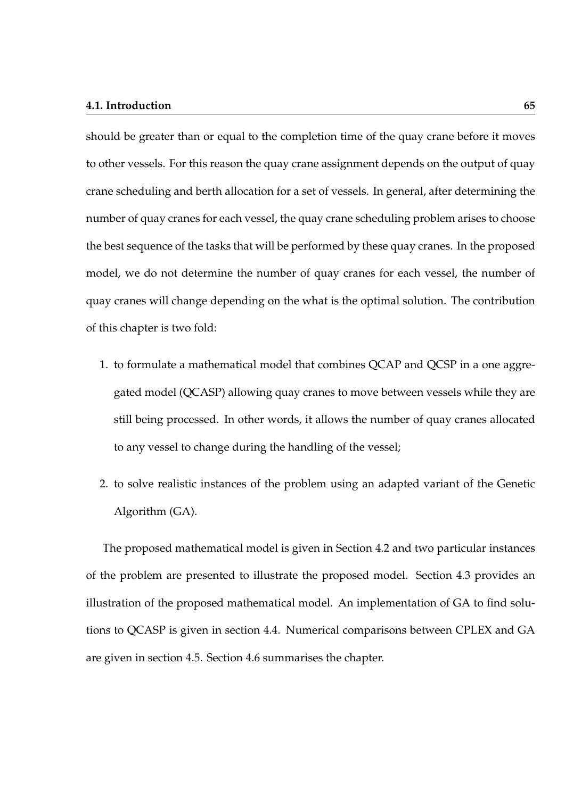#### **4.1. Introduction 65**

should be greater than or equal to the completion time of the quay crane before it moves to other vessels. For this reason the quay crane assignment depends on the output of quay crane scheduling and berth allocation for a set of vessels. In general, after determining the number of quay cranes for each vessel, the quay crane scheduling problem arises to choose the best sequence of the tasks that will be performed by these quay cranes. In the proposed model, we do not determine the number of quay cranes for each vessel, the number of quay cranes will change depending on the what is the optimal solution. The contribution of this chapter is two fold:

- 1. to formulate a mathematical model that combines QCAP and QCSP in a one aggregated model (QCASP) allowing quay cranes to move between vessels while they are still being processed. In other words, it allows the number of quay cranes allocated to any vessel to change during the handling of the vessel;
- 2. to solve realistic instances of the problem using an adapted variant of the Genetic Algorithm (GA).

The proposed mathematical model is given in Section 4.2 and two particular instances of the problem are presented to illustrate the proposed model. Section 4.3 provides an illustration of the proposed mathematical model. An implementation of GA to find solutions to QCASP is given in section 4.4. Numerical comparisons between CPLEX and GA are given in section 4.5. Section 4.6 summarises the chapter.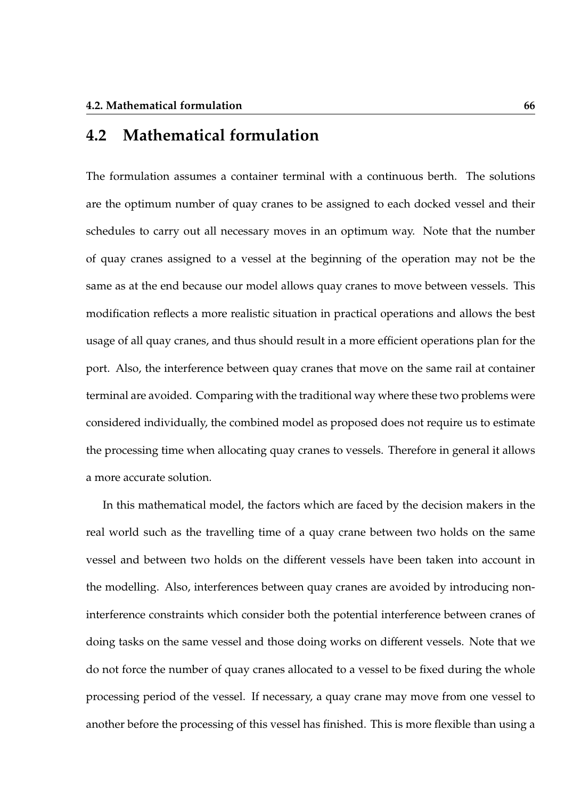## **4.2 Mathematical formulation**

The formulation assumes a container terminal with a continuous berth. The solutions are the optimum number of quay cranes to be assigned to each docked vessel and their schedules to carry out all necessary moves in an optimum way. Note that the number of quay cranes assigned to a vessel at the beginning of the operation may not be the same as at the end because our model allows quay cranes to move between vessels. This modification reflects a more realistic situation in practical operations and allows the best usage of all quay cranes, and thus should result in a more efficient operations plan for the port. Also, the interference between quay cranes that move on the same rail at container terminal are avoided. Comparing with the traditional way where these two problems were considered individually, the combined model as proposed does not require us to estimate the processing time when allocating quay cranes to vessels. Therefore in general it allows a more accurate solution.

In this mathematical model, the factors which are faced by the decision makers in the real world such as the travelling time of a quay crane between two holds on the same vessel and between two holds on the different vessels have been taken into account in the modelling. Also, interferences between quay cranes are avoided by introducing noninterference constraints which consider both the potential interference between cranes of doing tasks on the same vessel and those doing works on different vessels. Note that we do not force the number of quay cranes allocated to a vessel to be fixed during the whole processing period of the vessel. If necessary, a quay crane may move from one vessel to another before the processing of this vessel has finished. This is more flexible than using a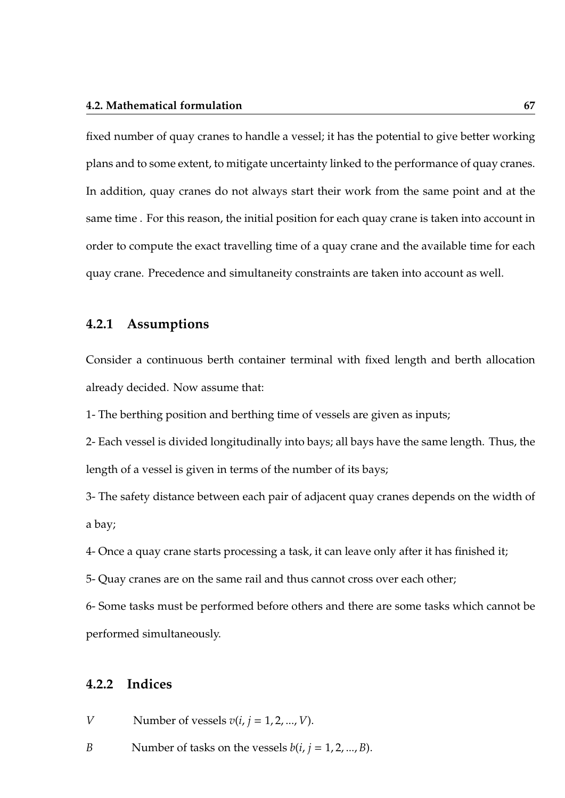#### **4.2. Mathematical formulation 67**

fixed number of quay cranes to handle a vessel; it has the potential to give better working plans and to some extent, to mitigate uncertainty linked to the performance of quay cranes. In addition, quay cranes do not always start their work from the same point and at the same time . For this reason, the initial position for each quay crane is taken into account in order to compute the exact travelling time of a quay crane and the available time for each quay crane. Precedence and simultaneity constraints are taken into account as well.

#### **4.2.1 Assumptions**

Consider a continuous berth container terminal with fixed length and berth allocation already decided. Now assume that:

1- The berthing position and berthing time of vessels are given as inputs;

2- Each vessel is divided longitudinally into bays; all bays have the same length. Thus, the length of a vessel is given in terms of the number of its bays;

3- The safety distance between each pair of adjacent quay cranes depends on the width of a bay;

4- Once a quay crane starts processing a task, it can leave only after it has finished it;

5- Quay cranes are on the same rail and thus cannot cross over each other;

6- Some tasks must be performed before others and there are some tasks which cannot be performed simultaneously.

### **4.2.2 Indices**

*V* Number of vessels  $v(i, j = 1, 2, ..., V)$ .

*B* Number of tasks on the vessels  $b(i, j = 1, 2, ..., B)$ .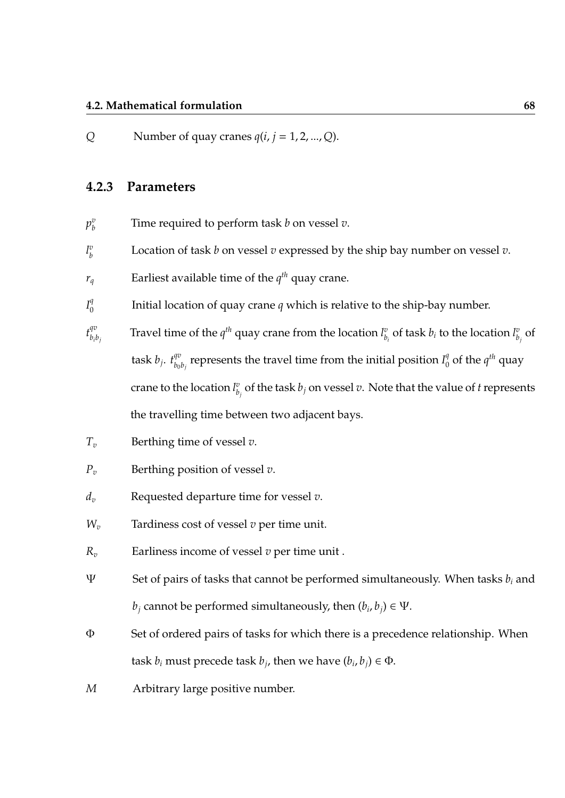#### **4.2. Mathematical formulation 68**

*Q* Number of quay cranes  $q(i, j = 1, 2, ..., Q)$ .

#### **4.2.3 Parameters**

- $p^v_h$ *b* Time required to perform task *b* on vessel *v*.
- *l v b* Location of task *b* on vessel *v* expressed by the ship bay number on vessel *v*.
- $r_q$  Earliest available time of the  $q^{th}$  quay crane.
- $I_0^q$  $\boldsymbol{0}$ Initial location of quay crane *q* which is relative to the ship-bay number.
- $t_{h,i}^{qv}$ *bib<sup>j</sup>* Travel time of the  $q^{th}$  quay crane from the location  $l_h^v$  $\binom{v}{b_i}$  of task  $b_i$  to the location  $l^v_b$  $\int_{b_j}^v$  of task  $b_j$ .  $t_{b_0}^{qv}$  $\theta^{qv}_{b_0b_j}$  represents the travel time from the initial position  $I^q_0$  $\int_0^q$  of the  $q^{th}$  quay crane to the location *l v*  $\frac{v}{b_j}$  of the task  $b_j$  on vessel  $v$ . Note that the value of  $t$  represents the travelling time between two adjacent bays.
- *T<sup>v</sup>* Berthing time of vessel *v*.
- *P<sup>v</sup>* Berthing position of vessel *v*.
- *d<sup>v</sup>* Requested departure time for vessel *v*.
- *W<sup>v</sup>* Tardiness cost of vessel *v* per time unit.
- *R<sup>v</sup>* Earliness income of vessel *v* per time unit .
- Ψ Set of pairs of tasks that cannot be performed simultaneously. When tasks *b<sup>i</sup>* and *b*<sub>*j*</sub> cannot be performed simultaneously, then  $(b_i, b_j) \in \Psi$ .
- Φ Set of ordered pairs of tasks for which there is a precedence relationship. When task  $b_i$  must precede task  $b_j$ , then we have  $(b_i, b_j) \in \Phi$ .
- *M* Arbitrary large positive number.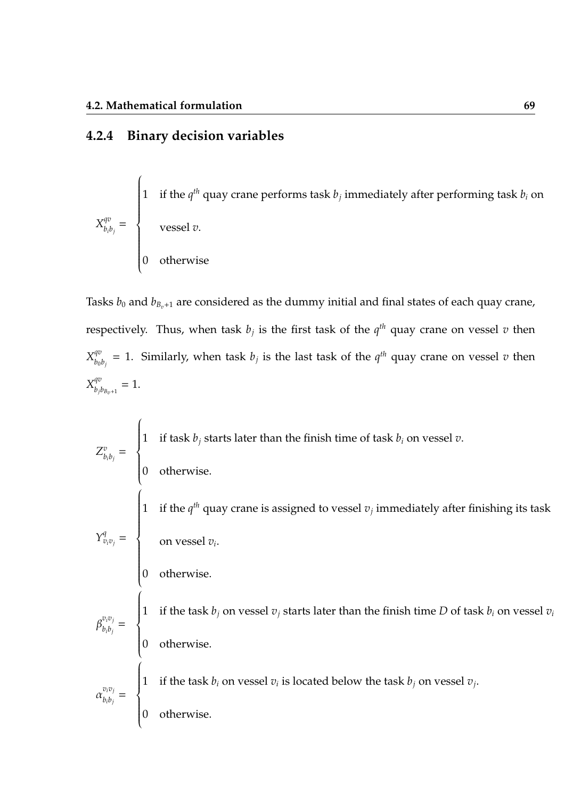## **4.2.4 Binary decision variables**

 $X^{qv}_{h}$  $\frac{q^{\sigma}}{b_i b_j} =$  $\sqrt{ }$  $\left\{\rule{0cm}{0.15mm}\right.$  1 if the  $q^{th}$  quay crane performs task  $b_j$  immediately after performing task  $b_i$  on vessel *v*. 0 otherwise

Tasks  $b_0$  and  $b_{B_v+1}$  are considered as the dummy initial and final states of each quay crane, respectively. Thus, when task  $b_j$  is the first task of the  $q^{th}$  quay crane on vessel  $v$  then  $X_{h_0}^{qv}$  $\theta^v_{b_0b_j}=1.$  Similarly, when task  $b_j$  is the last task of the  $q^{th}$  quay crane on vessel  $v$  then  $X^{qv}_{h}$  $b_{j}b_{B_{v}+1} = 1.$ 

 $Z_h^v$  $\frac{v}{b_ib_j}$  =  $\sqrt{ }$  $\left\{\right.$  $\begin{array}{c} \hline \end{array}$ 1 if task *b<sup>j</sup>* starts later than the finish time of task *b<sup>i</sup>* on vessel *v*. 0 otherwise.  $Y^q_{v_i v_j} =$  $\sqrt{ }$  $\left\{\rule{0cm}{0.15mm}\right\}$  1 if the  $q^{th}$  quay crane is assigned to vessel  $v_j$  immediately after finishing its task on vessel *v<sup>i</sup>* . 0 otherwise.  $\beta_{h:h}^{v_i v_j}$  $\frac{b_i b_j}{b_i b_j}$  =  $\sqrt{ }$  $\left\{\right.$  $\begin{array}{c} \hline \end{array}$ 1 if the task  $b_j$  on vessel  $v_j$  starts later than the finish time  $D$  of task  $b_i$  on vessel  $v_i$ 0 otherwise.  $\alpha_{h:h}^{v_i v_j}$  $\frac{b_i b_j}{b_i b_j}$  =  $\sqrt{ }$  $\left\{\right.$  $\begin{array}{c} \hline \end{array}$ 1 if the task  $b_i$  on vessel  $v_i$  is located below the task  $b_j$  on vessel  $v_j$ . 0 otherwise.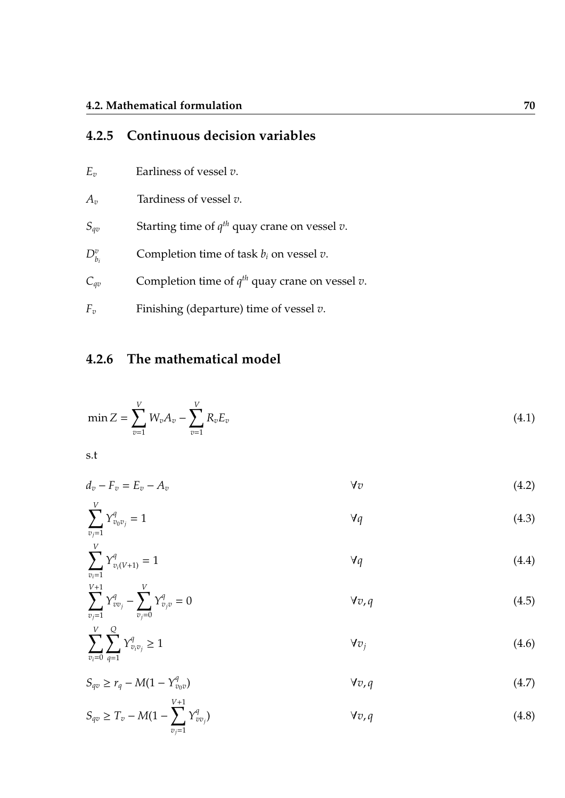## **4.2.5 Continuous decision variables**

- *E<sup>v</sup>* Earliness of vessel *v*.
- *A<sup>v</sup>* Tardiness of vessel *v*.
- *S*<sub>*qv*</sub> Starting time of  $q^{th}$  quay crane on vessel *v*.
- $D_{b_i}^v$ Completion time of task  $b_i$  on vessel  $v$ .
- $C_{qv}$  Completion time of  $q^{th}$  quay crane on vessel *v*.
- *F<sup>v</sup>* Finishing (departure) time of vessel *v*.

## **4.2.6 The mathematical model**

$$
\min Z = \sum_{v=1}^{V} W_v A_v - \sum_{v=1}^{V} R_v E_v \tag{4.1}
$$

s.t

$$
d_v - F_v = E_v - A_v \tag{4.2}
$$

$$
\sum_{v_j=1}^V Y_{v_0 v_j}^q = 1 \tag{4.3}
$$

$$
\sum_{v_i=1}^{V} Y_{v_i(V+1)}^q = 1 \tag{4.4}
$$

$$
\sum_{v_j=1}^{V+1} Y_{vv_j}^q - \sum_{v_j=0}^V Y_{v_jv}^q = 0
$$
 (4.5)

$$
\sum_{v_i=0}^{V} \sum_{q=1}^{Q} Y_{v_i v_j}^q \ge 1 \tag{4.6}
$$

$$
S_{qv} \ge r_q - M(1 - Y_{v_0v}^q) \tag{4.7}
$$

$$
S_{qv} \ge T_v - M(1 - \sum_{v_j=1}^{V+1} Y_{vv_j}^q) \tag{4.8}
$$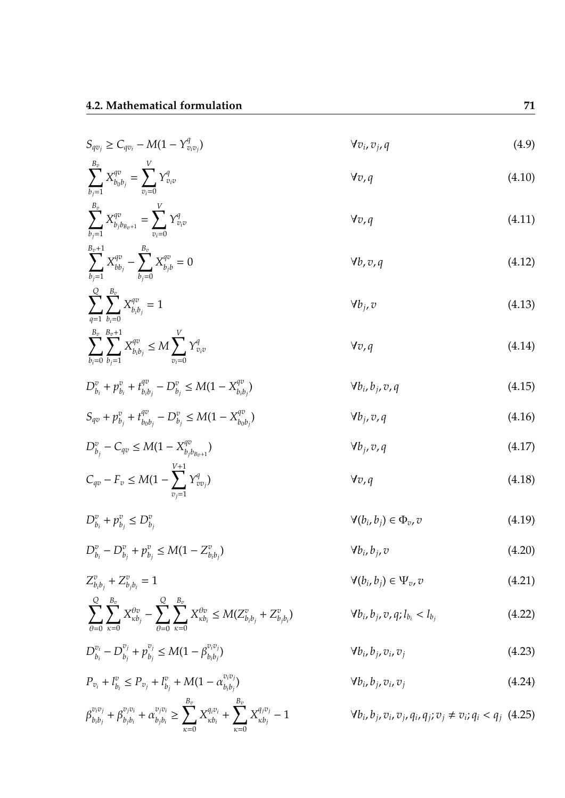$$
S_{qv_j} \ge C_{qv_i} - M(1 - Y_{v_i v_j}^q) \qquad \forall v_i, v_j, q
$$
\n(4.9)\n
$$
\sum_{b_j=1}^{B_v} X_{b_0 b_j}^{qv} = \sum_{v_i=0}^{V} Y_{v_i v}^q \qquad \forall v, q
$$
\n(4.10)

$$
\sum_{b_j=1}^{B_v} X_{b_j b_{B_v+1}}^{qv} = \sum_{v_i=0}^{V} Y_{v_i v}^q
$$
\n(4.11)

$$
\sum_{b_j=1}^{B_v+1} X_{bb_j}^{qv} - \sum_{b_j=0}^{B_v} X_{b_jb}^{qv} = 0
$$
 (4.12)

$$
\sum_{q=1}^{Q} \sum_{b_i=0}^{B_v} X_{b_i b_j}^{qv} = 1
$$
\n
$$
\forall b_j, v
$$
\n(4.13)\n  
\n
$$
\sum_{q=1}^{B_v} \sum_{b_i=0}^{B_v+1} X_{qv}^{qv} < M \sum_{q=1}^{V} Y_{qq}^{qv}
$$
\n
$$
\forall r, q
$$
\n(4.14)

$$
\sum_{b_i=0} \sum_{b_j=1} X_{b_i b_j}^{qv} \le M \sum_{v_i=0} Y_{v_i v}^q
$$
\n
$$
\forall v, q
$$
\n(4.14)

$$
D_{b_i}^v + p_{b_i}^v + t_{b_i b_j}^{qv} - D_{b_j}^v \le M(1 - X_{b_i b_j}^{qv})
$$
\n
$$
\forall b_i, b_j, v, q
$$
\n(4.15)

$$
S_{qv} + p_{b_j}^v + t_{b_0b_j}^{qv} - D_{b_j}^v \le M(1 - X_{b_0b_j}^{qv})
$$
\n
$$
\forall b_j, v, q
$$
\n(4.16)

$$
D_{b_j}^v - C_{qv} \le M(1 - X_{b_j b_{B_v+1}}^{qv})
$$
\n
$$
C_{qv} - F_v \le M(1 - \sum_{v_j=1}^{V+1} Y_{vv_j}^q)
$$
\n
$$
V_{v,q}
$$
\n(4.17)

$$
D_{b_i}^v + p_{b_j}^v \leq D_{b_j}^v \tag{4.19}
$$

$$
D_{b_i}^v - D_{b_j}^v + p_{b_j}^v \le M(1 - Z_{b_i b_j}^v) \tag{4.20}
$$

$$
Z_{b_ib_j}^v + Z_{b_jb_i}^v = 1 \t\t \t\t \t\t \t\t \t\t \t\t \mathcal{V}(b_i, b_j) \in \Psi_v, v \t\t (4.21)
$$

$$
\sum_{\theta=0}^{Q} \sum_{\kappa=0}^{B_v} X_{\kappa b_j}^{\theta v} - \sum_{\theta=0}^{Q} \sum_{\kappa=0}^{B_v} X_{\kappa b_i}^{\theta v} \le M(Z_{b_i b_j}^v + Z_{b_j b_i}^v) \qquad \forall b_i, b_j, v, q; l_{b_i} < l_{b_j}
$$

$$
D_{b_i}^{\bar{v}_i} - D_{b_j}^{\bar{v}_j} + p_{b_j}^{\bar{v}_j} \le M(1 - \beta_{b_i b_j}^{\bar{v}_i \bar{v}_j})
$$
\n
$$
\forall b_i, b_j, v_i, v_j \tag{4.23}
$$

$$
\forall b_i, b_j, v_i, v_j \tag{4.24}
$$

$$
\beta_{b_ib_j}^{v_iv_j} + \beta_{b_jb_i}^{v_jv_i} + \alpha_{b_jb_i}^{v_jv_i} \geq \sum_{\kappa=0}^{B_v} X_{\kappa b_i}^{q_iv_i} + \sum_{\kappa=0}^{B_v} X_{\kappa b_j}^{q_jv_j} - 1
$$

 $\alpha_{b_j}^v$  + *M*(1 –  $\alpha_{b_i b_j}^{v_i v_j}$ 

*bib<sup>j</sup>*

 $P_{v_i} + l_b^v$ 

 $b_i^v \leq P_{v_j} + l_b^v$ 

(4.22)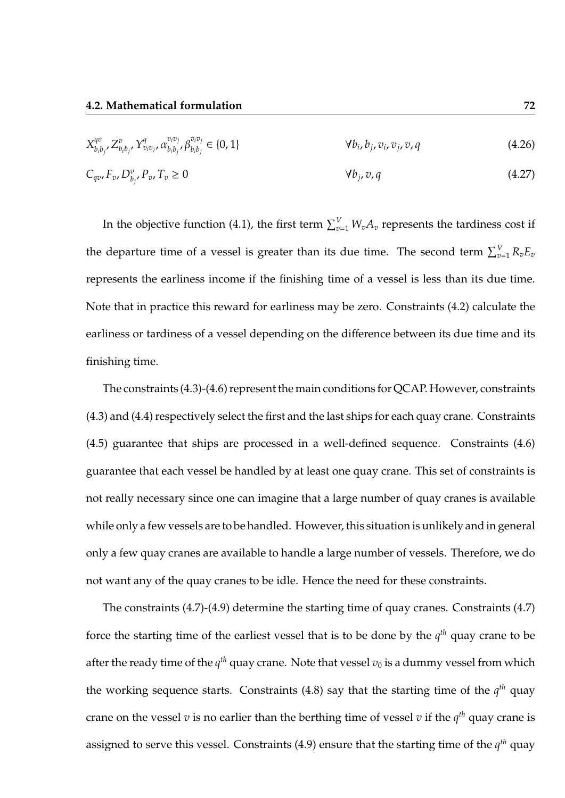| $X_{b_ib_j}^{qv}, Z_{b_ib_j}^v, Y_{v_iv_j}^q, \alpha_{b_ib_j}^{v_iv_j}, \beta_{b_ib_j}^{v_iv_j} \in \{0,1\}$ | $\forall b_i, b_j, v_i, v_j, v, q$ | (4.26) |
|--------------------------------------------------------------------------------------------------------------|------------------------------------|--------|
| $C_{qv}, F_v, D_{b_i}^v, P_v, T_v \ge 0$                                                                     | $\forall b_i, v, q$                | (4.27) |

In the objective function (4.1), the first term  $\sum_{v=1}^{V} W_v A_v$  represents the tardiness cost if the departure time of a vessel is greater than its due time. The second term  $\sum_{v=1}^{V} R_v E_v$ represents the earliness income if the finishing time of a vessel is less than its due time. Note that in practice this reward for earliness may be zero. Constraints (4.2) calculate the earliness or tardiness of a vessel depending on the difference between its due time and its finishing time.

The constraints (4.3)-(4.6) represent the main conditions for QCAP. However, constraints (4.3) and (4.4) respectively select the first and the last ships for each quay crane. Constraints (4.5) guarantee that ships are processed in a well-defined sequence. Constraints (4.6) guarantee that each vessel be handled by at least one quay crane. This set of constraints is not really necessary since one can imagine that a large number of quay cranes is available while only a few vessels are to be handled. However, this situation is unlikely and in general only a few quay cranes are available to handle a large number of vessels. Therefore, we do not want any of the quay cranes to be idle. Hence the need for these constraints.

The constraints (4.7)-(4.9) determine the starting time of quay cranes. Constraints (4.7) force the starting time of the earliest vessel that is to be done by the *q th* quay crane to be after the ready time of the  $q^{th}$  quay crane. Note that vessel  $v_0$  is a dummy vessel from which the working sequence starts. Constraints (4.8) say that the starting time of the  $q^{th}$  quay crane on the vessel  $v$  is no earlier than the berthing time of vessel  $v$  if the  $q^{th}$  quay crane is assigned to serve this vessel. Constraints (4.9) ensure that the starting time of the *q th* quay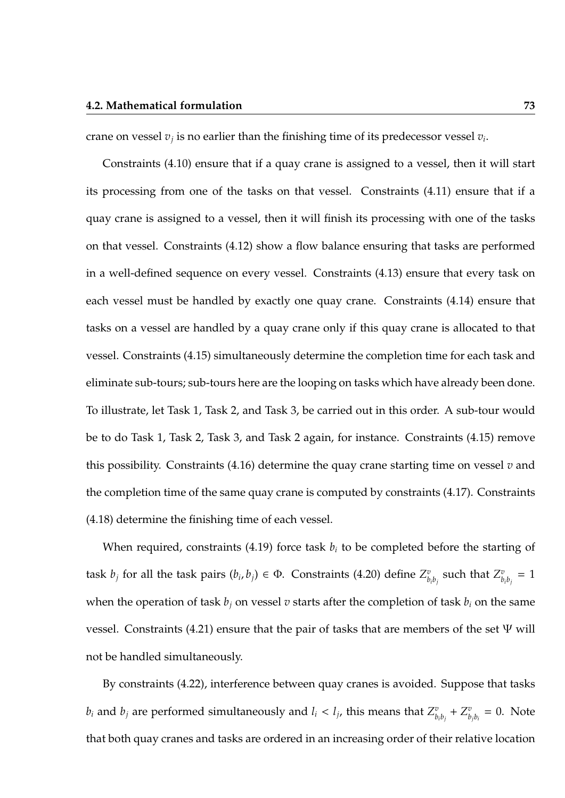#### **4.2. Mathematical formulation 73**

crane on vessel  $v_j$  is no earlier than the finishing time of its predecessor vessel  $v_i$ .

Constraints (4.10) ensure that if a quay crane is assigned to a vessel, then it will start its processing from one of the tasks on that vessel. Constraints (4.11) ensure that if a quay crane is assigned to a vessel, then it will finish its processing with one of the tasks on that vessel. Constraints (4.12) show a flow balance ensuring that tasks are performed in a well-defined sequence on every vessel. Constraints (4.13) ensure that every task on each vessel must be handled by exactly one quay crane. Constraints (4.14) ensure that tasks on a vessel are handled by a quay crane only if this quay crane is allocated to that vessel. Constraints (4.15) simultaneously determine the completion time for each task and eliminate sub-tours; sub-tours here are the looping on tasks which have already been done. To illustrate, let Task 1, Task 2, and Task 3, be carried out in this order. A sub-tour would be to do Task 1, Task 2, Task 3, and Task 2 again, for instance. Constraints (4.15) remove this possibility. Constraints (4.16) determine the quay crane starting time on vessel *v* and the completion time of the same quay crane is computed by constraints (4.17). Constraints (4.18) determine the finishing time of each vessel.

When required, constraints (4.19) force task  $b_i$  to be completed before the starting of task  $b_j$  for all the task pairs  $(b_i, b_j) \in \Phi$ . Constraints (4.20) define  $Z_b^v$  $\frac{v}{b_ib_j}$  such that  $Z^v_b$  $\frac{v}{b_i b_j} = 1$ when the operation of task  $b_j$  on vessel  $v$  starts after the completion of task  $b_i$  on the same vessel. Constraints (4.21) ensure that the pair of tasks that are members of the set  $\Psi$  will not be handled simultaneously.

By constraints (4.22), interference between quay cranes is avoided. Suppose that tasks  $b_i$  and  $b_j$  are performed simultaneously and  $l_i < l_j$ , this means that  $Z_h^v$  $\frac{v}{b_ib_j} + Z^v_b$  $\int_{b_jb_i}^v = 0$ . Note that both quay cranes and tasks are ordered in an increasing order of their relative location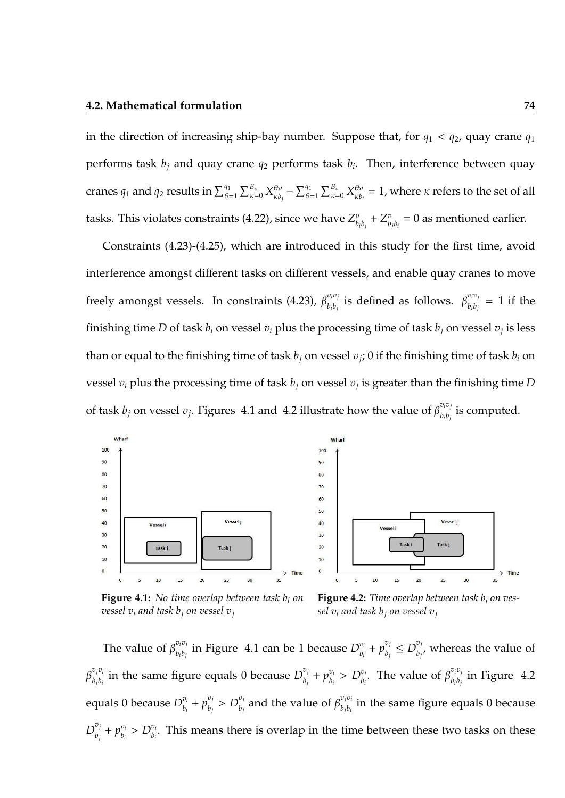in the direction of increasing ship-bay number. Suppose that, for  $q_1 < q_2$ , quay crane  $q_1$ performs task *b<sup>j</sup>* and quay crane *q*<sup>2</sup> performs task *b<sup>i</sup>* . Then, interference between quay cranes  $q_1$  and  $q_2$  results in  $\sum_{\theta=1}^{q_1}\sum_{\kappa=0}^{B_v}X^{\theta v}_{\kappa b}$  $\sum_{k=b_j}^{\theta v} - \sum_{\theta=1}^{q_1} \sum_{\kappa=0}^{B_v} X_{\kappa b_j}^{\theta v}$  $\theta_{\kappa b_i}^{\theta v} = 1$ , where  $\kappa$  refers to the set of all tasks. This violates constraints (4.22), since we have  $Z_k^v$  $\frac{v}{b_ib_j} + Z^v_b$  $\sum\limits_{b_j b_i}^v = 0$  as mentioned earlier.

Constraints (4.23)-(4.25), which are introduced in this study for the first time, avoid interference amongst different tasks on different vessels, and enable quay cranes to move freely amongst vessels. In constraints (4.23),  $\beta_{h,h}^{v_i v_j}$  $\beta^{v_i v_j}_{b_i b_j}$  is defined as follows.  $\beta^{v_i v_j}_{b_i b_j}$  $\frac{b_i b_j}{b_i b_j} = 1$  if the finishing time  $D$  of task  $b_i$  on vessel  $v_i$  plus the processing time of task  $b_j$  on vessel  $v_j$  is less than or equal to the finishing time of task  $b_j$  on vessel  $v_j$ ; 0 if the finishing time of task  $b_i$  on vessel *v<sup>i</sup>* plus the processing time of task *b<sup>j</sup>* on vessel *v<sup>j</sup>* is greater than the finishing time *D* of task  $b_j$  on vessel  $v_j$ . Figures 4.1 and 4.2 illustrate how the value of  $\beta_{b,b}^{v_iv_j}$  $\int_{b_ib_j}^{b_i b_j}$  is computed.



**Figure 4.1:** *No time overlap between task b<sup>i</sup> on vessel*  $v_i$  *and task b*<sup>*j*</sup> *on vessel*  $v_j$ 

**Figure 4.2:** *Time overlap between task b<sup>i</sup> on vessel*  $v_i$  *and task b<sub>i</sub> on vessel*  $v_i$ 

The value of  $\beta_{h,h}^{v_i v_j}$  $\frac{v_i v_j}{b_i b_j}$  in Figure 4.1 can be 1 because  $D^{v_i}_{b_i}$  $p_{b_i}^{v_i} + p_{b_j}^{v_j}$  $b_j^{v_j} \le D_{b_j}^{v_j}$  $\int_{b_j}^{b_j}$ , whereas the value of  $\beta_{h:h}^{v_jv_i}$  $\frac{v_j v_i}{b_j b_i}$  in the same figure equals 0 because  $D^{\overline{v}_j}_{b_j}$  $p_{b_j}^{v_j} + p_{b_i}^{v_i}$  $b_i^{v_i} > D_{b_i}^{v_i}$  $v_i$ . The value of  $\beta_{b_i b_j}^{v_i v_j}$  $\int_{b_i b_j}^{b_i b_j}$  in Figure 4.2 equals 0 because  $D_h^{v_i}$  $v_i$ <sub>*b<sub>i</sub>*</sub> +  $p_{b_j}^{v_j}$  $b_j^{v_j} > D_{b_j}^{v_j}$  $\int_{b_j}^{v_j}$  and the value of  $\beta_{b_jb_i}^{v_jv_j}$  $\oint_{b_j b_i}$  in the same figure equals 0 because  $D_{h_i}^{v_j}$  $v_j^{v_j} + p_{b_i}^{v_i}$  $b_i^{\nu_i} > D_{b_i}^{\nu_i}$  $\theta$ <sup>*i*</sup>. This means there is overlap in the time between these two tasks on these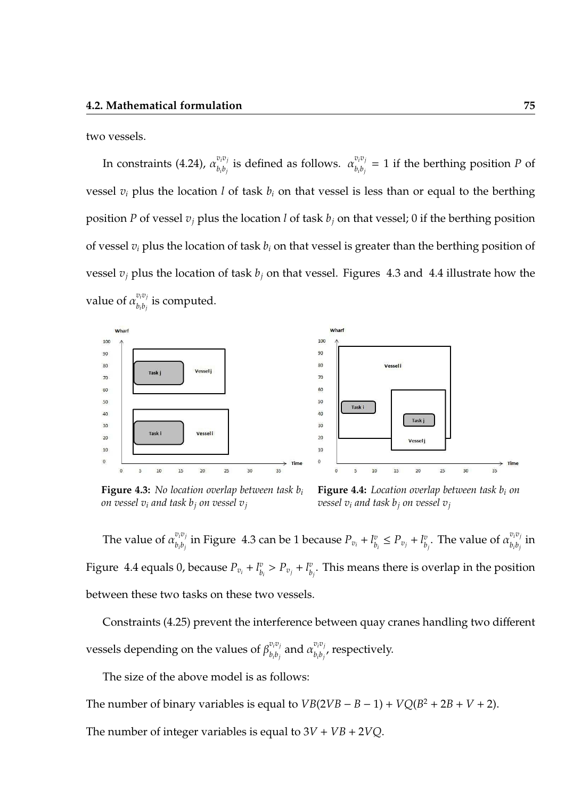two vessels.

In constraints (4.24),  $\alpha_{h:b}^{v_i v_j}$  $v_i v_j$  is defined as follows.  $\alpha_{b_i b_j}^{v_i v_j}$  $b_i b_j = 1$  if the berthing position *P* of vessel  $v_i$  plus the location *l* of task  $b_i$  on that vessel is less than or equal to the berthing position *P* of vessel *v<sup>j</sup>* plus the location *l* of task *b<sup>j</sup>* on that vessel; 0 if the berthing position of vessel *v<sup>i</sup>* plus the location of task *b<sup>i</sup>* on that vessel is greater than the berthing position of vessel  $v_i$  plus the location of task  $b_i$  on that vessel. Figures 4.3 and 4.4 illustrate how the value of  $\alpha_{h,h}^{v_iv_j}$  $\sum_{b_i b_j}^{b_i b_j}$  is computed.



**Figure 4.3:** *No location overlap between task b<sup>i</sup> on vessel*  $v_i$  *and task*  $b_j$  *on vessel*  $v_j$ 



The value of  $\alpha_{h:b}^{v_iv_j}$  $\frac{v_i v_j}{b_i b_j}$  in Figure 4.3 can be 1 because  $P_{v_i} + l^v_b$  $P_{v_i} \leq P_{v_j} + l_b^v$  $v_{b_j}^v$ . The value of  $\alpha_{b_ib_j}^{v_iv_j}$  $\frac{b_i b_j}{b_i b_j}$  in Figure 4.4 equals 0, because  $P_{v_i}$  +  $l_b^v$  $P_{v_i} > P_{v_j} + l_b^v$  $\mathbf{p}_{i}^v$ . This means there is overlap in the position between these two tasks on these two vessels.

Constraints (4.25) prevent the interference between quay cranes handling two different vessels depending on the values of  $\beta_{h,h}^{v_iv_j}$  $\frac{v_i v_j}{b_i b_j}$  and  $\alpha \frac{v_i v_j}{b_i b_j}$  $\theta_{i}^{(v)}$ , respectively.

The size of the above model is as follows:

The number of binary variables is equal to  $VB(2VB - B - 1) + VQ(B^2 + 2B + V + 2)$ .

The number of integer variables is equal to  $3V + VB + 2VQ$ .

Time

 $\overline{35}$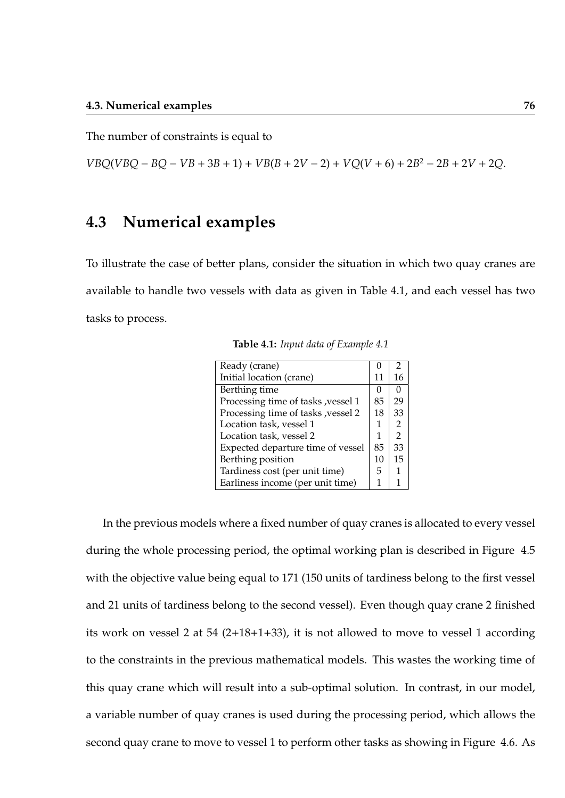The number of constraints is equal to

 $VBQ(VBQ - BQ - VB + 3B + 1) + VB(B + 2V - 2) + VQ(V + 6) + 2B^2 - 2B + 2V + 2Q$ .

## **4.3 Numerical examples**

To illustrate the case of better plans, consider the situation in which two quay cranes are available to handle two vessels with data as given in Table 4.1, and each vessel has two tasks to process.

| Ready (crane)                       | 0  | $\overline{2}$ |
|-------------------------------------|----|----------------|
| Initial location (crane)            | 11 | 16             |
| Berthing time                       | 0  | 0              |
| Processing time of tasks , vessel 1 | 85 | 29             |
| Processing time of tasks , vessel 2 | 18 | 33             |
| Location task, vessel 1             | 1  | 2              |
| Location task, vessel 2             | 1  | $\mathcal{P}$  |
| Expected departure time of vessel   | 85 | 33             |
| Berthing position                   | 10 | 15             |
| Tardiness cost (per unit time)      | 5  |                |
| Earliness income (per unit time)    | 1  |                |

In the previous models where a fixed number of quay cranes is allocated to every vessel during the whole processing period, the optimal working plan is described in Figure 4.5 with the objective value being equal to 171 (150 units of tardiness belong to the first vessel and 21 units of tardiness belong to the second vessel). Even though quay crane 2 finished its work on vessel 2 at 54 (2+18+1+33), it is not allowed to move to vessel 1 according to the constraints in the previous mathematical models. This wastes the working time of this quay crane which will result into a sub-optimal solution. In contrast, in our model, a variable number of quay cranes is used during the processing period, which allows the second quay crane to move to vessel 1 to perform other tasks as showing in Figure 4.6. As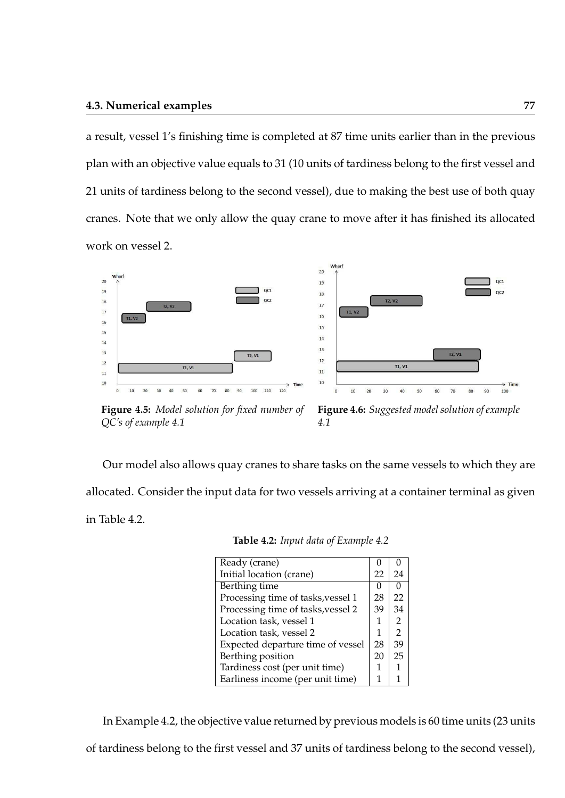a result, vessel 1's finishing time is completed at 87 time units earlier than in the previous plan with an objective value equals to 31 (10 units of tardiness belong to the first vessel and 21 units of tardiness belong to the second vessel), due to making the best use of both quay cranes. Note that we only allow the quay crane to move after it has finished its allocated work on vessel 2.





**Figure 4.5:** *Model solution for fixed number of QC's of example 4.1*

**Figure 4.6:** *Suggested model solution of example 4.1*

Our model also allows quay cranes to share tasks on the same vessels to which they are allocated. Consider the input data for two vessels arriving at a container terminal as given in Table 4.2.

| Ready (crane)                      |    |               |
|------------------------------------|----|---------------|
| Initial location (crane)           | 22 | 24            |
| Berthing time                      | 0  |               |
| Processing time of tasks, vessel 1 | 28 | 22            |
| Processing time of tasks, vessel 2 | 39 | 34            |
| Location task, vessel 1            | 1  | 2             |
| Location task, vessel 2            | 1  | $\mathcal{P}$ |
| Expected departure time of vessel  | 28 | 39            |
| Berthing position                  | 20 | 25            |
| Tardiness cost (per unit time)     | 1  |               |
| Earliness income (per unit time)   |    |               |

**Table 4.2:** *Input data of Example 4.2*

In Example 4.2, the objective value returned by previous models is 60 time units (23 units

of tardiness belong to the first vessel and 37 units of tardiness belong to the second vessel),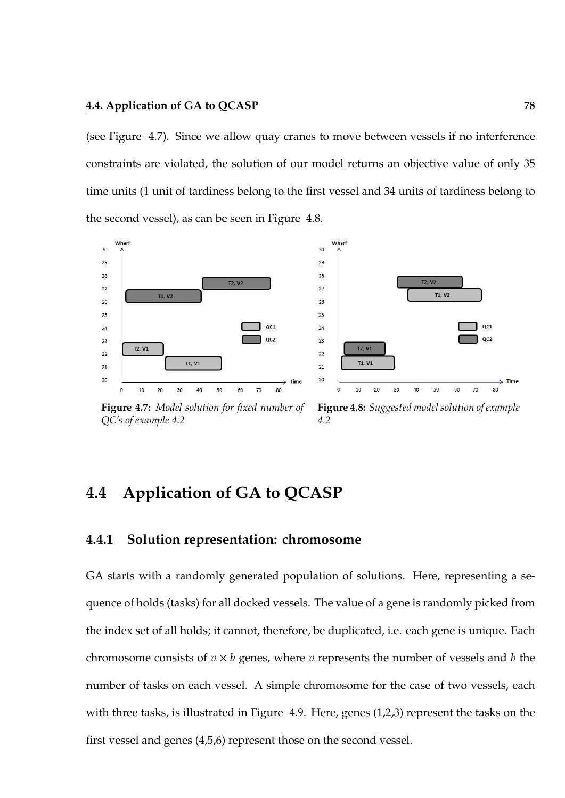(see Figure 4.7). Since we allow quay cranes to move between vessels if no interference constraints are violated, the solution of our model returns an objective value of only 35 time units (1 unit of tardiness belong to the first vessel and 34 units of tardiness belong to the second vessel), as can be seen in Figure 4.8.





**Figure 4.7:** *Model solution for fixed number of QC's of example 4.2*

**Figure 4.8:** *Suggested model solution of example 4.2*

# **4.4 Application of GA to QCASP**

#### **4.4.1 Solution representation: chromosome**

GA starts with a randomly generated population of solutions. Here, representing a sequence of holds (tasks) for all docked vessels. The value of a gene is randomly picked from the index set of all holds; it cannot, therefore, be duplicated, i.e. each gene is unique. Each chromosome consists of  $v \times b$  genes, where  $v$  represents the number of vessels and  $b$  the number of tasks on each vessel. A simple chromosome for the case of two vessels, each with three tasks, is illustrated in Figure 4.9. Here, genes (1,2,3) represent the tasks on the first vessel and genes (4,5,6) represent those on the second vessel.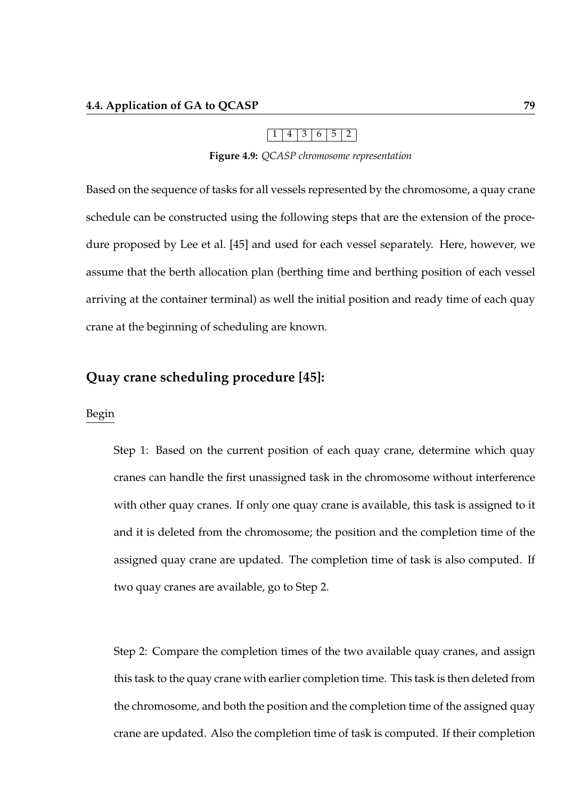$1 | 4 | 3 | 6 | 5 | 2$ 

**Figure 4.9:** *QCASP chromosome representation*

Based on the sequence of tasks for all vessels represented by the chromosome, a quay crane schedule can be constructed using the following steps that are the extension of the procedure proposed by Lee et al. [45] and used for each vessel separately. Here, however, we assume that the berth allocation plan (berthing time and berthing position of each vessel arriving at the container terminal) as well the initial position and ready time of each quay crane at the beginning of scheduling are known.

## **Quay crane scheduling procedure [45]:**

#### Begin

Step 1: Based on the current position of each quay crane, determine which quay cranes can handle the first unassigned task in the chromosome without interference with other quay cranes. If only one quay crane is available, this task is assigned to it and it is deleted from the chromosome; the position and the completion time of the assigned quay crane are updated. The completion time of task is also computed. If two quay cranes are available, go to Step 2.

Step 2: Compare the completion times of the two available quay cranes, and assign this task to the quay crane with earlier completion time. This task is then deleted from the chromosome, and both the position and the completion time of the assigned quay crane are updated. Also the completion time of task is computed. If their completion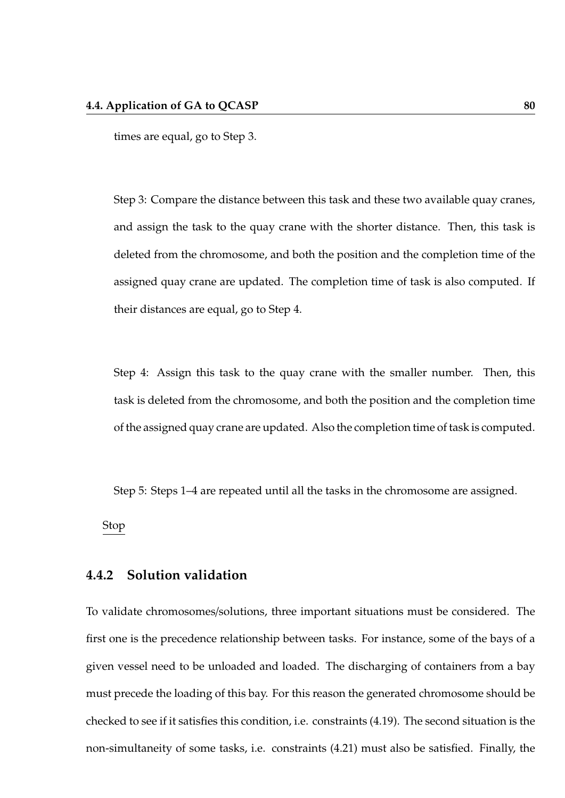times are equal, go to Step 3.

Step 3: Compare the distance between this task and these two available quay cranes, and assign the task to the quay crane with the shorter distance. Then, this task is deleted from the chromosome, and both the position and the completion time of the assigned quay crane are updated. The completion time of task is also computed. If their distances are equal, go to Step 4.

Step 4: Assign this task to the quay crane with the smaller number. Then, this task is deleted from the chromosome, and both the position and the completion time of the assigned quay crane are updated. Also the completion time of task is computed.

Step 5: Steps 1–4 are repeated until all the tasks in the chromosome are assigned.

Stop

#### **4.4.2 Solution validation**

To validate chromosomes/solutions, three important situations must be considered. The first one is the precedence relationship between tasks. For instance, some of the bays of a given vessel need to be unloaded and loaded. The discharging of containers from a bay must precede the loading of this bay. For this reason the generated chromosome should be checked to see if it satisfies this condition, i.e. constraints (4.19). The second situation is the non-simultaneity of some tasks, i.e. constraints (4.21) must also be satisfied. Finally, the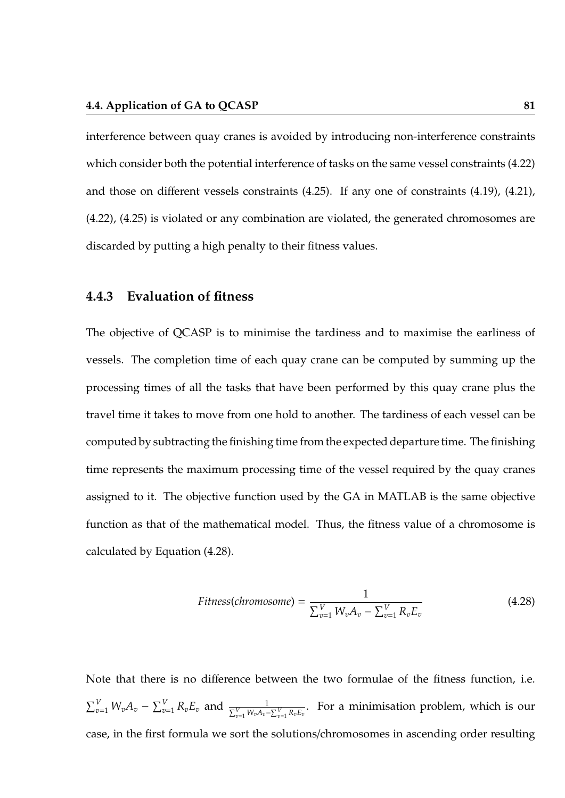interference between quay cranes is avoided by introducing non-interference constraints which consider both the potential interference of tasks on the same vessel constraints (4.22) and those on different vessels constraints (4.25). If any one of constraints (4.19), (4.21), (4.22), (4.25) is violated or any combination are violated, the generated chromosomes are discarded by putting a high penalty to their fitness values.

#### **4.4.3 Evaluation of fitness**

The objective of QCASP is to minimise the tardiness and to maximise the earliness of vessels. The completion time of each quay crane can be computed by summing up the processing times of all the tasks that have been performed by this quay crane plus the travel time it takes to move from one hold to another. The tardiness of each vessel can be computed by subtracting the finishing time from the expected departure time. The finishing time represents the maximum processing time of the vessel required by the quay cranes assigned to it. The objective function used by the GA in MATLAB is the same objective function as that of the mathematical model. Thus, the fitness value of a chromosome is calculated by Equation (4.28).

$$
Fitness(chromosome) = \frac{1}{\sum_{v=1}^{V} W_v A_v - \sum_{v=1}^{V} R_v E_v}
$$
(4.28)

Note that there is no difference between the two formulae of the fitness function, i.e.  $\sum_{v=1}^{V} W_v A_v - \sum_{v=1}^{V} R_v E_v$  and  $\frac{1}{\sum_{v=1}^{V} W_v A_v - \sum_{v=1}^{V} R_v E_v}$ . For a minimisation problem, which is our case, in the first formula we sort the solutions/chromosomes in ascending order resulting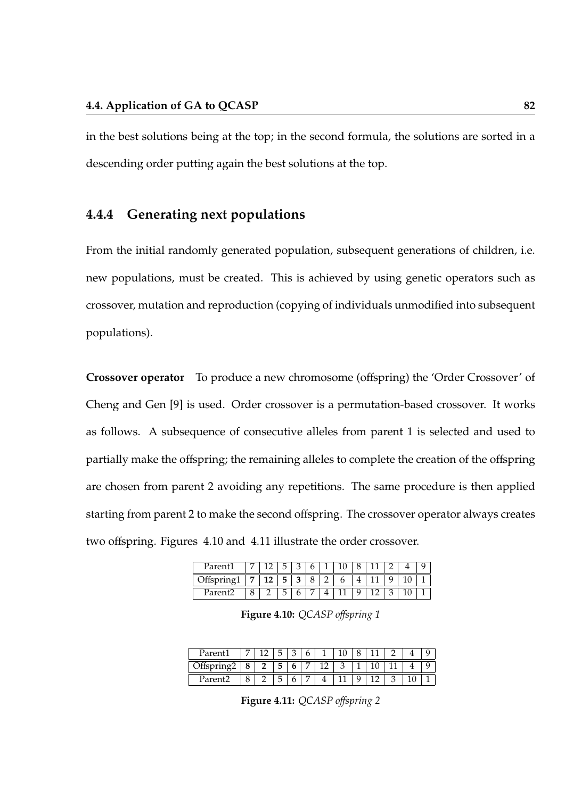in the best solutions being at the top; in the second formula, the solutions are sorted in a descending order putting again the best solutions at the top.

## **4.4.4 Generating next populations**

From the initial randomly generated population, subsequent generations of children, i.e. new populations, must be created. This is achieved by using genetic operators such as crossover, mutation and reproduction (copying of individuals unmodified into subsequent populations).

**Crossover operator** To produce a new chromosome (offspring) the 'Order Crossover' of Cheng and Gen [9] is used. Order crossover is a permutation-based crossover. It works as follows. A subsequence of consecutive alleles from parent 1 is selected and used to partially make the offspring; the remaining alleles to complete the creation of the offspring are chosen from parent 2 avoiding any repetitions. The same procedure is then applied starting from parent 2 to make the second offspring. The crossover operator always creates two offspring. Figures 4.10 and 4.11 illustrate the order crossover.

| Parent1 |    | h  |  |  |  |  |  |
|---------|----|----|--|--|--|--|--|
|         | 12 | ь. |  |  |  |  |  |
| Paren   |    | h  |  |  |  |  |  |

**Figure 4.10:** *QCASP o*ff*spring 1*

| Parer |              | 片  |        | h |  |   |  |  |
|-------|--------------|----|--------|---|--|---|--|--|
|       | $\mathbf{r}$ | ь. | ь      |   |  | и |  |  |
| rarei |              | ∽  | ∽<br>ບ |   |  |   |  |  |

**Figure 4.11:** *QCASP o*ff*spring 2*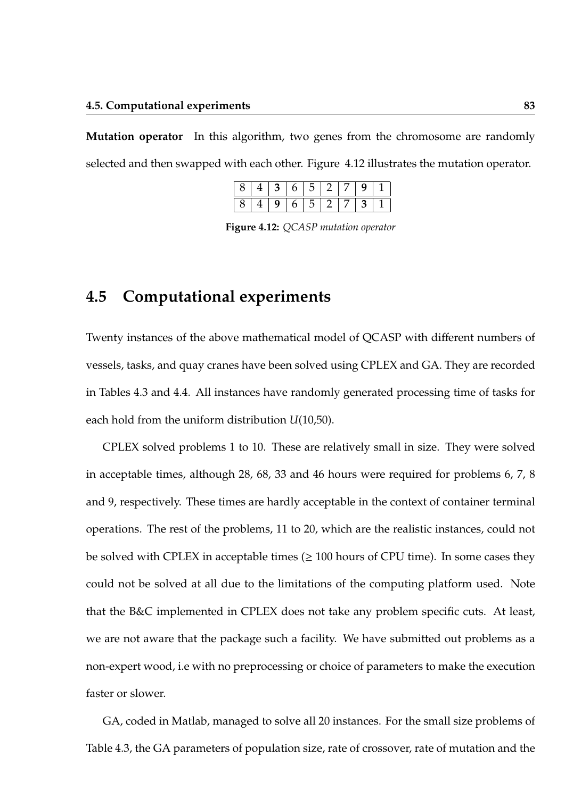**Mutation operator** In this algorithm, two genes from the chromosome are randomly selected and then swapped with each other. Figure 4.12 illustrates the mutation operator.

| 8 I | 4   3   6   5   2     |  |  |                   |  |
|-----|-----------------------|--|--|-------------------|--|
|     | 8   4   9   6   5   2 |  |  | $7 \mid 3 \mid 1$ |  |

**Figure 4.12:** *QCASP mutation operator*

# **4.5 Computational experiments**

Twenty instances of the above mathematical model of QCASP with different numbers of vessels, tasks, and quay cranes have been solved using CPLEX and GA. They are recorded in Tables 4.3 and 4.4. All instances have randomly generated processing time of tasks for each hold from the uniform distribution *U*(10,50).

CPLEX solved problems 1 to 10. These are relatively small in size. They were solved in acceptable times, although 28, 68, 33 and 46 hours were required for problems 6, 7, 8 and 9, respectively. These times are hardly acceptable in the context of container terminal operations. The rest of the problems, 11 to 20, which are the realistic instances, could not be solved with CPLEX in acceptable times  $(\geq 100$  hours of CPU time). In some cases they could not be solved at all due to the limitations of the computing platform used. Note that the B&C implemented in CPLEX does not take any problem specific cuts. At least, we are not aware that the package such a facility. We have submitted out problems as a non-expert wood, i.e with no preprocessing or choice of parameters to make the execution faster or slower.

GA, coded in Matlab, managed to solve all 20 instances. For the small size problems of Table 4.3, the GA parameters of population size, rate of crossover, rate of mutation and the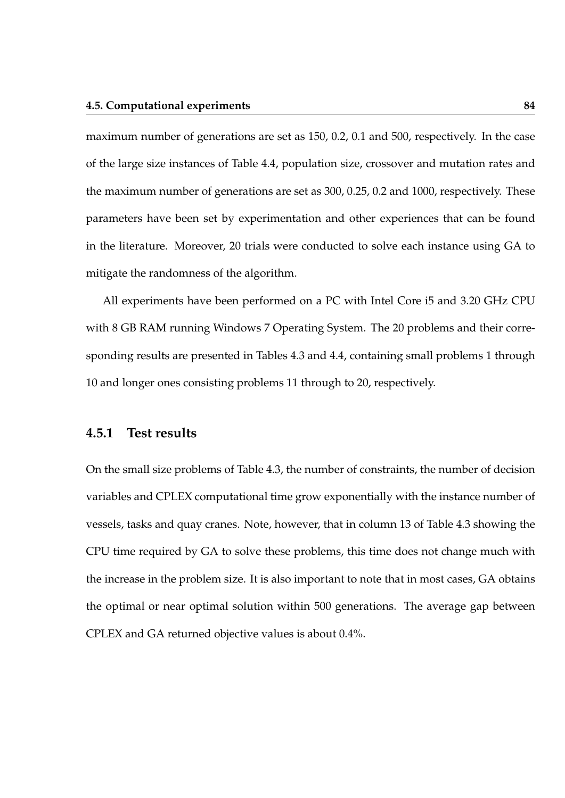maximum number of generations are set as 150, 0.2, 0.1 and 500, respectively. In the case of the large size instances of Table 4.4, population size, crossover and mutation rates and the maximum number of generations are set as 300, 0.25, 0.2 and 1000, respectively. These parameters have been set by experimentation and other experiences that can be found in the literature. Moreover, 20 trials were conducted to solve each instance using GA to mitigate the randomness of the algorithm.

All experiments have been performed on a PC with Intel Core i5 and 3.20 GHz CPU with 8 GB RAM running Windows 7 Operating System. The 20 problems and their corresponding results are presented in Tables 4.3 and 4.4, containing small problems 1 through 10 and longer ones consisting problems 11 through to 20, respectively.

### **4.5.1 Test results**

On the small size problems of Table 4.3, the number of constraints, the number of decision variables and CPLEX computational time grow exponentially with the instance number of vessels, tasks and quay cranes. Note, however, that in column 13 of Table 4.3 showing the CPU time required by GA to solve these problems, this time does not change much with the increase in the problem size. It is also important to note that in most cases, GA obtains the optimal or near optimal solution within 500 generations. The average gap between CPLEX and GA returned objective values is about 0.4%.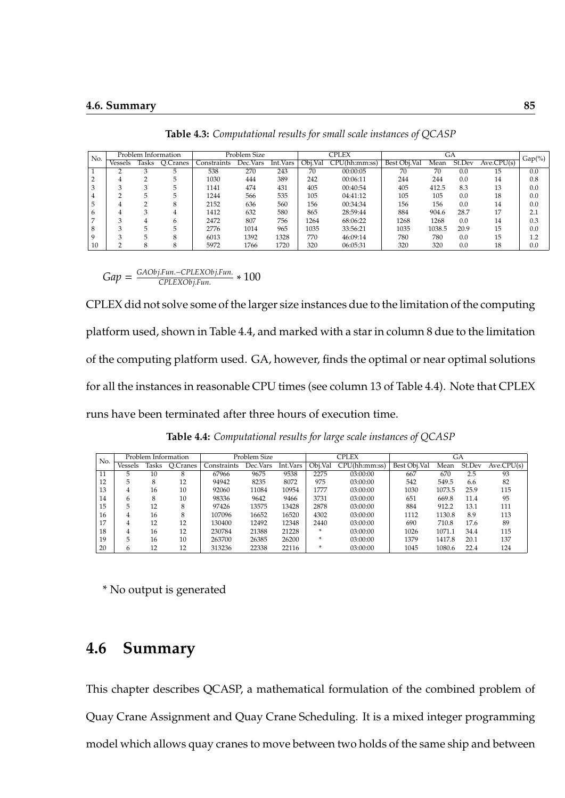|     | Problem Information |       |          | Problem Size |          |          | <b>CPLEX</b> |               | GА           |        |        |            |           |
|-----|---------------------|-------|----------|--------------|----------|----------|--------------|---------------|--------------|--------|--------|------------|-----------|
| No. | Vessels             | lasks | O.Cranes | Constraints  | Dec.Vars | Int.Vars | Obi.Val      | CPU(hh:mm:ss) | Best Obj.Val | Mean   | St.Dev | Ave.CPU(s) | $Gap(\%)$ |
|     |                     |       |          | 538          | 270      | 243      | 70           | 00:00:05      | 70           | 70     | 0.0    | 15         | 0.0       |
|     |                     |       | 5        | 1030         | 444      | 389      | 242          | 00:06:11      | 244          | 244    | 0.0    | 14         | 0.8       |
|     |                     |       | 5        | 1141         | 474      | 431      | 405          | 00:40:54      | 405          | 412.5  | 8.3    | 13         | 0.0       |
|     |                     | h     | 5        | 1244         | 566      | 535      | 105          | 04:41:12      | 105          | 105    | 0.0    | 18         | 0.0       |
|     |                     |       | 8        | 2152         | 636      | 560      | 156          | 00:34:34      | 156          | 156    | 0.0    | 14         | 0.0       |
| 6   |                     | 3     | 4        | 1412         | 632      | 580      | 865          | 28:59:44      | 884          | 904.6  | 28.7   | 17         | 2.1       |
|     | $\sim$              | 4     | 6        | 2472         | 807      | 756      | 1264         | 68:06:22      | 1268         | 1268   | 0.0    | 14         | 0.3       |
| 8   |                     |       |          | 2776         | 1014     | 965      | 1035         | 33:56:21      | 1035         | 1038.5 | 20.9   | 15         | 0.0       |
|     |                     |       | 8        | 6013         | 1392     | 1328     | 770          | 46:09:14      | 780          | 780    | 0.0    | 15         | 1.2       |
| 10  |                     |       | 8        | 5972         | 1766     | 1720     | 320          | 06:05:31      | 320          | 320    | 0.0    | 18         | 0.0       |

**Table 4.3:** *Computational results for small scale instances of QCASP*

 $Gap = \frac{GAObj.Fun.-CPLEXObj.Fun.}{CPIEXObj.Fun}$ *CPLEXObj*.*Fun*. ∗ 100

CPLEX did not solve some of the larger size instances due to the limitation of the computing platform used, shown in Table 4.4, and marked with a star in column 8 due to the limitation of the computing platform used. GA, however, finds the optimal or near optimal solutions for all the instances in reasonable CPU times (see column 13 of Table 4.4). Note that CPLEX runs have been terminated after three hours of execution time.

**Table 4.4:** *Computational results for large scale instances of QCASP*

|     | Problem Information |       |          | Problem Size |          |          |         | CPLEX         | GА           |        |        |            |
|-----|---------------------|-------|----------|--------------|----------|----------|---------|---------------|--------------|--------|--------|------------|
| No. | Vessels             | lasks | O.Cranes | Constraints  | Dec.Vars | Int.Vars | Obj.Val | CPU(hh:mm:ss) | Best Obj.Val | Mean   | St.Dev | Ave.CPU(s) |
| 11  | 5.                  | 10    | 8        | 67966        | 9675     | 9538     | 2275    | 03:00:00      | 667          | 670    | 2.5    | 93         |
| 12  | 5                   | 8     | 12       | 94942        | 8235     | 8072     | 975     | 03:00:00      | 542          | 549.5  | 6.6    | 82         |
| 13  | 4                   | 16    | 10       | 92060        | 11084    | 10954    | 1777    | 03:00:00      | 1030         | 1073.5 | 25.9   | 115        |
| 14  | 6                   | 8     | 10       | 98336        | 9642     | 9466     | 3731    | 03:00:00      | 651          | 669.8  | 11.4   | 95         |
| 15  | 5                   | 12    | 8        | 97426        | 13575    | 13428    | 2878    | 03:00:00      | 884          | 912.2  | 13.1   | 111        |
| 16  | 4                   | 16    | 8        | 107096       | 16652    | 16520    | 4302    | 03:00:00      | 1112         | 1130.8 | 8.9    | 113        |
| 17  | 4                   | 12    | 12       | 130400       | 12492    | 12348    | 2440    | 03:00:00      | 690          | 710.8  | 17.6   | 89         |
| 18  | 4                   | 16    | 12       | 230784       | 21388    | 21228    | ×       | 03:00:00      | 1026         | 1071.1 | 34.4   | 115        |
| 19  | 5                   | 16    | 10       | 263700       | 26385    | 26200    | ×       | 03:00:00      | 1379         | 1417.8 | 20.1   | 137        |
| 20  | 6                   | 12    | 12       | 313236       | 22338    | 22116    | ×       | 03:00:00      | 1045         | 1080.6 | 22.4   | 124        |

\* No output is generated

## **4.6 Summary**

This chapter describes QCASP, a mathematical formulation of the combined problem of Quay Crane Assignment and Quay Crane Scheduling. It is a mixed integer programming model which allows quay cranes to move between two holds of the same ship and between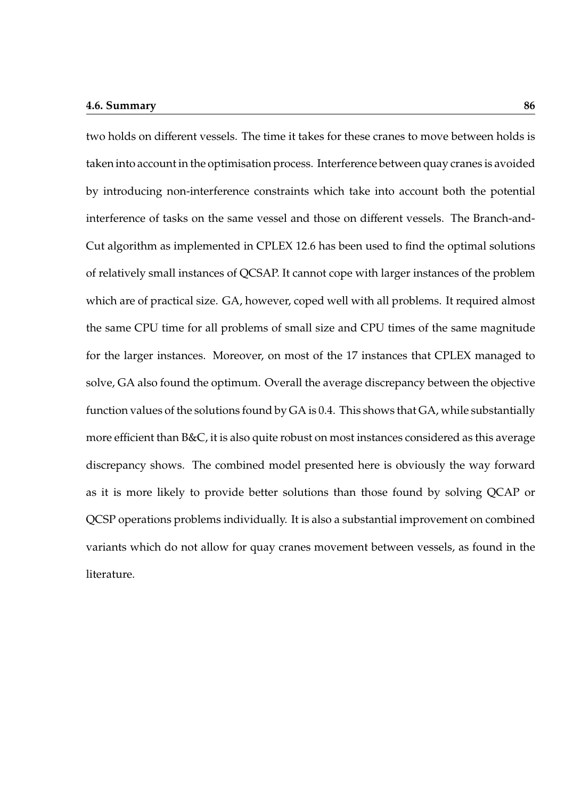#### **4.6. Summary 86**

two holds on different vessels. The time it takes for these cranes to move between holds is taken into account in the optimisation process. Interference between quay cranes is avoided by introducing non-interference constraints which take into account both the potential interference of tasks on the same vessel and those on different vessels. The Branch-and-Cut algorithm as implemented in CPLEX 12.6 has been used to find the optimal solutions of relatively small instances of QCSAP. It cannot cope with larger instances of the problem which are of practical size. GA, however, coped well with all problems. It required almost the same CPU time for all problems of small size and CPU times of the same magnitude for the larger instances. Moreover, on most of the 17 instances that CPLEX managed to solve, GA also found the optimum. Overall the average discrepancy between the objective function values of the solutions found by GA is 0.4. This shows that GA, while substantially more efficient than B&C, it is also quite robust on most instances considered as this average discrepancy shows. The combined model presented here is obviously the way forward as it is more likely to provide better solutions than those found by solving QCAP or QCSP operations problems individually. It is also a substantial improvement on combined variants which do not allow for quay cranes movement between vessels, as found in the literature.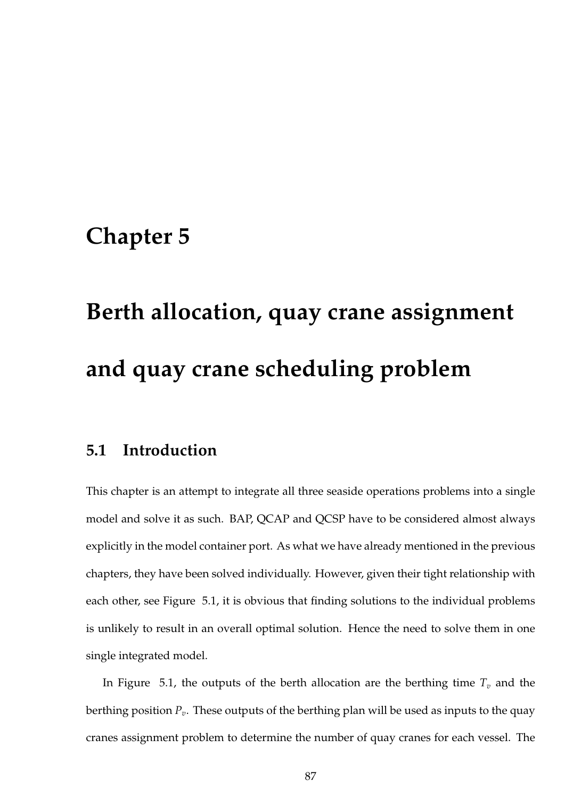# **Chapter 5**

# **Berth allocation, quay crane assignment and quay crane scheduling problem**

## **5.1 Introduction**

This chapter is an attempt to integrate all three seaside operations problems into a single model and solve it as such. BAP, QCAP and QCSP have to be considered almost always explicitly in the model container port. As what we have already mentioned in the previous chapters, they have been solved individually. However, given their tight relationship with each other, see Figure 5.1, it is obvious that finding solutions to the individual problems is unlikely to result in an overall optimal solution. Hence the need to solve them in one single integrated model.

In Figure 5.1, the outputs of the berth allocation are the berthing time  $T_v$  and the berthing position *Pv*. These outputs of the berthing plan will be used as inputs to the quay cranes assignment problem to determine the number of quay cranes for each vessel. The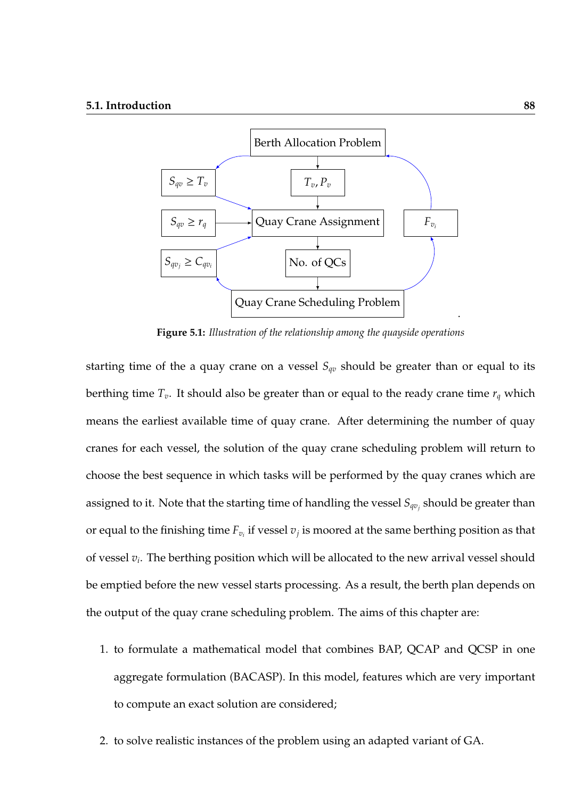

**Figure 5.1:** *Illustration of the relationship among the quayside operations*

starting time of the a quay crane on a vessel  $S_{qv}$  should be greater than or equal to its berthing time *Tv*. It should also be greater than or equal to the ready crane time *r<sup>q</sup>* which means the earliest available time of quay crane. After determining the number of quay cranes for each vessel, the solution of the quay crane scheduling problem will return to choose the best sequence in which tasks will be performed by the quay cranes which are assigned to it. Note that the starting time of handling the vessel *Sqv<sup>j</sup>* should be greater than or equal to the finishing time  $F_{v_i}$  if vessel  $v_j$  is moored at the same berthing position as that of vessel *v<sup>i</sup>* . The berthing position which will be allocated to the new arrival vessel should be emptied before the new vessel starts processing. As a result, the berth plan depends on the output of the quay crane scheduling problem. The aims of this chapter are:

- 1. to formulate a mathematical model that combines BAP, QCAP and QCSP in one aggregate formulation (BACASP). In this model, features which are very important to compute an exact solution are considered;
- 2. to solve realistic instances of the problem using an adapted variant of GA.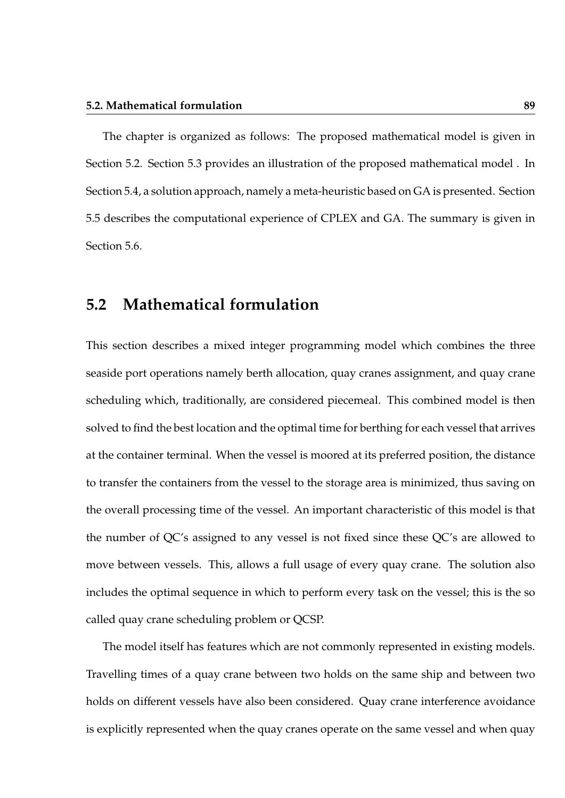The chapter is organized as follows: The proposed mathematical model is given in Section 5.2. Section 5.3 provides an illustration of the proposed mathematical model . In Section 5.4, a solution approach, namely a meta-heuristic based on GA is presented. Section 5.5 describes the computational experience of CPLEX and GA. The summary is given in Section 5.6.

## **5.2 Mathematical formulation**

This section describes a mixed integer programming model which combines the three seaside port operations namely berth allocation, quay cranes assignment, and quay crane scheduling which, traditionally, are considered piecemeal. This combined model is then solved to find the best location and the optimal time for berthing for each vessel that arrives at the container terminal. When the vessel is moored at its preferred position, the distance to transfer the containers from the vessel to the storage area is minimized, thus saving on the overall processing time of the vessel. An important characteristic of this model is that the number of QC's assigned to any vessel is not fixed since these QC's are allowed to move between vessels. This, allows a full usage of every quay crane. The solution also includes the optimal sequence in which to perform every task on the vessel; this is the so called quay crane scheduling problem or QCSP.

The model itself has features which are not commonly represented in existing models. Travelling times of a quay crane between two holds on the same ship and between two holds on different vessels have also been considered. Quay crane interference avoidance is explicitly represented when the quay cranes operate on the same vessel and when quay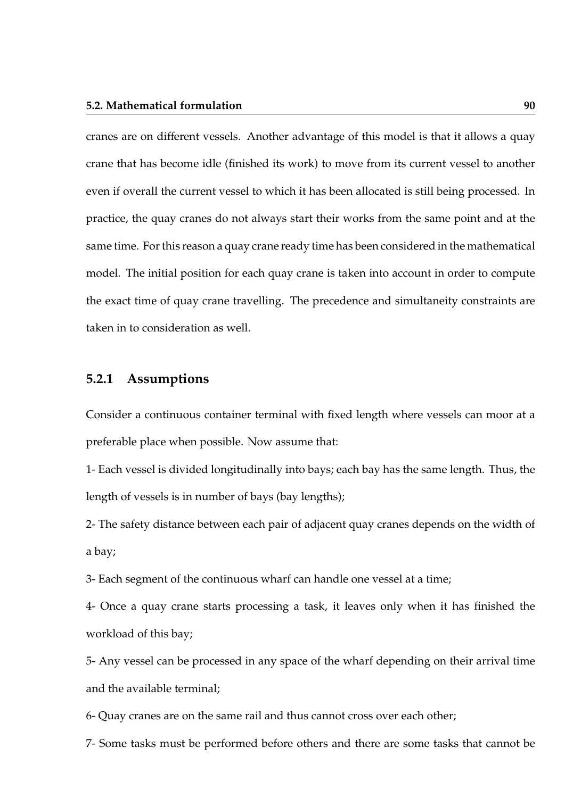#### **5.2. Mathematical formulation 90**

cranes are on different vessels. Another advantage of this model is that it allows a quay crane that has become idle (finished its work) to move from its current vessel to another even if overall the current vessel to which it has been allocated is still being processed. In practice, the quay cranes do not always start their works from the same point and at the same time. For this reason a quay crane ready time has been considered in the mathematical model. The initial position for each quay crane is taken into account in order to compute the exact time of quay crane travelling. The precedence and simultaneity constraints are taken in to consideration as well.

#### **5.2.1 Assumptions**

Consider a continuous container terminal with fixed length where vessels can moor at a preferable place when possible. Now assume that:

1- Each vessel is divided longitudinally into bays; each bay has the same length. Thus, the length of vessels is in number of bays (bay lengths);

2- The safety distance between each pair of adjacent quay cranes depends on the width of a bay;

3- Each segment of the continuous wharf can handle one vessel at a time;

4- Once a quay crane starts processing a task, it leaves only when it has finished the workload of this bay;

5- Any vessel can be processed in any space of the wharf depending on their arrival time and the available terminal;

6- Quay cranes are on the same rail and thus cannot cross over each other;

7- Some tasks must be performed before others and there are some tasks that cannot be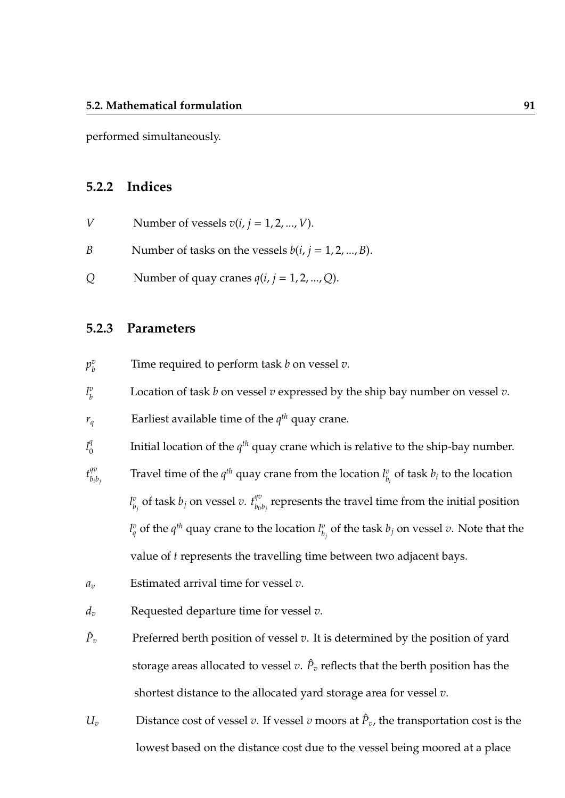performed simultaneously.

### **5.2.2 Indices**

| V | Number of vessels $v(i, j = 1, 2, , V)$ . |
|---|-------------------------------------------|
|---|-------------------------------------------|

- *B* Number of tasks on the vessels  $b(i, j = 1, 2, ..., B)$ .
- *Q* Number of quay cranes  $q(i, j = 1, 2, ..., Q)$ .

#### **5.2.3 Parameters**

- $p^v_{\scriptscriptstyle h}$ *b* Time required to perform task *b* on vessel *v*.
- *l v b* Location of task *b* on vessel *v* expressed by the ship bay number on vessel *v*.

 $r_q$  Earliest available time of the  $q^{th}$  quay crane.

 $l_0^q$  $\boldsymbol{0}$ Initial location of the *q th* quay crane which is relative to the ship-bay number.

 $t_{h,j}^{qv}$ *bib<sup>j</sup>* Travel time of the  $q^{th}$  quay crane from the location  $l_h^v$  $\frac{v}{b_i}$  of task  $b_i$  to the location *l v*  $\frac{v}{b_j}$  of task  $b_j$  on vessel *v*.  $t_{b_0}^{qv}$  $b_0 b_j$  represents the travel time from the initial position  $l_q^v$  of the  $q^{th}$  quay crane to the location  $l_b^v$  $\frac{v}{b_j}$  of the task  $b_j$  on vessel  $v$ . Note that the value of *t* represents the travelling time between two adjacent bays.

- *a<sup>v</sup>* Estimated arrival time for vessel *v*.
- *d<sup>v</sup>* Requested departure time for vessel *v*.
- $\hat{P}_n$ Preferred berth position of vessel *v*. It is determined by the position of yard storage areas allocated to vessel  $v.$   $\hat{P}_v$  reflects that the berth position has the shortest distance to the allocated yard storage area for vessel *v*.
- *U*<sup>*v*</sup> Distance cost of vessel *v*. If vessel *v* moors at  $\hat{P}_v$ , the transportation cost is the lowest based on the distance cost due to the vessel being moored at a place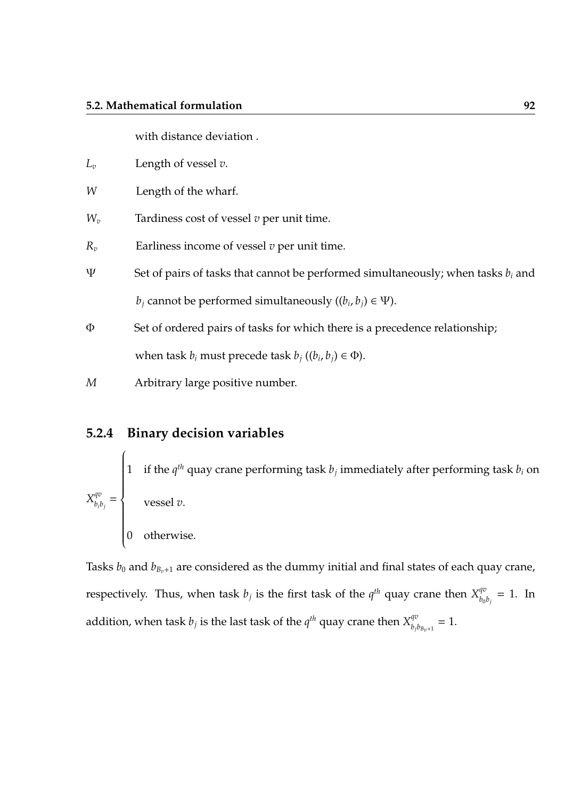with distance deviation .

- $L_v$  Length of vessel *v*.
- *W* Length of the wharf.
- *W<sup>v</sup>* Tardiness cost of vessel *v* per unit time.
- *R<sup>v</sup>* Earliness income of vessel *v* per unit time.
- Ψ Set of pairs of tasks that cannot be performed simultaneously; when tasks *b<sup>i</sup>* and  $b_j$  cannot be performed simultaneously  $((b_i, b_j) \in \Psi)$ .
- Φ Set of ordered pairs of tasks for which there is a precedence relationship; when task  $b_i$  must precede task  $b_j$  (( $b_i$ ,  $b_j$ )  $\in \Phi$ ).

*M* Arbitrary large positive number.

## **5.2.4 Binary decision variables**

 $X^{qv}_{h \cdot l}$  $\frac{q}{b_i b_j} =$  $\sqrt{ }$  $\left\{\rule{0cm}{0.15mm}\right\}$  1 if the  $q^{th}$  quay crane performing task  $b_j$  immediately after performing task  $b_i$  on vessel *v*. 0 otherwise.

Tasks  $b_0$  and  $b_{B_n+1}$  are considered as the dummy initial and final states of each quay crane, respectively. Thus, when task  $b_j$  is the first task of the  $q^{th}$  quay crane then  $X_{b_0}^{qv}$  $\frac{q\sigma}{b_0 b_j} = 1$ . In addition, when task  $b_j$  is the last task of the  $q^{th}$  quay crane then  $X_{b_i}^{qv}$  $\frac{\partial \phi}{\partial b}$ <sub>*bz*</sub><sub>+1</sub></sub> = 1.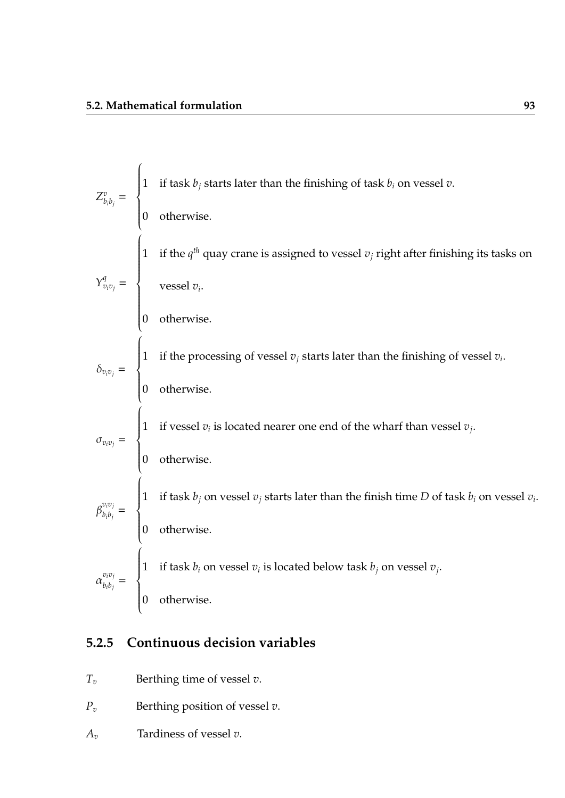$Z_h^v$  $\frac{v}{b_ib_j}$  =  $\sqrt{ }$  $\left\{\right.$  $\begin{array}{c} \hline \end{array}$ 1 if task *b<sup>j</sup>* starts later than the finishing of task *b<sup>i</sup>* on vessel *v*. 0 otherwise.  $Y^q_{v_i v_j} =$  $\sqrt{ }$  $\left\{\rule{0cm}{0.15mm}\right\}$  1 if the  $q^{th}$  quay crane is assigned to vessel  $v_j$  right after finishing its tasks on vessel *v<sup>i</sup>* . 0 otherwise.  $\delta_{v_i v_j} =$  $\sqrt{ }$  $\left\{\right.$  $\begin{array}{c} \hline \end{array}$ 1 if the processing of vessel *v<sup>j</sup>* starts later than the finishing of vessel *v<sup>i</sup>* . 0 otherwise.  $\sigma_{v_i v_j} =$  $\sqrt{ }$  $\left\{\right.$  $\begin{array}{c} \hline \end{array}$ 1 if vessel  $v_i$  is located nearer one end of the wharf than vessel  $v_j$ . 0 otherwise.  $\beta_{h\cdot h\cdot}^{v_iv_j}$  $\frac{b_i b_j}{b_i b_j}$  =  $\sqrt{ }$  $\left\{\right.$  $\begin{array}{c} \hline \end{array}$ 1 if task *b<sup>j</sup>* on vessel *v<sup>j</sup>* starts later than the finish time *D* of task *b<sup>i</sup>* on vessel *v<sup>i</sup>* . 0 otherwise.  $\alpha_{h:h}^{v_i v_j}$  $\frac{b_i b_j}{b_i b_j}$  =  $\sqrt{ }$  $\left\{\right.$  $\begin{array}{c} \hline \end{array}$ 1 if task  $b_i$  on vessel  $v_i$  is located below task  $b_j$  on vessel  $v_j$ . 0 otherwise.

## **5.2.5 Continuous decision variables**

- *T<sup>v</sup>* Berthing time of vessel *v*.
- *P<sup>v</sup>* Berthing position of vessel *v*.
- *A<sup>v</sup>* Tardiness of vessel *v*.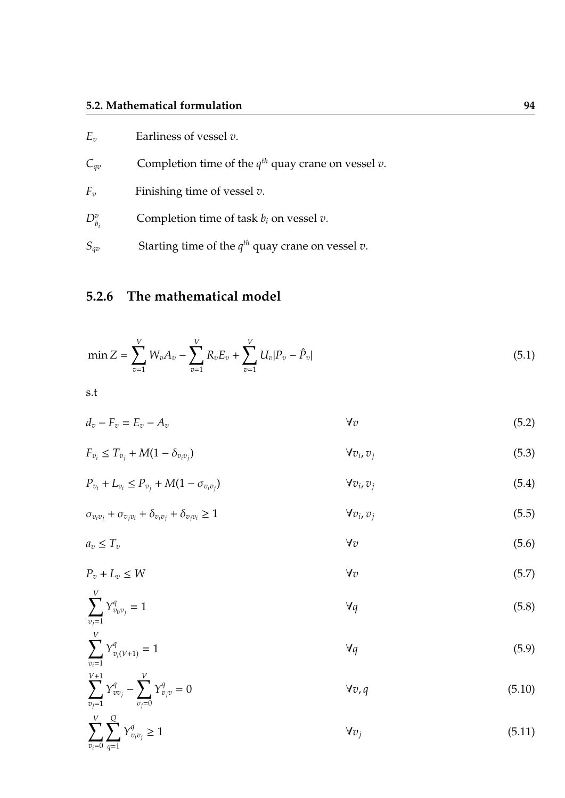## **5.2. Mathematical formulation 94**

| $E_{\nu}$   | Earliness of vessel $v$ .                                  |
|-------------|------------------------------------------------------------|
| $C_{qv}$    | Completion time of the $q^{th}$ quay crane on vessel $v$ . |
| $F_{\nu}$   | Finishing time of vessel $v$ .                             |
| $D_{b_i}^v$ | Completion time of task $b_i$ on vessel $v$ .              |
| $S_{qv}$    | Starting time of the $q^{th}$ quay crane on vessel $v$ .   |

# **5.2.6 The mathematical model**

$$
\min Z = \sum_{v=1}^{V} W_v A_v - \sum_{v=1}^{V} R_v E_v + \sum_{v=1}^{V} U_v |P_v - \hat{P}_v|
$$
\n(5.1)

s.t

$$
d_v - F_v = E_v - A_v \tag{5.2}
$$

$$
F_{v_i} \le T_{v_j} + M(1 - \delta_{v_i v_j}) \qquad \qquad \forall v_i, v_j \qquad (5.3)
$$

$$
P_{v_i} + L_{v_i} \le P_{v_j} + M(1 - \sigma_{v_i v_j}) \qquad \qquad \forall v_i, v_j \qquad (5.4)
$$

$$
\sigma_{v_i v_j} + \sigma_{v_j v_i} + \delta_{v_i v_j} + \delta_{v_j v_i} \ge 1
$$
\n
$$
\forall v_i, v_j \tag{5.5}
$$

$$
a_v \le T_v \tag{5.6}
$$

$$
P_v + L_v \le W \qquad \qquad \forall v \tag{5.7}
$$

$$
\sum_{\substack{v_j=1 \ v_j=1}}^{\mathbf{v}} Y_{v_0 v_j}^q = 1 \tag{5.8}
$$

$$
\sum_{v_i=1}^{V} Y_{v_i(V+1)}^q = 1 \tag{5.9}
$$

$$
\sum_{v_j=1}^{V+1} Y_{vv_j}^q - \sum_{v_j=0}^V Y_{v_jv}^q = 0
$$
 (5.10)

$$
\sum_{v_i=0}^{V} \sum_{q=1}^{Q} Y_{v_i v_j}^q \ge 1 \tag{5.11}
$$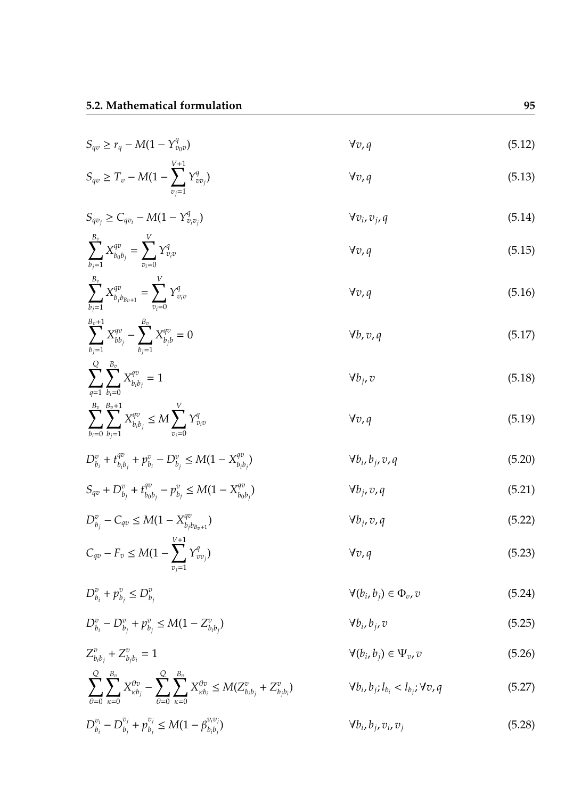$$
S_{qv} \ge r_q - M(1 - Y_{v_0v}^q) \qquad \forall v, q
$$
\n(5.12)\n
$$
S_{qv} \ge T_v - M(1 - \sum_{v_j=1}^{V+1} Y_{vv_j}^q) \qquad \forall v, q
$$
\n(5.13)

$$
S_{qv_j} \geq C_{qv_i} - M(1 - Y_{v_iv_j}^q) \qquad \qquad \forall v_i, v_j, q
$$
\n(5.14)

$$
\sum_{b_j=1}^{B_v} X_{b_0 b_j}^{qv} = \sum_{v_i=0}^{V} Y_{v_i v}^q
$$
\n
$$
\forall v, q
$$
\n(5.15)

$$
\sum_{b_j=1}^{v_v} X_{b_j b_{B_v+1}}^{qv} = \sum_{v_i=0}^{v_v} Y_{v_i v}^q
$$
\n
$$
\forall v, q
$$
\n(5.16)

$$
\sum_{b_j=1}^{B_v+1} X_{bb_j}^{qv} - \sum_{b_j=1}^{B_v} X_{b_jb}^{qv} = 0
$$
 (5.17)

$$
\sum_{q=1}^{Q} \sum_{b_i=0}^{B_v} X_{b_i b_j}^{qv} = 1
$$
\n
$$
\forall b_j, v
$$
\n(5.18)\n  
\n
$$
\sum_{q=1}^{B_v} \sum_{b_i=0}^{B_v+1} X_{qv}^{qv} < M \sum_{q=1}^{V} Y_{qq}^{qv}
$$
\n
$$
\forall v, q
$$
\n(5.19)

$$
\sum_{b_i=0} \sum_{b_j=1} X_{b_i b_j}^{qv} \le M \sum_{v_i=0} Y_{v_i v}^q
$$
 (5.19)

$$
D_{b_i}^v + t_{b_i b_j}^{qv} + p_{b_i}^v - D_{b_j}^v \le M(1 - X_{b_i b_j}^{qv})
$$
\n
$$
\forall b_i, b_j, v, q
$$
\n(5.20)

$$
S_{qv} + D_{b_j}^v + t_{b_0b_j}^{qv} - p_{b_j}^v \le M(1 - X_{b_0b_j}^{qv})
$$
\n
$$
\forall b_j, v, q
$$
\n(5.21)

$$
D_{b_j}^v - C_{qv} \le M(1 - X_{b_j b_{B_v+1}}^{qv})
$$
\n
$$
C_{qv} - F_v \le M(1 - \sum_{v_j=1}^{V+1} Y_{vv_j}^q)
$$
\n
$$
V_{v,q}
$$
\n(5.22)\n
$$
V_{v,q}
$$
\n(5.23)

$$
D_{b_i}^v + p_{b_j}^v \leq D_{b_j}^v \tag{5.24}
$$

$$
D_{b_i}^v - D_{b_j}^v + p_{b_j}^v \le M(1 - Z_{b_i b_j}^v) \qquad \qquad \forall b_i, b_j, v \qquad (5.25)
$$

$$
Z_{b_i b_j}^v + Z_{b_j b_i}^v = 1 \qquad \qquad \forall (b_i, b_j) \in \Psi_v, v \qquad (5.26)
$$
  

$$
\sum_{\theta=0}^{Q} \sum_{\kappa=0}^{B_v} X_{\kappa b_j}^{\theta v} - \sum_{\theta=0}^{Q} \sum_{\kappa=0}^{B_v} X_{\kappa b_i}^{\theta v} \le M(Z_{b_i b_j}^v + Z_{b_j b_i}^v) \qquad \qquad \forall b_i, b_j; l_{b_i} < l_{b_j}; \forall v, q \qquad (5.27)
$$
  

$$
D_{b_i}^{v_i} - D_{b_j}^{v_j} + p_{b_j}^{v_j} \le M(1 - \beta_{b_i b_j}^{v_i v_j}) \qquad \qquad \forall b_i, b_j, v_i, v_j \qquad (5.28)
$$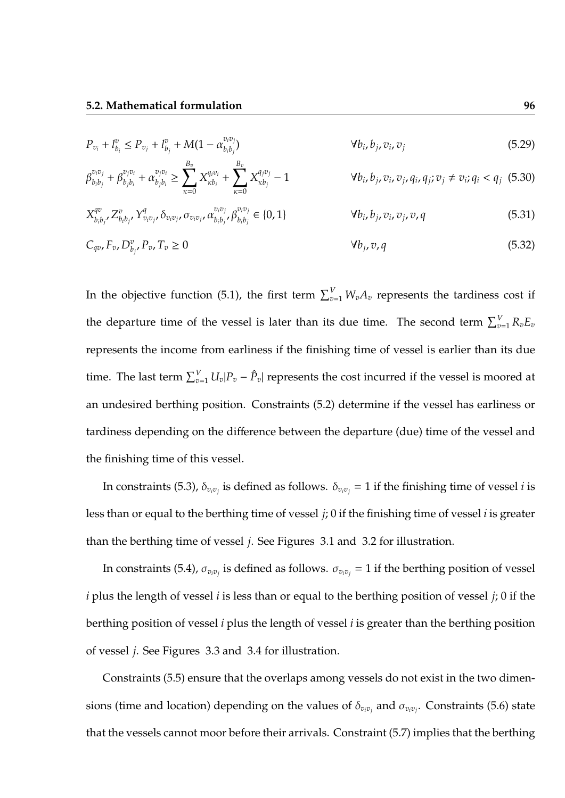$$
P_{v_i} + l_{b_i}^v \le P_{v_j} + l_{b_j}^v + M(1 - \alpha_{b_i b_j}^{v_i v_j})
$$
\n
$$
\forall b_i, b_j, v_i, v_j \tag{5.29}
$$

$$
\beta_{b_i b_j}^{v_i v_j} + \beta_{b_j b_i}^{v_j v_i} + \alpha_{b_j b_i}^{v_j v_i} \ge \sum_{\kappa=0}^{B_v} X_{\kappa b_i}^{q_i v_i} + \sum_{\kappa=0}^{B_v} X_{\kappa b_j}^{q_j v_j} - 1
$$
\n
$$
\forall b_i, b_j, v_i, v_j, q_i, q_j; v_j \ne v_i; q_i < q_j \tag{5.30}
$$
\n
$$
\forall b_i, b_j, v_i, v_j, q_i, q_j; v_j \ne v_i; q_i < q_j \tag{5.31}
$$

$$
X_{b_i b_j'}^{qv} Z_{b_i b_j'}^v Y_{v_i v_j'}^q \delta_{v_i v_j'} \sigma_{v_i v_j'} \alpha_{b_i b_j'}^{v_i v_j} \beta_{b_i b_j}^{v_i v_j} \in \{0, 1\} \qquad \forall b_i, b_j, v_i, v_j, v, q \qquad (5.31)
$$

$$
C_{qv}F_v D_{b_j}^v P_v T_v \ge 0 \qquad \qquad \forall b_j, v, q \qquad (5.32)
$$

In the objective function (5.1), the first term  $\sum_{v=1}^{V} W_v A_v$  represents the tardiness cost if the departure time of the vessel is later than its due time. The second term  $\sum_{v=1}^{V} R_v E_v$ represents the income from earliness if the finishing time of vessel is earlier than its due time. The last term  $\sum_{v=1}^{V} U_v |P_v - \hat{P}_v|$  represents the cost incurred if the vessel is moored at an undesired berthing position. Constraints (5.2) determine if the vessel has earliness or tardiness depending on the difference between the departure (due) time of the vessel and the finishing time of this vessel.

In constraints (5.3),  $\delta_{v_iv_j}$  is defined as follows.  $\delta_{v_iv_j}=1$  if the finishing time of vessel  $i$  is less than or equal to the berthing time of vessel *j*; 0 if the finishing time of vessel *i* is greater than the berthing time of vessel *j*. See Figures 3.1 and 3.2 for illustration.

In constraints (5.4),  $\sigma_{v_iv_j}$  is defined as follows.  $\sigma_{v_iv_j}=1$  if the berthing position of vessel *i* plus the length of vessel *i* is less than or equal to the berthing position of vessel *j*; 0 if the berthing position of vessel *i* plus the length of vessel *i* is greater than the berthing position of vessel *j*. See Figures 3.3 and 3.4 for illustration.

Constraints (5.5) ensure that the overlaps among vessels do not exist in the two dimensions (time and location) depending on the values of  $\delta_{v_i v_j}$  and  $\sigma_{v_i v_j}$ . Constraints (5.6) state that the vessels cannot moor before their arrivals. Constraint (5.7) implies that the berthing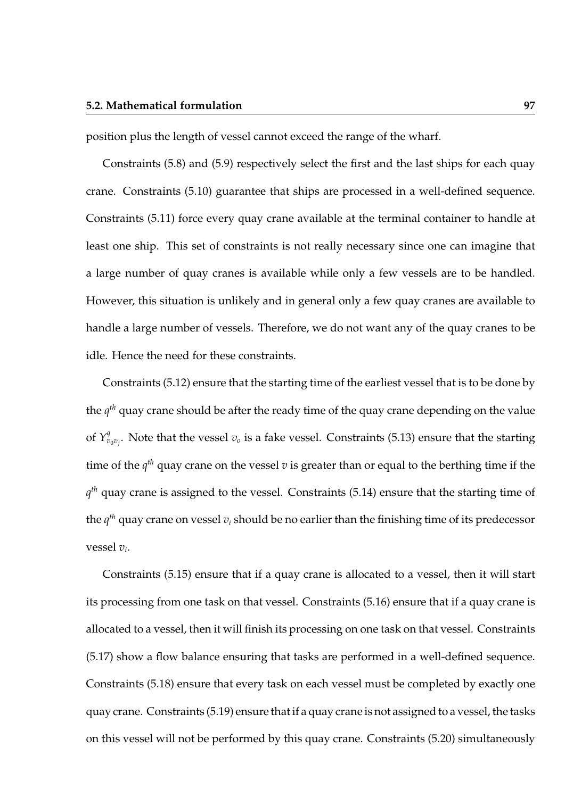#### **5.2. Mathematical formulation 97**

position plus the length of vessel cannot exceed the range of the wharf.

Constraints (5.8) and (5.9) respectively select the first and the last ships for each quay crane. Constraints (5.10) guarantee that ships are processed in a well-defined sequence. Constraints (5.11) force every quay crane available at the terminal container to handle at least one ship. This set of constraints is not really necessary since one can imagine that a large number of quay cranes is available while only a few vessels are to be handled. However, this situation is unlikely and in general only a few quay cranes are available to handle a large number of vessels. Therefore, we do not want any of the quay cranes to be idle. Hence the need for these constraints.

Constraints (5.12) ensure that the starting time of the earliest vessel that is to be done by the *q th* quay crane should be after the ready time of the quay crane depending on the value of  $Y_v^q$  $v_{\sigma v_j}^q$ . Note that the vessel  $v_o$  is a fake vessel. Constraints (5.13) ensure that the starting time of the  $q^{th}$  quay crane on the vessel  $v$  is greater than or equal to the berthing time if the *q th* quay crane is assigned to the vessel. Constraints (5.14) ensure that the starting time of the *q th* quay crane on vessel *v<sup>i</sup>* should be no earlier than the finishing time of its predecessor vessel *v<sup>i</sup>* .

Constraints (5.15) ensure that if a quay crane is allocated to a vessel, then it will start its processing from one task on that vessel. Constraints (5.16) ensure that if a quay crane is allocated to a vessel, then it will finish its processing on one task on that vessel. Constraints (5.17) show a flow balance ensuring that tasks are performed in a well-defined sequence. Constraints (5.18) ensure that every task on each vessel must be completed by exactly one quay crane. Constraints (5.19) ensure that if a quay crane is not assigned to a vessel, the tasks on this vessel will not be performed by this quay crane. Constraints (5.20) simultaneously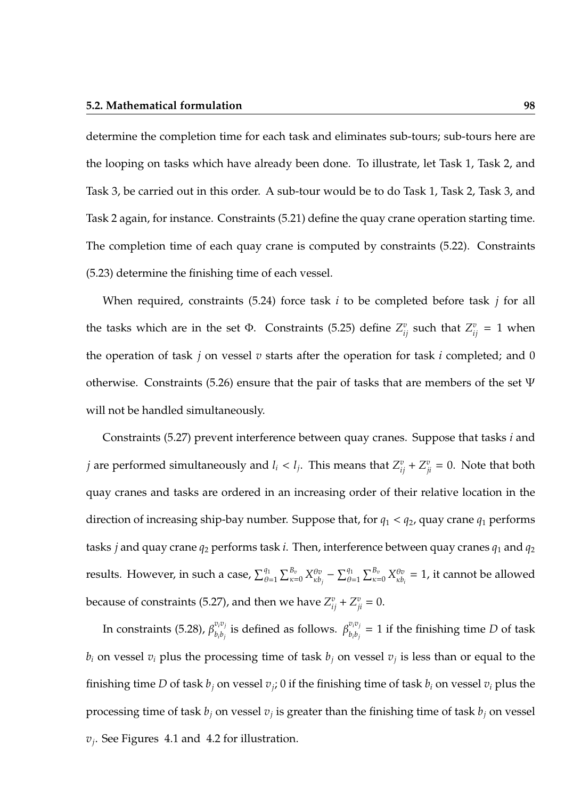determine the completion time for each task and eliminates sub-tours; sub-tours here are the looping on tasks which have already been done. To illustrate, let Task 1, Task 2, and Task 3, be carried out in this order. A sub-tour would be to do Task 1, Task 2, Task 3, and Task 2 again, for instance. Constraints (5.21) define the quay crane operation starting time. The completion time of each quay crane is computed by constraints (5.22). Constraints (5.23) determine the finishing time of each vessel.

When required, constraints (5.24) force task *i* to be completed before task *j* for all the tasks which are in the set  $\Phi$ . Constraints (5.25) define  $Z_{ij}^v$  such that  $Z_{ij}^v = 1$  when the operation of task *j* on vessel *v* starts after the operation for task *i* completed; and 0 otherwise. Constraints (5.26) ensure that the pair of tasks that are members of the set  $\Psi$ will not be handled simultaneously.

Constraints (5.27) prevent interference between quay cranes. Suppose that tasks *i* and *j* are performed simultaneously and  $l_i < l_j$ . This means that  $Z_{ij}^v + Z_{ji}^v = 0$ . Note that both quay cranes and tasks are ordered in an increasing order of their relative location in the direction of increasing ship-bay number. Suppose that, for  $q_1 < q_2$ , quay crane  $q_1$  performs tasks *j* and quay crane *q*<sup>2</sup> performs task *i*. Then, interference between quay cranes *q*<sup>1</sup> and *q*<sup>2</sup> results. However, in such a case,  $\sum_{\theta=1}^{q_1}\sum_{\kappa=0}^{B_v}X^{\theta v}_{\kappa b}$  $\sum_{k\delta_j}^{\theta v} - \sum_{\theta=1}^{q_1} \sum_{\kappa=0}^{B_v} X_{\kappa b}^{\theta v}$  $\theta_{\kappa b_i}^{v} = 1$ , it cannot be allowed because of constraints (5.27), and then we have  $Z_{ij}^v + Z_{ji}^v = 0$ .

In constraints (5.28),  $\beta_{h,h}^{v_i v_j}$  $v_i v_j$  is defined as follows.  $\beta_{b_i b_j}^{v_i v_j}$  $b_i b_j = 1$  if the finishing time *D* of task  $b_i$  on vessel  $v_i$  plus the processing time of task  $b_j$  on vessel  $v_j$  is less than or equal to the finishing time  $D$  of task  $b_j$  on vessel  $v_j$ ;  $0$  if the finishing time of task  $b_i$  on vessel  $v_i$  plus the processing time of task *b<sup>j</sup>* on vessel *v<sup>j</sup>* is greater than the finishing time of task *b<sup>j</sup>* on vessel *vj* . See Figures 4.1 and 4.2 for illustration.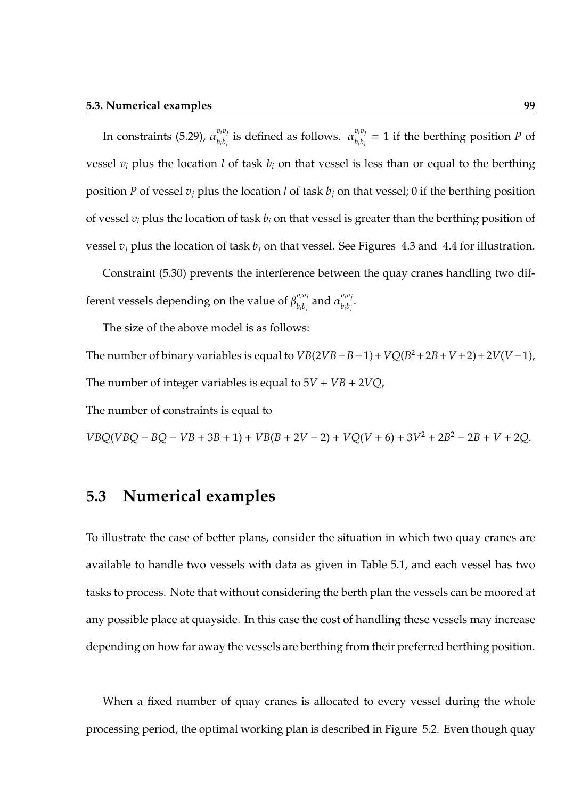In constraints (5.29),  $\alpha_{h:b}^{v_i v_j}$  $v_i v_j$  is defined as follows.  $\alpha_{b_i b_j}^{v_i v_j}$  $b_i b_j = 1$  if the berthing position *P* of vessel  $v_i$  plus the location *l* of task  $b_i$  on that vessel is less than or equal to the berthing position *P* of vessel  $v_i$  plus the location *l* of task  $b_i$  on that vessel; 0 if the berthing position of vessel *v<sup>i</sup>* plus the location of task *b<sup>i</sup>* on that vessel is greater than the berthing position of vessel  $v_j$  plus the location of task  $b_j$  on that vessel. See Figures 4.3 and 4.4 for illustration.

Constraint (5.30) prevents the interference between the quay cranes handling two different vessels depending on the value of  $\beta_{h,h}^{v_iv_j}$  $\frac{v_i v_j}{b_i b_j}$  and  $\alpha \frac{v_i v_j}{b_i b_j}$  $b_i b_j$ <sup>.</sup>

The size of the above model is as follows:

The number of binary variables is equal to  $VB(2VB – B – 1) + VQ(B^2 + 2B + V + 2) + 2V(V – 1)$ , The number of integer variables is equal to  $5V + VB + 2VQ$ ,

The number of constraints is equal to

 $VBQ(VBQ - BQ - VB + 3B + 1) + VB(B + 2V - 2) + VQ(V + 6) + 3V^2 + 2B^2 - 2B + V + 2Q$ .

## **5.3 Numerical examples**

To illustrate the case of better plans, consider the situation in which two quay cranes are available to handle two vessels with data as given in Table 5.1, and each vessel has two tasks to process. Note that without considering the berth plan the vessels can be moored at any possible place at quayside. In this case the cost of handling these vessels may increase depending on how far away the vessels are berthing from their preferred berthing position.

When a fixed number of quay cranes is allocated to every vessel during the whole processing period, the optimal working plan is described in Figure 5.2. Even though quay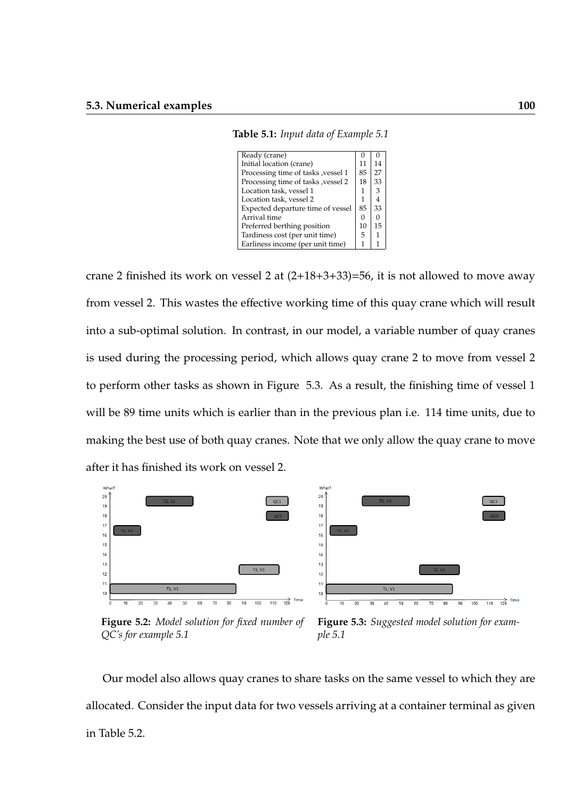**Table 5.1:** *Input data of Example 5.1*

| Ready (crane)                       |    |    |
|-------------------------------------|----|----|
| Initial location (crane)            | 11 | 14 |
| Processing time of tasks , vessel 1 | 85 | 27 |
| Processing time of tasks, yessel 2  | 18 | 33 |
| Location task, vessel 1             | 1  | 3  |
| Location task, vessel 2             | 1  | 4  |
| Expected departure time of vessel   | 85 | 33 |
| Arrival time                        | 0  |    |
| Preferred berthing position         | 10 | 15 |
| Tardiness cost (per unit time)      | 5  |    |
| Earliness income (per unit time)    |    |    |
|                                     |    |    |

crane 2 finished its work on vessel 2 at (2+18+3+33)=56, it is not allowed to move away from vessel 2. This wastes the effective working time of this quay crane which will result into a sub-optimal solution. In contrast, in our model, a variable number of quay cranes is used during the processing period, which allows quay crane 2 to move from vessel 2 to perform other tasks as shown in Figure 5.3. As a result, the finishing time of vessel 1 will be 89 time units which is earlier than in the previous plan i.e. 114 time units, due to making the best use of both quay cranes. Note that we only allow the quay crane to move after it has finished its work on vessel 2.



**Figure 5.2:** *Model solution for fixed number of QC's for example 5.1*

**Figure 5.3:** *Suggested model solution for example 5.1*

Our model also allows quay cranes to share tasks on the same vessel to which they are allocated. Consider the input data for two vessels arriving at a container terminal as given in Table 5.2.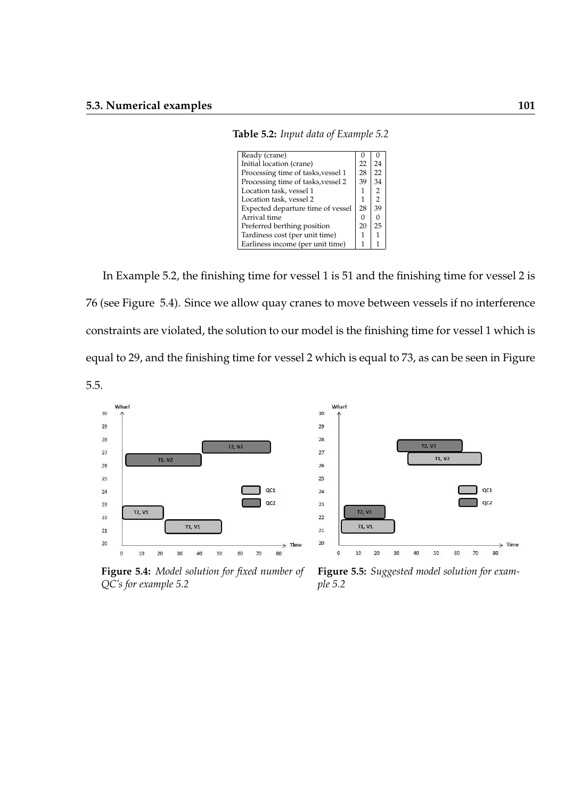**Table 5.2:** *Input data of Example 5.2*

| Ready (crane)                      |    |                |
|------------------------------------|----|----------------|
| Initial location (crane)           | 22 | 24             |
| Processing time of tasks, vessel 1 | 28 | 22             |
| Processing time of tasks, vessel 2 | 39 | 34             |
| Location task, vessel 1            | 1  | 2              |
| Location task, vessel 2            | 1  | $\mathfrak{D}$ |
| Expected departure time of vessel  | 28 | 39             |
| Arrival time                       | 0  | O              |
| Preferred berthing position        | 20 | 25             |
| Tardiness cost (per unit time)     |    |                |
| Earliness income (per unit time)   | 1  |                |
|                                    |    |                |

In Example 5.2, the finishing time for vessel 1 is 51 and the finishing time for vessel 2 is 76 (see Figure 5.4). Since we allow quay cranes to move between vessels if no interference constraints are violated, the solution to our model is the finishing time for vessel 1 which is equal to 29, and the finishing time for vessel 2 which is equal to 73, as can be seen in Figure 5.5.





**Figure 5.4:** *Model solution for fixed number of QC's for example 5.2*

**Figure 5.5:** *Suggested model solution for example 5.2*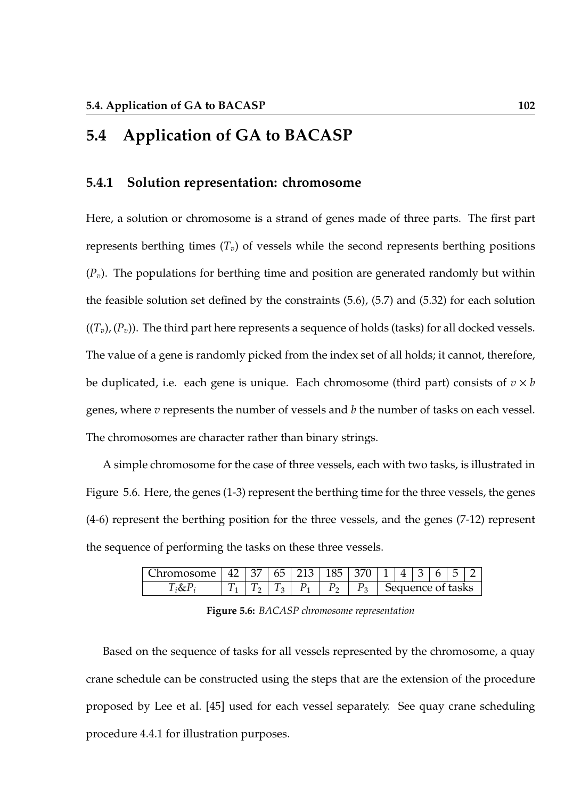## **5.4 Application of GA to BACASP**

### **5.4.1 Solution representation: chromosome**

Here, a solution or chromosome is a strand of genes made of three parts. The first part represents berthing times  $(T_v)$  of vessels while the second represents berthing positions  $(P_v)$ . The populations for berthing time and position are generated randomly but within the feasible solution set defined by the constraints (5.6), (5.7) and (5.32) for each solution  $((T_v), (P_v))$ . The third part here represents a sequence of holds (tasks) for all docked vessels. The value of a gene is randomly picked from the index set of all holds; it cannot, therefore, be duplicated, i.e. each gene is unique. Each chromosome (third part) consists of *v* × *b* genes, where *v* represents the number of vessels and *b* the number of tasks on each vessel. The chromosomes are character rather than binary strings.

A simple chromosome for the case of three vessels, each with two tasks, is illustrated in Figure 5.6. Here, the genes (1-3) represent the berthing time for the three vessels, the genes (4-6) represent the berthing position for the three vessels, and the genes (7-12) represent the sequence of performing the tasks on these three vessels.

| <b>hromosome</b> | $\sqrt{2}$<br>47 | $+37$ | $65 \mid 213$ | 10 <sup>h</sup><br>185 L | 370 | $\Delta$          | ≺ | h | Б. |  |
|------------------|------------------|-------|---------------|--------------------------|-----|-------------------|---|---|----|--|
|                  |                  |       |               |                          | ◡   | Sequence of tasks |   |   |    |  |

**Figure 5.6:** *BACASP chromosome representation*

Based on the sequence of tasks for all vessels represented by the chromosome, a quay crane schedule can be constructed using the steps that are the extension of the procedure proposed by Lee et al. [45] used for each vessel separately. See quay crane scheduling procedure 4.4.1 for illustration purposes.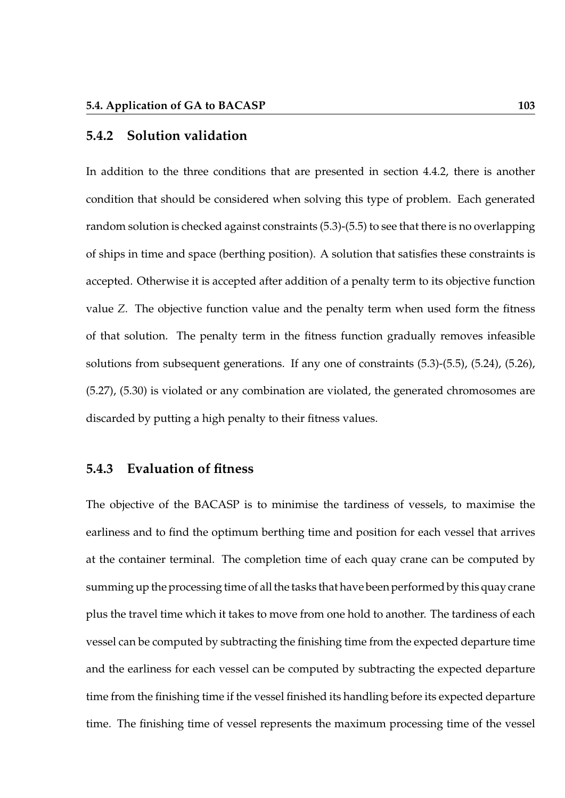### **5.4.2 Solution validation**

In addition to the three conditions that are presented in section 4.4.2, there is another condition that should be considered when solving this type of problem. Each generated random solution is checked against constraints (5.3)-(5.5) to see that there is no overlapping of ships in time and space (berthing position). A solution that satisfies these constraints is accepted. Otherwise it is accepted after addition of a penalty term to its objective function value *Z*. The objective function value and the penalty term when used form the fitness of that solution. The penalty term in the fitness function gradually removes infeasible solutions from subsequent generations. If any one of constraints (5.3)-(5.5), (5.24), (5.26), (5.27), (5.30) is violated or any combination are violated, the generated chromosomes are discarded by putting a high penalty to their fitness values.

### **5.4.3 Evaluation of fitness**

The objective of the BACASP is to minimise the tardiness of vessels, to maximise the earliness and to find the optimum berthing time and position for each vessel that arrives at the container terminal. The completion time of each quay crane can be computed by summing up the processing time of all the tasks that have been performed by this quay crane plus the travel time which it takes to move from one hold to another. The tardiness of each vessel can be computed by subtracting the finishing time from the expected departure time and the earliness for each vessel can be computed by subtracting the expected departure time from the finishing time if the vessel finished its handling before its expected departure time. The finishing time of vessel represents the maximum processing time of the vessel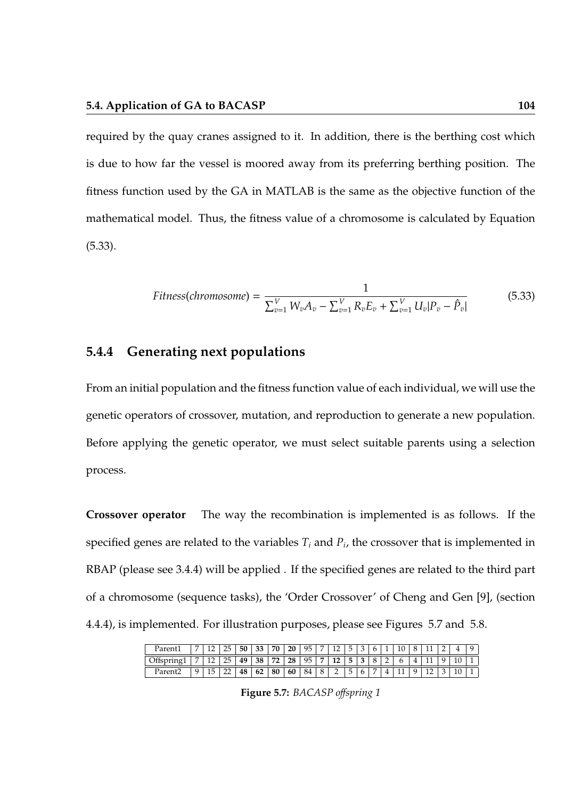required by the quay cranes assigned to it. In addition, there is the berthing cost which is due to how far the vessel is moored away from its preferring berthing position. The fitness function used by the GA in MATLAB is the same as the objective function of the mathematical model. Thus, the fitness value of a chromosome is calculated by Equation (5.33).

$$
Fitness(chromosome) = \frac{1}{\sum_{v=1}^{V} W_v A_v - \sum_{v=1}^{V} R_v E_v + \sum_{v=1}^{V} U_v |P_v - \hat{P}_v|}
$$
(5.33)

### **5.4.4 Generating next populations**

From an initial population and the fitness function value of each individual, we will use the genetic operators of crossover, mutation, and reproduction to generate a new population. Before applying the genetic operator, we must select suitable parents using a selection process.

**Crossover operator** The way the recombination is implemented is as follows. If the specified genes are related to the variables  $T_i$  and  $P_i$ , the crossover that is implemented in RBAP (please see 3.4.4) will be applied . If the specified genes are related to the third part of a chromosome (sequence tasks), the 'Order Crossover' of Cheng and Gen [9], (section 4.4.4), is implemented. For illustration purposes, please see Figures 5.7 and 5.8.

| Parent. |                | 25 | 50 |    | 70 | 20 | Q <sub>5</sub><br>w | 10<br><b>I</b> | r<br>∽  |   |               |          |  |    |  |  |
|---------|----------------|----|----|----|----|----|---------------------|----------------|---------|---|---------------|----------|--|----|--|--|
|         | $\overline{ }$ | 25 | 49 | 38 | 72 | 28 | 95                  | 12             | ັ       |   | $\bm{\omega}$ |          |  |    |  |  |
| Paren∟  | ⊥∪             | -- | 48 | 62 | 80 | 60 | 84                  | ∸              | ×.<br>ັ | v |               | <b>.</b> |  | -- |  |  |

**Figure 5.7:** *BACASP o*ff*spring 1*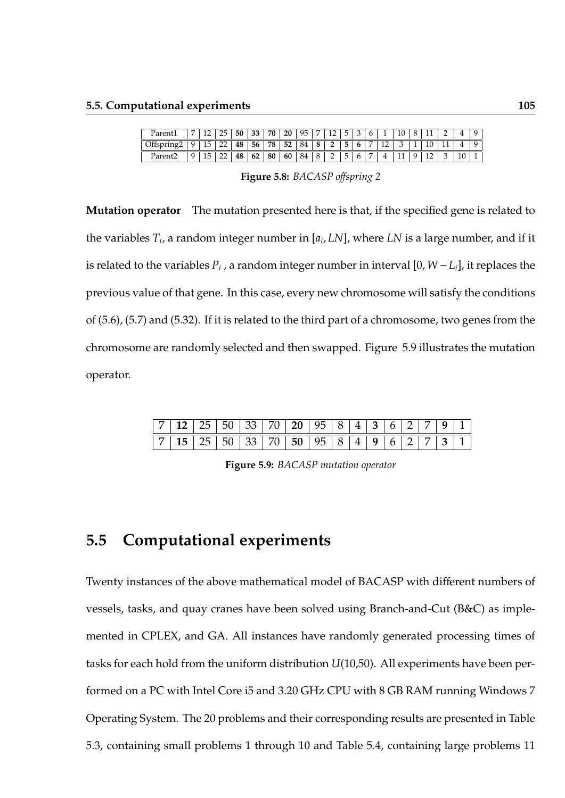|         |  |    | 50 | 33              | 70 | 20 | 95. |                   |          | ь.      |   |    |     |  |    |  |
|---------|--|----|----|-----------------|----|----|-----|-------------------|----------|---------|---|----|-----|--|----|--|
|         |  | -- | 48 | 56 <sub>1</sub> | 78 | 52 | 84  | 8 <sup>1</sup>    | $\gamma$ | Б.<br>ັ |   | 12 |     |  |    |  |
| Parent∠ |  | -- | 48 | 62              | 80 | 60 | 84  | $\mathbf{R}$<br>v | -        | Б.<br>ب | O |    | TT. |  | 10 |  |

**Figure 5.8:** *BACASP o*ff*spring 2*

**Mutation operator** The mutation presented here is that, if the specified gene is related to the variables *T<sup>i</sup>* , a random integer number in [*a<sup>i</sup>* , *LN*], where *LN* is a large number, and if it is related to the variables  $P_i$  , a random integer number in interval [0,  $W - L_i$ ], it replaces the previous value of that gene. In this case, every new chromosome will satisfy the conditions of (5.6), (5.7) and (5.32). If it is related to the third part of a chromosome, two genes from the chromosome are randomly selected and then swapped. Figure 5.9 illustrates the mutation operator.

|  | $7$   12   25   50   33   70   20   95   8   4   3   6   2   7   9   1                                                 |  |  |  |  |  |  |  |
|--|------------------------------------------------------------------------------------------------------------------------|--|--|--|--|--|--|--|
|  | $\boxed{7}$ 15 $\boxed{25}$ 50 $\boxed{33}$ 70 $\boxed{50}$ 95 $\boxed{8}$ 4 $\boxed{9}$ 6 $\boxed{2}$ 7 $\boxed{3}$ 1 |  |  |  |  |  |  |  |

**Figure 5.9:** *BACASP mutation operator*

## **5.5 Computational experiments**

Twenty instances of the above mathematical model of BACASP with different numbers of vessels, tasks, and quay cranes have been solved using Branch-and-Cut (B&C) as implemented in CPLEX, and GA. All instances have randomly generated processing times of tasks for each hold from the uniform distribution *U*(10,50). All experiments have been performed on a PC with Intel Core i5 and 3.20 GHz CPU with 8 GB RAM running Windows 7 Operating System. The 20 problems and their corresponding results are presented in Table 5.3, containing small problems 1 through 10 and Table 5.4, containing large problems 11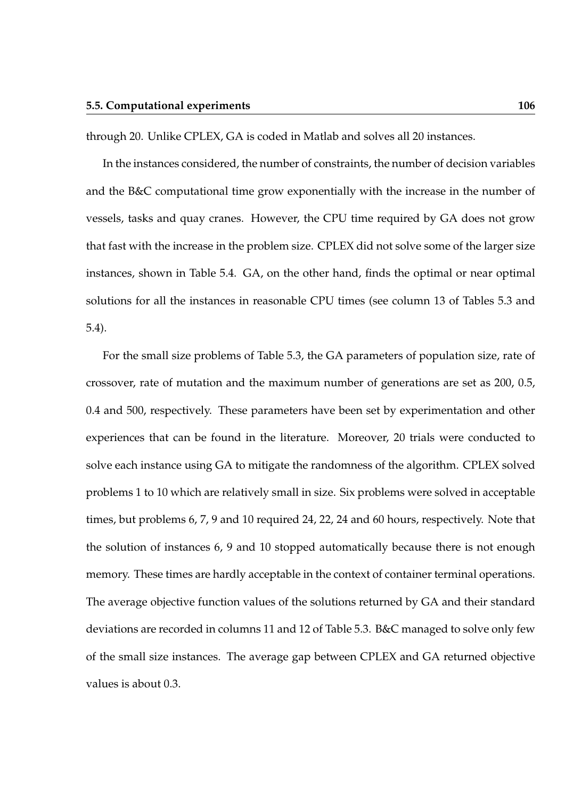through 20. Unlike CPLEX, GA is coded in Matlab and solves all 20 instances.

In the instances considered, the number of constraints, the number of decision variables and the B&C computational time grow exponentially with the increase in the number of vessels, tasks and quay cranes. However, the CPU time required by GA does not grow that fast with the increase in the problem size. CPLEX did not solve some of the larger size instances, shown in Table 5.4. GA, on the other hand, finds the optimal or near optimal solutions for all the instances in reasonable CPU times (see column 13 of Tables 5.3 and 5.4).

For the small size problems of Table 5.3, the GA parameters of population size, rate of crossover, rate of mutation and the maximum number of generations are set as 200, 0.5, 0.4 and 500, respectively. These parameters have been set by experimentation and other experiences that can be found in the literature. Moreover, 20 trials were conducted to solve each instance using GA to mitigate the randomness of the algorithm. CPLEX solved problems 1 to 10 which are relatively small in size. Six problems were solved in acceptable times, but problems 6, 7, 9 and 10 required 24, 22, 24 and 60 hours, respectively. Note that the solution of instances 6, 9 and 10 stopped automatically because there is not enough memory. These times are hardly acceptable in the context of container terminal operations. The average objective function values of the solutions returned by GA and their standard deviations are recorded in columns 11 and 12 of Table 5.3. B&C managed to solve only few of the small size instances. The average gap between CPLEX and GA returned objective values is about 0.3.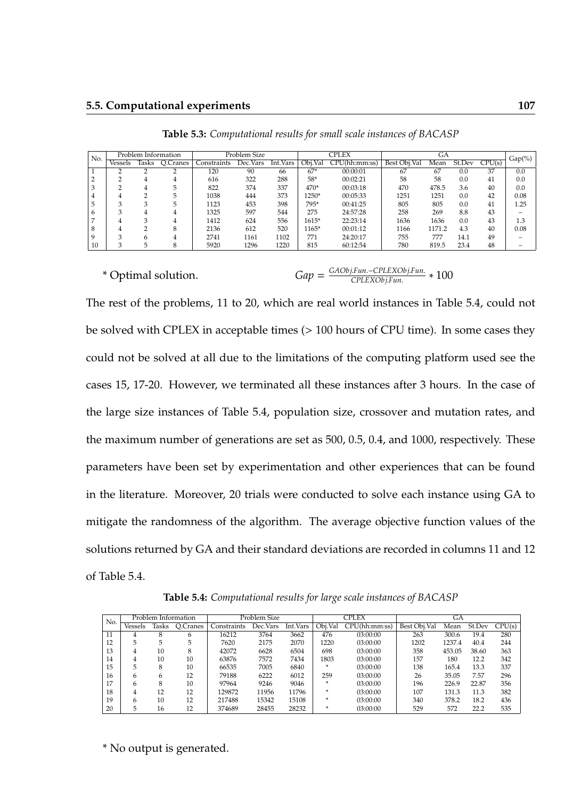| No. |         |       | Problem Information |             | Problem Size |          |         | CPLEX         |              | GА     |        |        |           |
|-----|---------|-------|---------------------|-------------|--------------|----------|---------|---------------|--------------|--------|--------|--------|-----------|
|     | Vessels | Tasks | O.Cranes            | Constraints | Dec.Vars     | Int.Vars | Obi.Val | CPU(hh:mm:ss) | Best Obi.Val | Mean   | St.Dev | CPU(s) | $Gap(\%)$ |
|     |         |       |                     | 120         | 90           | 66       | $67*$   | 00:00:01      | 67           | 67     | 0.0    | 37     | 0.0       |
|     |         |       |                     | 616         | 322          | 288      | 58*     | 00:02:21      | 58           | 58     | 0.0    | 41     | 0.0       |
|     |         |       | 5                   | 822         | 374          | 337      | 470*    | 00:03:18      | 470          | 478.5  | 3.6    | 40     | 0.0       |
|     |         |       | 5                   | 1038        | 444          | 373      | $1250*$ | 00:05:33      | 1251         | 1251   | 0.0    | 42     | 0.08      |
|     | $\sim$  |       | 5                   | 1123        | 453          | 398      | 795*    | 00:41:25      | 805          | 805    | 0.0    | 41     | 1.25      |
| h   | 3       |       |                     | 1325        | 597          | 544      | 275     | 24:57:28      | 258          | 269    | 8.8    | 43     |           |
|     |         |       |                     | 1412        | 624          | 556      | $1615*$ | 22:23:14      | 1636         | 1636   | 0.0    | 43     | 1.3       |
| 8   | 4       |       | 8                   | 2136        | 612          | 520      | $165*$  | 00:01:12      | 1166         | 1171.2 | 4.3    | 40     | 0.08      |
|     | ◠       |       |                     | 2741        | 1161         | 1102     | 771     | 24:20:17      | 755          | 777    | 14.1   | 49     |           |
| 10  |         |       | 8                   | 5920        | 1296         | 1220     | 815     | 60:12:54      | 780          | 819.5  | 23.4   | 48     |           |

**Table 5.3:** *Computational results for small scale instances of BACASP*

\* Optimal solution. *Gap* =

*GAObj*.*Fun*.−*CPLEXObj*.*Fun*. *CPLEXObj*.*Fun*. ∗ 100

The rest of the problems, 11 to 20, which are real world instances in Table 5.4, could not be solved with CPLEX in acceptable times (> 100 hours of CPU time). In some cases they could not be solved at all due to the limitations of the computing platform used see the cases 15, 17-20. However, we terminated all these instances after 3 hours. In the case of the large size instances of Table 5.4, population size, crossover and mutation rates, and the maximum number of generations are set as 500, 0.5, 0.4, and 1000, respectively. These parameters have been set by experimentation and other experiences that can be found in the literature. Moreover, 20 trials were conducted to solve each instance using GA to mitigate the randomness of the algorithm. The average objective function values of the solutions returned by GA and their standard deviations are recorded in columns 11 and 12 of Table 5.4.

**Table 5.4:** *Computational results for large scale instances of BACASP*

| No. |         |       | Problem Information |             | Problem Size |          |         | CPLEX         |              | <b>GA</b> |        |        |
|-----|---------|-------|---------------------|-------------|--------------|----------|---------|---------------|--------------|-----------|--------|--------|
|     | Vessels | lasks | O.Cranes            | Constraints | Dec. Vars    | Int.Vars | Obi.Val | CPU(hh:mm:ss) | Best Obi.Val | Mean      | St.Dev | CPU(s) |
| 11  | 4       |       | 6                   | 16212       | 3764         | 3662     | 476     | 03:00:00      | 263          | 300.6     | 19.4   | 280    |
| 12  | 5       | 5     | 5                   | 7620        | 2175         | 2070     | 1220    | 03:00:00      | 1202         | 1237.4    | 40.4   | 244    |
| 13  | 4       | 10    | 8                   | 42072       | 6628         | 6504     | 698     | 03:00:00      | 358          | 453.05    | 38.60  | 363    |
| 14  | 4       | 10    | 10                  | 63876       | 7572         | 7434     | 1803    | 03:00:00      | 157          | 180       | 12.2   | 342    |
| 15  | 5       | 8     | 10                  | 66535       | 7005         | 6840     | ×       | 03:00:00      | 138          | 165.4     | 13.3   | 337    |
| 16  | 6       | h     | 12                  | 79188       | 6222         | 6012     | 259     | 03:00:00      | 26           | 35.05     | 7.57   | 296    |
| 17  | 6       | 8     | 10                  | 97964       | 9246         | 9046     | ×       | 03:00:00      | 196          | 226.9     | 22.87  | 356    |
| 18  | 4       | 12    | 12                  | 129872      | 11956        | 11796    | ×       | 03:00:00      | 107          | 131.3     | 11.3   | 382    |
| 19  | 6       | 10    | 12                  | 217488      | 15342        | 15108    | ×       | 03:00:00      | 340          | 378.2     | 18.2   | 436    |
| 20  | 5       | 16    | 12                  | 374689      | 28455        | 28232    | ×       | 03:00:00      | 529          | 572       | 22.2   | 535    |

\* No output is generated.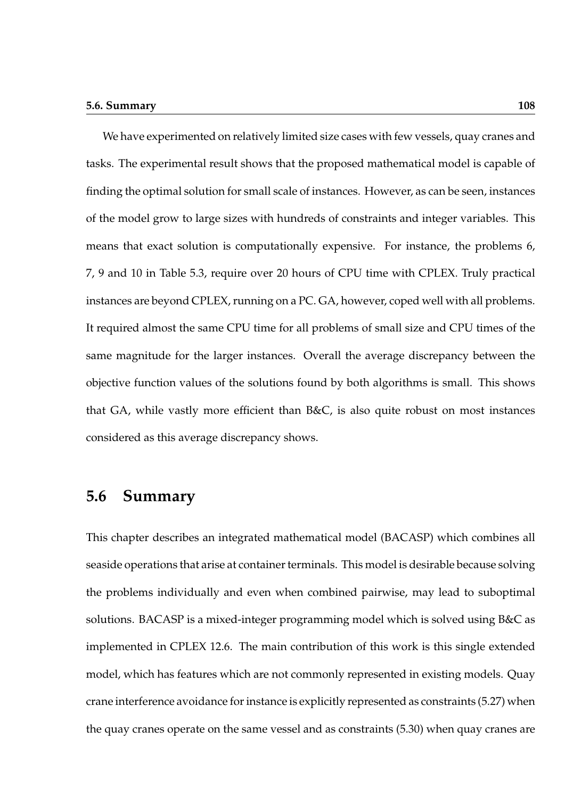#### **5.6. Summary 108**

We have experimented on relatively limited size cases with few vessels, quay cranes and tasks. The experimental result shows that the proposed mathematical model is capable of finding the optimal solution for small scale of instances. However, as can be seen, instances of the model grow to large sizes with hundreds of constraints and integer variables. This means that exact solution is computationally expensive. For instance, the problems 6, 7, 9 and 10 in Table 5.3, require over 20 hours of CPU time with CPLEX. Truly practical instances are beyond CPLEX, running on a PC. GA, however, coped well with all problems. It required almost the same CPU time for all problems of small size and CPU times of the same magnitude for the larger instances. Overall the average discrepancy between the objective function values of the solutions found by both algorithms is small. This shows that GA, while vastly more efficient than B&C, is also quite robust on most instances considered as this average discrepancy shows.

### **5.6 Summary**

This chapter describes an integrated mathematical model (BACASP) which combines all seaside operations that arise at container terminals. This model is desirable because solving the problems individually and even when combined pairwise, may lead to suboptimal solutions. BACASP is a mixed-integer programming model which is solved using B&C as implemented in CPLEX 12.6. The main contribution of this work is this single extended model, which has features which are not commonly represented in existing models. Quay crane interference avoidance for instance is explicitly represented as constraints (5.27) when the quay cranes operate on the same vessel and as constraints (5.30) when quay cranes are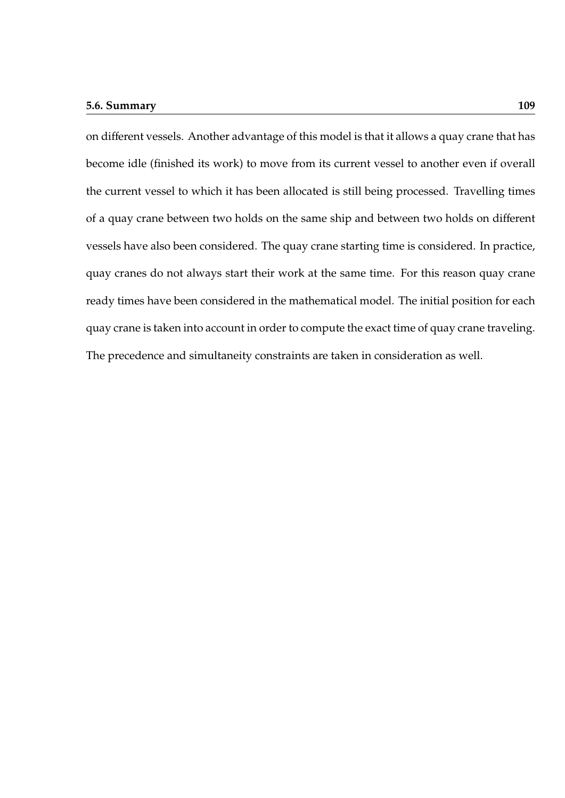#### **5.6. Summary 109**

on different vessels. Another advantage of this model is that it allows a quay crane that has become idle (finished its work) to move from its current vessel to another even if overall the current vessel to which it has been allocated is still being processed. Travelling times of a quay crane between two holds on the same ship and between two holds on different vessels have also been considered. The quay crane starting time is considered. In practice, quay cranes do not always start their work at the same time. For this reason quay crane ready times have been considered in the mathematical model. The initial position for each quay crane is taken into account in order to compute the exact time of quay crane traveling. The precedence and simultaneity constraints are taken in consideration as well.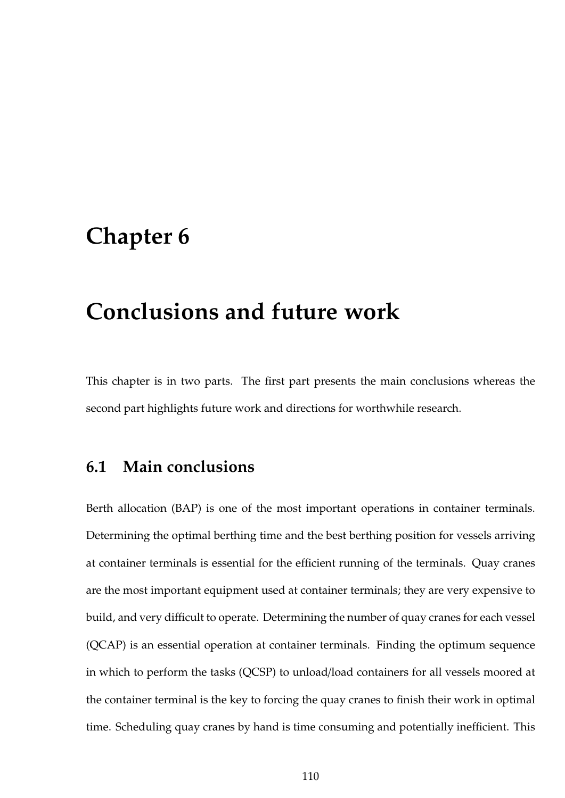# **Chapter 6**

# **Conclusions and future work**

This chapter is in two parts. The first part presents the main conclusions whereas the second part highlights future work and directions for worthwhile research.

## **6.1 Main conclusions**

Berth allocation (BAP) is one of the most important operations in container terminals. Determining the optimal berthing time and the best berthing position for vessels arriving at container terminals is essential for the efficient running of the terminals. Quay cranes are the most important equipment used at container terminals; they are very expensive to build, and very difficult to operate. Determining the number of quay cranes for each vessel (QCAP) is an essential operation at container terminals. Finding the optimum sequence in which to perform the tasks (QCSP) to unload/load containers for all vessels moored at the container terminal is the key to forcing the quay cranes to finish their work in optimal time. Scheduling quay cranes by hand is time consuming and potentially inefficient. This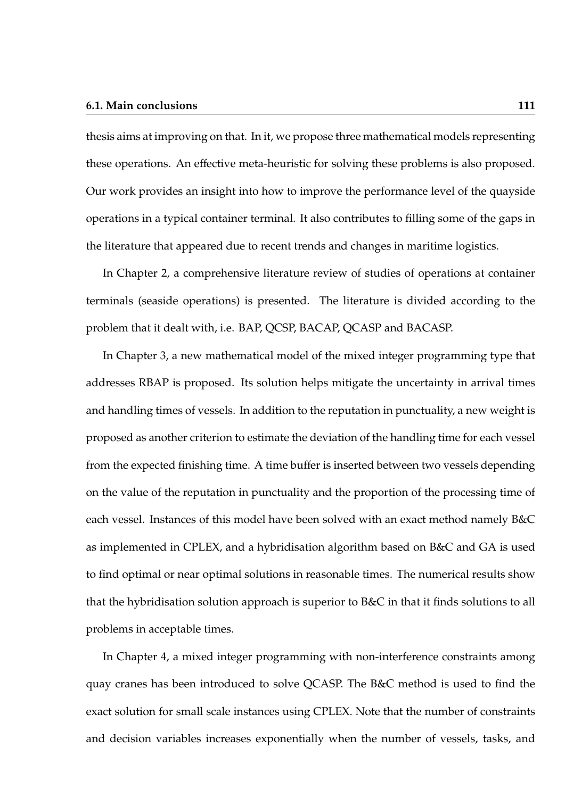#### **6.1. Main conclusions 111**

thesis aims at improving on that. In it, we propose three mathematical models representing these operations. An effective meta-heuristic for solving these problems is also proposed. Our work provides an insight into how to improve the performance level of the quayside operations in a typical container terminal. It also contributes to filling some of the gaps in the literature that appeared due to recent trends and changes in maritime logistics.

In Chapter 2, a comprehensive literature review of studies of operations at container terminals (seaside operations) is presented. The literature is divided according to the problem that it dealt with, i.e. BAP, QCSP, BACAP, QCASP and BACASP.

In Chapter 3, a new mathematical model of the mixed integer programming type that addresses RBAP is proposed. Its solution helps mitigate the uncertainty in arrival times and handling times of vessels. In addition to the reputation in punctuality, a new weight is proposed as another criterion to estimate the deviation of the handling time for each vessel from the expected finishing time. A time buffer is inserted between two vessels depending on the value of the reputation in punctuality and the proportion of the processing time of each vessel. Instances of this model have been solved with an exact method namely B&C as implemented in CPLEX, and a hybridisation algorithm based on B&C and GA is used to find optimal or near optimal solutions in reasonable times. The numerical results show that the hybridisation solution approach is superior to B&C in that it finds solutions to all problems in acceptable times.

In Chapter 4, a mixed integer programming with non-interference constraints among quay cranes has been introduced to solve QCASP. The B&C method is used to find the exact solution for small scale instances using CPLEX. Note that the number of constraints and decision variables increases exponentially when the number of vessels, tasks, and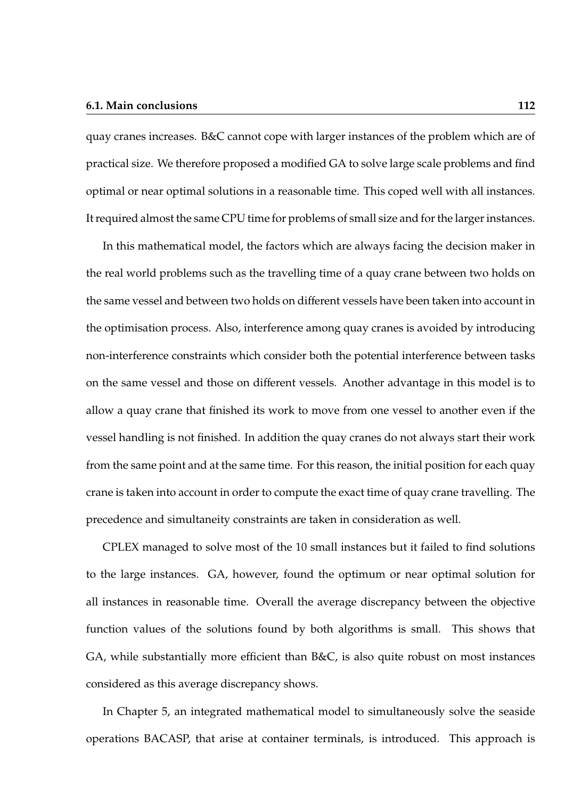#### **6.1. Main conclusions 112**

quay cranes increases. B&C cannot cope with larger instances of the problem which are of practical size. We therefore proposed a modified GA to solve large scale problems and find optimal or near optimal solutions in a reasonable time. This coped well with all instances. It required almost the same CPU time for problems of small size and for the larger instances.

In this mathematical model, the factors which are always facing the decision maker in the real world problems such as the travelling time of a quay crane between two holds on the same vessel and between two holds on different vessels have been taken into account in the optimisation process. Also, interference among quay cranes is avoided by introducing non-interference constraints which consider both the potential interference between tasks on the same vessel and those on different vessels. Another advantage in this model is to allow a quay crane that finished its work to move from one vessel to another even if the vessel handling is not finished. In addition the quay cranes do not always start their work from the same point and at the same time. For this reason, the initial position for each quay crane is taken into account in order to compute the exact time of quay crane travelling. The precedence and simultaneity constraints are taken in consideration as well.

CPLEX managed to solve most of the 10 small instances but it failed to find solutions to the large instances. GA, however, found the optimum or near optimal solution for all instances in reasonable time. Overall the average discrepancy between the objective function values of the solutions found by both algorithms is small. This shows that GA, while substantially more efficient than B&C, is also quite robust on most instances considered as this average discrepancy shows.

In Chapter 5, an integrated mathematical model to simultaneously solve the seaside operations BACASP, that arise at container terminals, is introduced. This approach is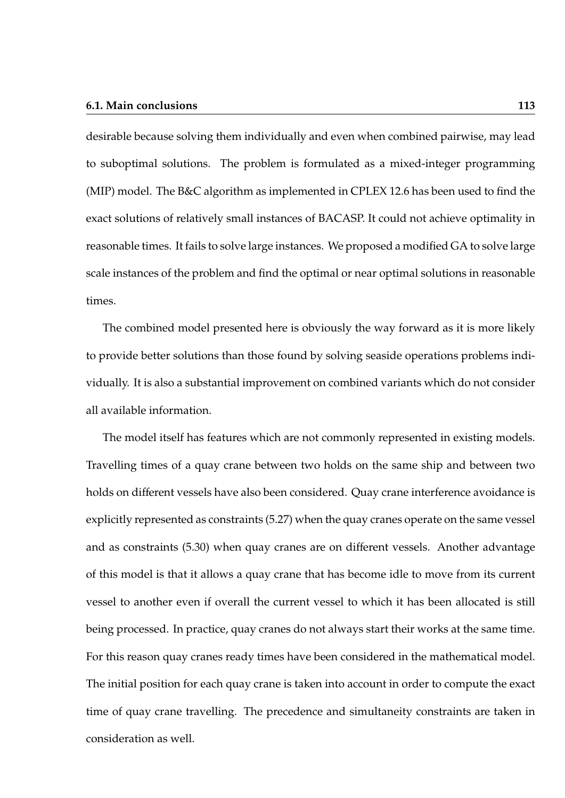#### **6.1. Main conclusions 113**

desirable because solving them individually and even when combined pairwise, may lead to suboptimal solutions. The problem is formulated as a mixed-integer programming (MIP) model. The B&C algorithm as implemented in CPLEX 12.6 has been used to find the exact solutions of relatively small instances of BACASP. It could not achieve optimality in reasonable times. It fails to solve large instances. We proposed a modified GA to solve large scale instances of the problem and find the optimal or near optimal solutions in reasonable times.

The combined model presented here is obviously the way forward as it is more likely to provide better solutions than those found by solving seaside operations problems individually. It is also a substantial improvement on combined variants which do not consider all available information.

The model itself has features which are not commonly represented in existing models. Travelling times of a quay crane between two holds on the same ship and between two holds on different vessels have also been considered. Quay crane interference avoidance is explicitly represented as constraints (5.27) when the quay cranes operate on the same vessel and as constraints (5.30) when quay cranes are on different vessels. Another advantage of this model is that it allows a quay crane that has become idle to move from its current vessel to another even if overall the current vessel to which it has been allocated is still being processed. In practice, quay cranes do not always start their works at the same time. For this reason quay cranes ready times have been considered in the mathematical model. The initial position for each quay crane is taken into account in order to compute the exact time of quay crane travelling. The precedence and simultaneity constraints are taken in consideration as well.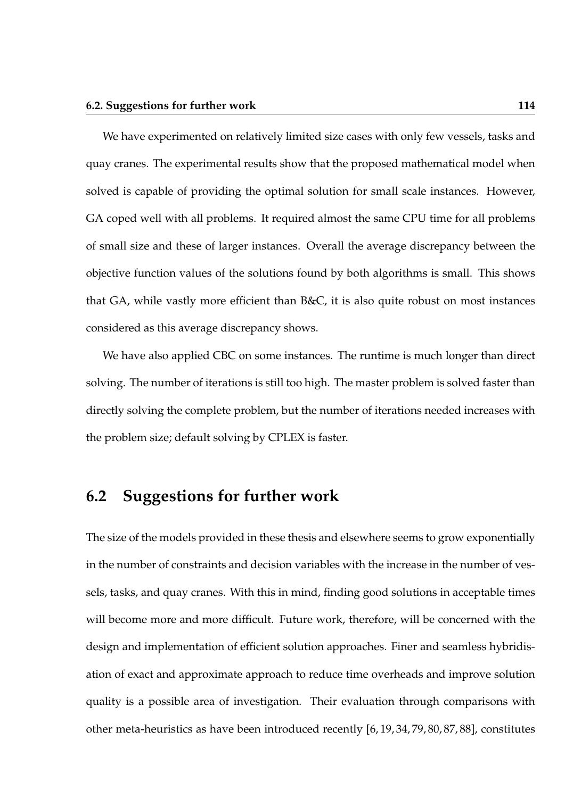We have experimented on relatively limited size cases with only few vessels, tasks and quay cranes. The experimental results show that the proposed mathematical model when solved is capable of providing the optimal solution for small scale instances. However, GA coped well with all problems. It required almost the same CPU time for all problems of small size and these of larger instances. Overall the average discrepancy between the objective function values of the solutions found by both algorithms is small. This shows that GA, while vastly more efficient than B&C, it is also quite robust on most instances considered as this average discrepancy shows.

We have also applied CBC on some instances. The runtime is much longer than direct solving. The number of iterations is still too high. The master problem is solved faster than directly solving the complete problem, but the number of iterations needed increases with the problem size; default solving by CPLEX is faster.

## **6.2 Suggestions for further work**

The size of the models provided in these thesis and elsewhere seems to grow exponentially in the number of constraints and decision variables with the increase in the number of vessels, tasks, and quay cranes. With this in mind, finding good solutions in acceptable times will become more and more difficult. Future work, therefore, will be concerned with the design and implementation of efficient solution approaches. Finer and seamless hybridisation of exact and approximate approach to reduce time overheads and improve solution quality is a possible area of investigation. Their evaluation through comparisons with other meta-heuristics as have been introduced recently [6, 19, 34, 79, 80, 87, 88], constitutes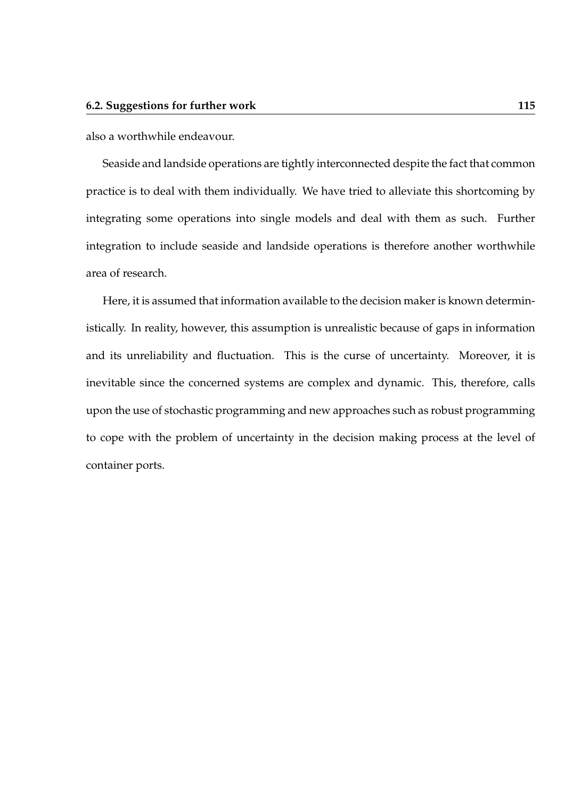also a worthwhile endeavour.

Seaside and landside operations are tightly interconnected despite the fact that common practice is to deal with them individually. We have tried to alleviate this shortcoming by integrating some operations into single models and deal with them as such. Further integration to include seaside and landside operations is therefore another worthwhile area of research.

Here, it is assumed that information available to the decision maker is known deterministically. In reality, however, this assumption is unrealistic because of gaps in information and its unreliability and fluctuation. This is the curse of uncertainty. Moreover, it is inevitable since the concerned systems are complex and dynamic. This, therefore, calls upon the use of stochastic programming and new approaches such as robust programming to cope with the problem of uncertainty in the decision making process at the level of container ports.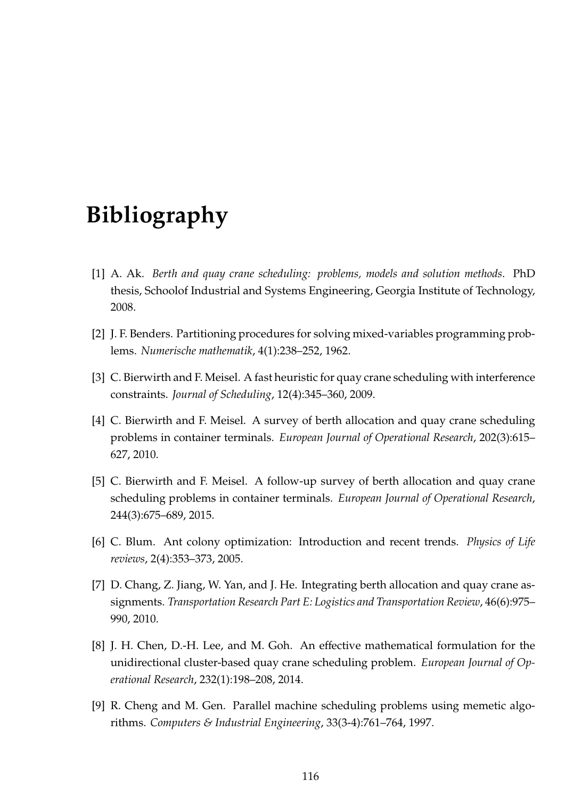# **Bibliography**

- [1] A. Ak. *Berth and quay crane scheduling: problems, models and solution methods*. PhD thesis, Schoolof Industrial and Systems Engineering, Georgia Institute of Technology, 2008.
- [2] J. F. Benders. Partitioning procedures for solving mixed-variables programming problems. *Numerische mathematik*, 4(1):238–252, 1962.
- [3] C. Bierwirth and F. Meisel. A fast heuristic for quay crane scheduling with interference constraints. *Journal of Scheduling*, 12(4):345–360, 2009.
- [4] C. Bierwirth and F. Meisel. A survey of berth allocation and quay crane scheduling problems in container terminals. *European Journal of Operational Research*, 202(3):615– 627, 2010.
- [5] C. Bierwirth and F. Meisel. A follow-up survey of berth allocation and quay crane scheduling problems in container terminals. *European Journal of Operational Research*, 244(3):675–689, 2015.
- [6] C. Blum. Ant colony optimization: Introduction and recent trends. *Physics of Life reviews*, 2(4):353–373, 2005.
- [7] D. Chang, Z. Jiang, W. Yan, and J. He. Integrating berth allocation and quay crane assignments. *Transportation Research Part E: Logistics and Transportation Review*, 46(6):975– 990, 2010.
- [8] J. H. Chen, D.-H. Lee, and M. Goh. An effective mathematical formulation for the unidirectional cluster-based quay crane scheduling problem. *European Journal of Operational Research*, 232(1):198–208, 2014.
- [9] R. Cheng and M. Gen. Parallel machine scheduling problems using memetic algorithms. *Computers & Industrial Engineering*, 33(3-4):761–764, 1997.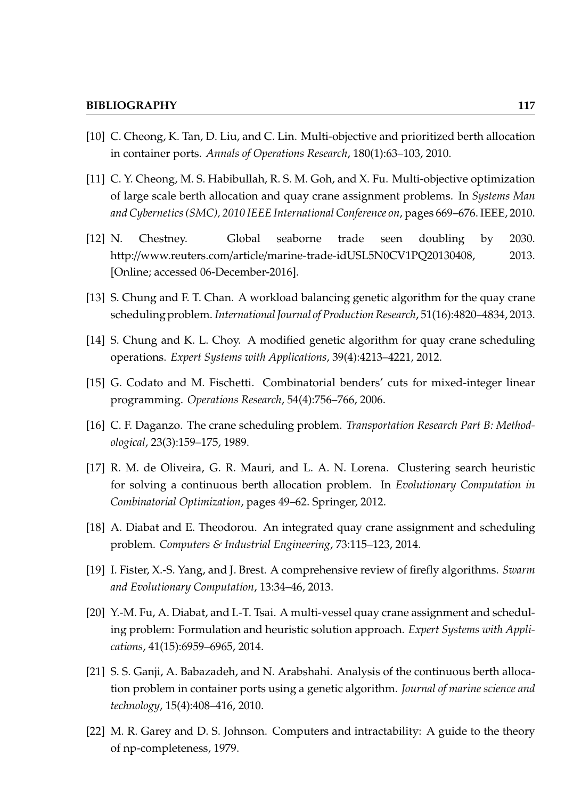- [10] C. Cheong, K. Tan, D. Liu, and C. Lin. Multi-objective and prioritized berth allocation in container ports. *Annals of Operations Research*, 180(1):63–103, 2010.
- [11] C. Y. Cheong, M. S. Habibullah, R. S. M. Goh, and X. Fu. Multi-objective optimization of large scale berth allocation and quay crane assignment problems. In *Systems Man and Cybernetics (SMC), 2010 IEEE International Conference on*, pages 669–676. IEEE, 2010.
- [12] N. Chestney. Global seaborne trade seen doubling by 2030. http://www.reuters.com/article/marine-trade-idUSL5N0CV1PQ20130408, 2013. [Online; accessed 06-December-2016].
- [13] S. Chung and F. T. Chan. A workload balancing genetic algorithm for the quay crane scheduling problem. *International Journal of Production Research*, 51(16):4820–4834, 2013.
- [14] S. Chung and K. L. Choy. A modified genetic algorithm for quay crane scheduling operations. *Expert Systems with Applications*, 39(4):4213–4221, 2012.
- [15] G. Codato and M. Fischetti. Combinatorial benders' cuts for mixed-integer linear programming. *Operations Research*, 54(4):756–766, 2006.
- [16] C. F. Daganzo. The crane scheduling problem. *Transportation Research Part B: Methodological*, 23(3):159–175, 1989.
- [17] R. M. de Oliveira, G. R. Mauri, and L. A. N. Lorena. Clustering search heuristic for solving a continuous berth allocation problem. In *Evolutionary Computation in Combinatorial Optimization*, pages 49–62. Springer, 2012.
- [18] A. Diabat and E. Theodorou. An integrated quay crane assignment and scheduling problem. *Computers & Industrial Engineering*, 73:115–123, 2014.
- [19] I. Fister, X.-S. Yang, and J. Brest. A comprehensive review of firefly algorithms. *Swarm and Evolutionary Computation*, 13:34–46, 2013.
- [20] Y.-M. Fu, A. Diabat, and I.-T. Tsai. A multi-vessel quay crane assignment and scheduling problem: Formulation and heuristic solution approach. *Expert Systems with Applications*, 41(15):6959–6965, 2014.
- [21] S. S. Ganji, A. Babazadeh, and N. Arabshahi. Analysis of the continuous berth allocation problem in container ports using a genetic algorithm. *Journal of marine science and technology*, 15(4):408–416, 2010.
- [22] M. R. Garey and D. S. Johnson. Computers and intractability: A guide to the theory of np-completeness, 1979.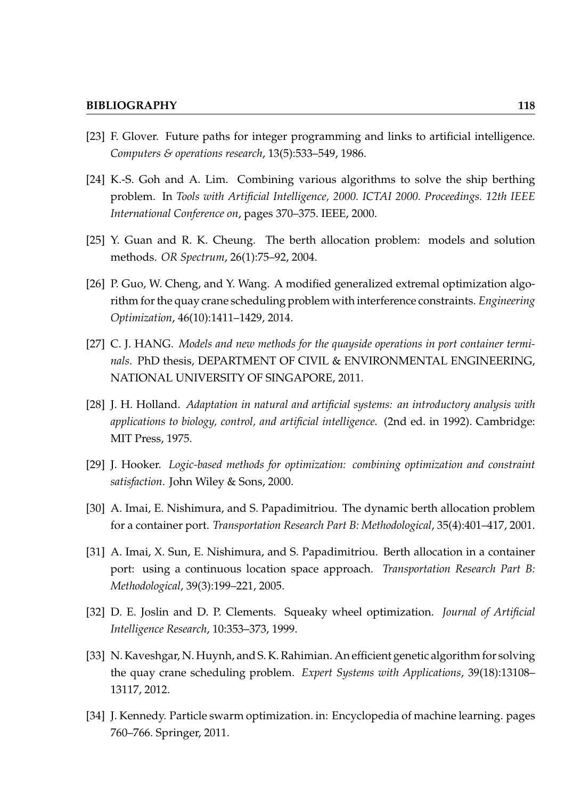- [23] F. Glover. Future paths for integer programming and links to artificial intelligence. *Computers & operations research*, 13(5):533–549, 1986.
- [24] K.-S. Goh and A. Lim. Combining various algorithms to solve the ship berthing problem. In *Tools with Artificial Intelligence, 2000. ICTAI 2000. Proceedings. 12th IEEE International Conference on*, pages 370–375. IEEE, 2000.
- [25] Y. Guan and R. K. Cheung. The berth allocation problem: models and solution methods. *OR Spectrum*, 26(1):75–92, 2004.
- [26] P. Guo, W. Cheng, and Y. Wang. A modified generalized extremal optimization algorithm for the quay crane scheduling problem with interference constraints. *Engineering Optimization*, 46(10):1411–1429, 2014.
- [27] C. J. HANG. *Models and new methods for the quayside operations in port container terminals*. PhD thesis, DEPARTMENT OF CIVIL & ENVIRONMENTAL ENGINEERING, NATIONAL UNIVERSITY OF SINGAPORE, 2011.
- [28] J. H. Holland. *Adaptation in natural and artificial systems: an introductory analysis with applications to biology, control, and artificial intelligence.* (2nd ed. in 1992). Cambridge: MIT Press, 1975.
- [29] J. Hooker. *Logic-based methods for optimization: combining optimization and constraint satisfaction*. John Wiley & Sons, 2000.
- [30] A. Imai, E. Nishimura, and S. Papadimitriou. The dynamic berth allocation problem for a container port. *Transportation Research Part B: Methodological*, 35(4):401–417, 2001.
- [31] A. Imai, X. Sun, E. Nishimura, and S. Papadimitriou. Berth allocation in a container port: using a continuous location space approach. *Transportation Research Part B: Methodological*, 39(3):199–221, 2005.
- [32] D. E. Joslin and D. P. Clements. Squeaky wheel optimization. *Journal of Artificial Intelligence Research*, 10:353–373, 1999.
- [33] N. Kaveshgar, N. Huynh, and S. K. Rahimian. An efficient genetic algorithm for solving the quay crane scheduling problem. *Expert Systems with Applications*, 39(18):13108– 13117, 2012.
- [34] J. Kennedy. Particle swarm optimization. in: Encyclopedia of machine learning. pages 760–766. Springer, 2011.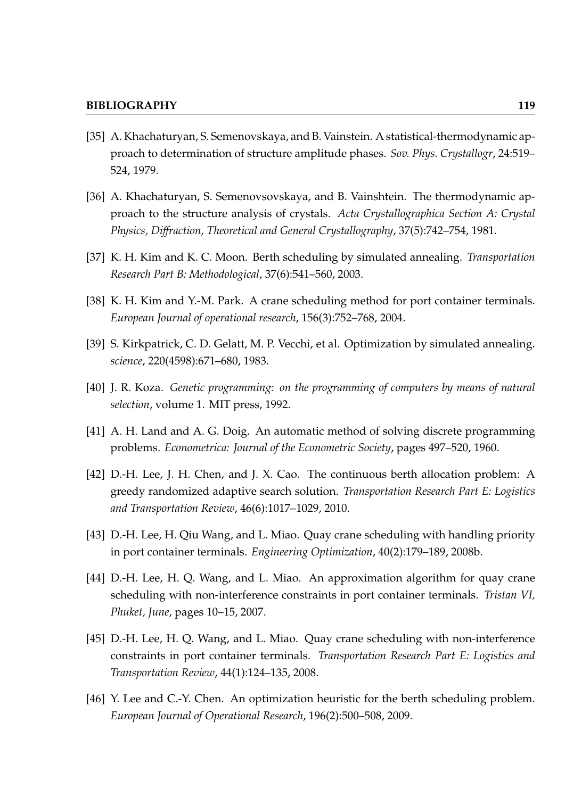- [35] A. Khachaturyan, S. Semenovskaya, and B. Vainstein. A statistical-thermodynamic approach to determination of structure amplitude phases. *Sov. Phys. Crystallogr*, 24:519– 524, 1979.
- [36] A. Khachaturyan, S. Semenovsovskaya, and B. Vainshtein. The thermodynamic approach to the structure analysis of crystals. *Acta Crystallographica Section A: Crystal Physics, Di*ff*raction, Theoretical and General Crystallography*, 37(5):742–754, 1981.
- [37] K. H. Kim and K. C. Moon. Berth scheduling by simulated annealing. *Transportation Research Part B: Methodological*, 37(6):541–560, 2003.
- [38] K. H. Kim and Y.-M. Park. A crane scheduling method for port container terminals. *European Journal of operational research*, 156(3):752–768, 2004.
- [39] S. Kirkpatrick, C. D. Gelatt, M. P. Vecchi, et al. Optimization by simulated annealing. *science*, 220(4598):671–680, 1983.
- [40] J. R. Koza. *Genetic programming: on the programming of computers by means of natural selection*, volume 1. MIT press, 1992.
- [41] A. H. Land and A. G. Doig. An automatic method of solving discrete programming problems. *Econometrica: Journal of the Econometric Society*, pages 497–520, 1960.
- [42] D.-H. Lee, J. H. Chen, and J. X. Cao. The continuous berth allocation problem: A greedy randomized adaptive search solution. *Transportation Research Part E: Logistics and Transportation Review*, 46(6):1017–1029, 2010.
- [43] D.-H. Lee, H. Qiu Wang, and L. Miao. Quay crane scheduling with handling priority in port container terminals. *Engineering Optimization*, 40(2):179–189, 2008b.
- [44] D.-H. Lee, H. Q. Wang, and L. Miao. An approximation algorithm for quay crane scheduling with non-interference constraints in port container terminals. *Tristan VI, Phuket, June*, pages 10–15, 2007.
- [45] D.-H. Lee, H. Q. Wang, and L. Miao. Quay crane scheduling with non-interference constraints in port container terminals. *Transportation Research Part E: Logistics and Transportation Review*, 44(1):124–135, 2008.
- [46] Y. Lee and C.-Y. Chen. An optimization heuristic for the berth scheduling problem. *European Journal of Operational Research*, 196(2):500–508, 2009.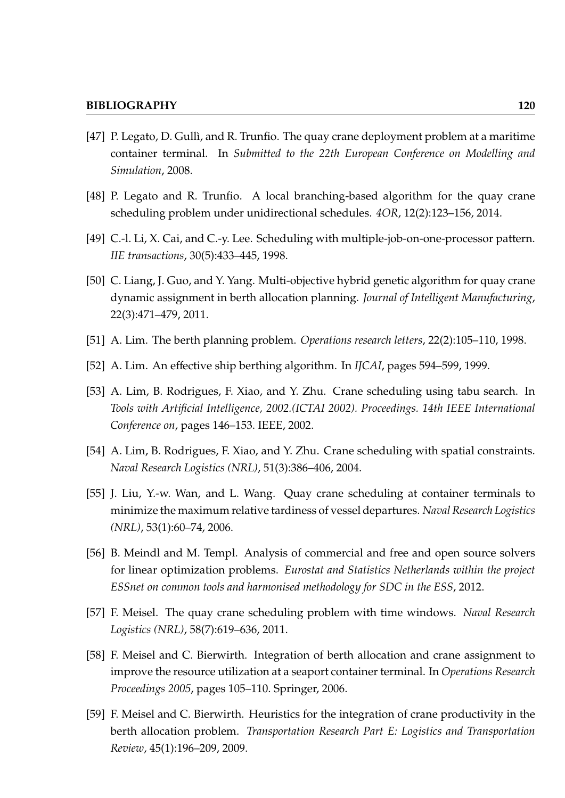- [47] P. Legato, D. Gullì, and R. Trunfio. The quay crane deployment problem at a maritime container terminal. In *Submitted to the 22th European Conference on Modelling and Simulation*, 2008.
- [48] P. Legato and R. Trunfio. A local branching-based algorithm for the quay crane scheduling problem under unidirectional schedules. *4OR*, 12(2):123–156, 2014.
- [49] C.-l. Li, X. Cai, and C.-y. Lee. Scheduling with multiple-job-on-one-processor pattern. *IIE transactions*, 30(5):433–445, 1998.
- [50] C. Liang, J. Guo, and Y. Yang. Multi-objective hybrid genetic algorithm for quay crane dynamic assignment in berth allocation planning. *Journal of Intelligent Manufacturing*, 22(3):471–479, 2011.
- [51] A. Lim. The berth planning problem. *Operations research letters*, 22(2):105–110, 1998.
- [52] A. Lim. An effective ship berthing algorithm. In *IJCAI*, pages 594–599, 1999.
- [53] A. Lim, B. Rodrigues, F. Xiao, and Y. Zhu. Crane scheduling using tabu search. In *Tools with Artificial Intelligence, 2002.(ICTAI 2002). Proceedings. 14th IEEE International Conference on*, pages 146–153. IEEE, 2002.
- [54] A. Lim, B. Rodrigues, F. Xiao, and Y. Zhu. Crane scheduling with spatial constraints. *Naval Research Logistics (NRL)*, 51(3):386–406, 2004.
- [55] J. Liu, Y.-w. Wan, and L. Wang. Quay crane scheduling at container terminals to minimize the maximum relative tardiness of vessel departures. *Naval Research Logistics (NRL)*, 53(1):60–74, 2006.
- [56] B. Meindl and M. Templ. Analysis of commercial and free and open source solvers for linear optimization problems. *Eurostat and Statistics Netherlands within the project ESSnet on common tools and harmonised methodology for SDC in the ESS*, 2012.
- [57] F. Meisel. The quay crane scheduling problem with time windows. *Naval Research Logistics (NRL)*, 58(7):619–636, 2011.
- [58] F. Meisel and C. Bierwirth. Integration of berth allocation and crane assignment to improve the resource utilization at a seaport container terminal. In *Operations Research Proceedings 2005*, pages 105–110. Springer, 2006.
- [59] F. Meisel and C. Bierwirth. Heuristics for the integration of crane productivity in the berth allocation problem. *Transportation Research Part E: Logistics and Transportation Review*, 45(1):196–209, 2009.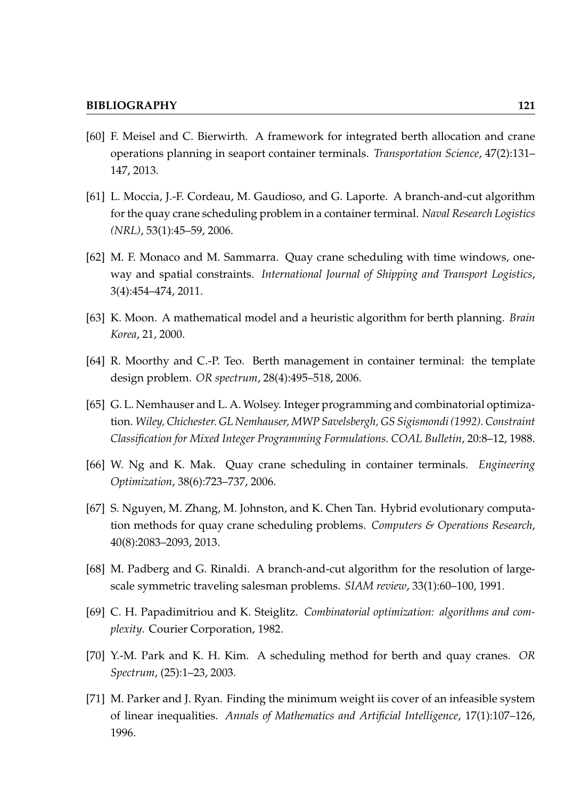- [60] F. Meisel and C. Bierwirth. A framework for integrated berth allocation and crane operations planning in seaport container terminals. *Transportation Science*, 47(2):131– 147, 2013.
- [61] L. Moccia, J.-F. Cordeau, M. Gaudioso, and G. Laporte. A branch-and-cut algorithm for the quay crane scheduling problem in a container terminal. *Naval Research Logistics (NRL)*, 53(1):45–59, 2006.
- [62] M. F. Monaco and M. Sammarra. Quay crane scheduling with time windows, oneway and spatial constraints. *International Journal of Shipping and Transport Logistics*, 3(4):454–474, 2011.
- [63] K. Moon. A mathematical model and a heuristic algorithm for berth planning. *Brain Korea*, 21, 2000.
- [64] R. Moorthy and C.-P. Teo. Berth management in container terminal: the template design problem. *OR spectrum*, 28(4):495–518, 2006.
- [65] G. L. Nemhauser and L. A. Wolsey. Integer programming and combinatorial optimization. *Wiley, Chichester. GL Nemhauser, MWP Savelsbergh, GS Sigismondi (1992). Constraint Classification for Mixed Integer Programming Formulations. COAL Bulletin*, 20:8–12, 1988.
- [66] W. Ng and K. Mak. Quay crane scheduling in container terminals. *Engineering Optimization*, 38(6):723–737, 2006.
- [67] S. Nguyen, M. Zhang, M. Johnston, and K. Chen Tan. Hybrid evolutionary computation methods for quay crane scheduling problems. *Computers & Operations Research*, 40(8):2083–2093, 2013.
- [68] M. Padberg and G. Rinaldi. A branch-and-cut algorithm for the resolution of largescale symmetric traveling salesman problems. *SIAM review*, 33(1):60–100, 1991.
- [69] C. H. Papadimitriou and K. Steiglitz. *Combinatorial optimization: algorithms and complexity*. Courier Corporation, 1982.
- [70] Y.-M. Park and K. H. Kim. A scheduling method for berth and quay cranes. *OR Spectrum*, (25):1–23, 2003.
- [71] M. Parker and J. Ryan. Finding the minimum weight iis cover of an infeasible system of linear inequalities. *Annals of Mathematics and Artificial Intelligence*, 17(1):107–126, 1996.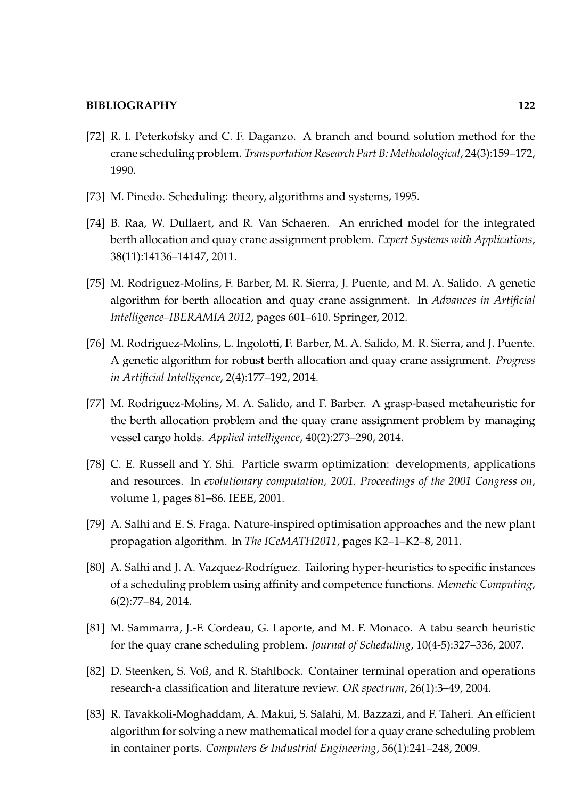- [72] R. I. Peterkofsky and C. F. Daganzo. A branch and bound solution method for the crane scheduling problem. *Transportation Research Part B: Methodological*, 24(3):159–172, 1990.
- [73] M. Pinedo. Scheduling: theory, algorithms and systems, 1995.
- [74] B. Raa, W. Dullaert, and R. Van Schaeren. An enriched model for the integrated berth allocation and quay crane assignment problem. *Expert Systems with Applications*, 38(11):14136–14147, 2011.
- [75] M. Rodriguez-Molins, F. Barber, M. R. Sierra, J. Puente, and M. A. Salido. A genetic algorithm for berth allocation and quay crane assignment. In *Advances in Artificial Intelligence–IBERAMIA 2012*, pages 601–610. Springer, 2012.
- [76] M. Rodriguez-Molins, L. Ingolotti, F. Barber, M. A. Salido, M. R. Sierra, and J. Puente. A genetic algorithm for robust berth allocation and quay crane assignment. *Progress in Artificial Intelligence*, 2(4):177–192, 2014.
- [77] M. Rodriguez-Molins, M. A. Salido, and F. Barber. A grasp-based metaheuristic for the berth allocation problem and the quay crane assignment problem by managing vessel cargo holds. *Applied intelligence*, 40(2):273–290, 2014.
- [78] C. E. Russell and Y. Shi. Particle swarm optimization: developments, applications and resources. In *evolutionary computation, 2001. Proceedings of the 2001 Congress on*, volume 1, pages 81–86. IEEE, 2001.
- [79] A. Salhi and E. S. Fraga. Nature-inspired optimisation approaches and the new plant propagation algorithm. In *The ICeMATH2011*, pages K2–1–K2–8, 2011.
- [80] A. Salhi and J. A. Vazquez-Rodríguez. Tailoring hyper-heuristics to specific instances of a scheduling problem using affinity and competence functions. *Memetic Computing*, 6(2):77–84, 2014.
- [81] M. Sammarra, J.-F. Cordeau, G. Laporte, and M. F. Monaco. A tabu search heuristic for the quay crane scheduling problem. *Journal of Scheduling*, 10(4-5):327–336, 2007.
- [82] D. Steenken, S. Voß, and R. Stahlbock. Container terminal operation and operations research-a classification and literature review. *OR spectrum*, 26(1):3–49, 2004.
- [83] R. Tavakkoli-Moghaddam, A. Makui, S. Salahi, M. Bazzazi, and F. Taheri. An efficient algorithm for solving a new mathematical model for a quay crane scheduling problem in container ports. *Computers & Industrial Engineering*, 56(1):241–248, 2009.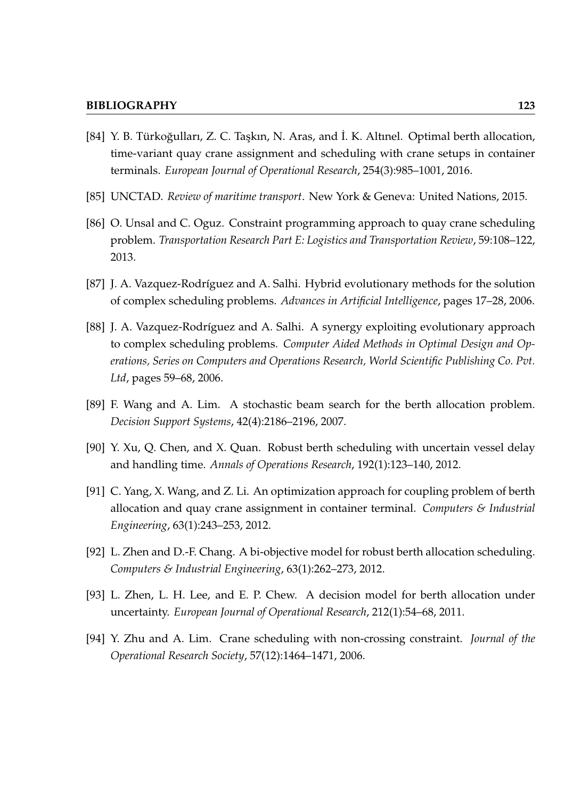- [84] Y. B. Türkoğulları, Z. C. Taşkın, N. Aras, and İ. K. Altınel. Optimal berth allocation, time-variant quay crane assignment and scheduling with crane setups in container terminals. *European Journal of Operational Research*, 254(3):985–1001, 2016.
- [85] UNCTAD. *Review of maritime transport*. New York & Geneva: United Nations, 2015.
- [86] O. Unsal and C. Oguz. Constraint programming approach to quay crane scheduling problem. *Transportation Research Part E: Logistics and Transportation Review*, 59:108–122, 2013.
- [87] J. A. Vazquez-Rodríguez and A. Salhi. Hybrid evolutionary methods for the solution of complex scheduling problems. *Advances in Artificial Intelligence*, pages 17–28, 2006.
- [88] J. A. Vazquez-Rodríguez and A. Salhi. A synergy exploiting evolutionary approach to complex scheduling problems. *Computer Aided Methods in Optimal Design and Operations, Series on Computers and Operations Research, World Scientific Publishing Co. Pvt. Ltd*, pages 59–68, 2006.
- [89] F. Wang and A. Lim. A stochastic beam search for the berth allocation problem. *Decision Support Systems*, 42(4):2186–2196, 2007.
- [90] Y. Xu, Q. Chen, and X. Quan. Robust berth scheduling with uncertain vessel delay and handling time. *Annals of Operations Research*, 192(1):123–140, 2012.
- [91] C. Yang, X. Wang, and Z. Li. An optimization approach for coupling problem of berth allocation and quay crane assignment in container terminal. *Computers & Industrial Engineering*, 63(1):243–253, 2012.
- [92] L. Zhen and D.-F. Chang. A bi-objective model for robust berth allocation scheduling. *Computers & Industrial Engineering*, 63(1):262–273, 2012.
- [93] L. Zhen, L. H. Lee, and E. P. Chew. A decision model for berth allocation under uncertainty. *European Journal of Operational Research*, 212(1):54–68, 2011.
- [94] Y. Zhu and A. Lim. Crane scheduling with non-crossing constraint. *Journal of the Operational Research Society*, 57(12):1464–1471, 2006.